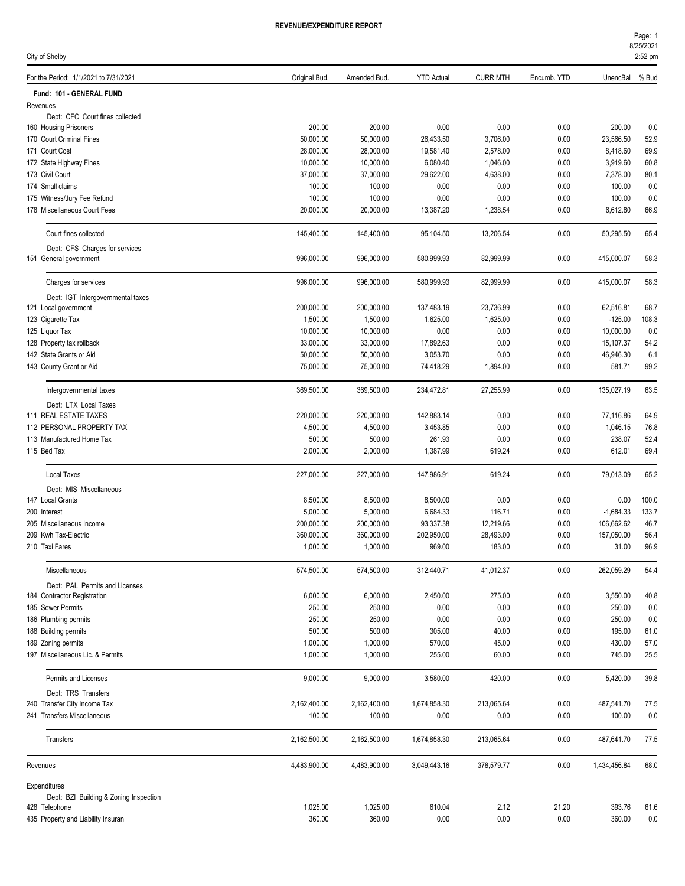| City of Shelby                                          |               |              |                   |                 |             |              | 2:52 pm |
|---------------------------------------------------------|---------------|--------------|-------------------|-----------------|-------------|--------------|---------|
| For the Period: 1/1/2021 to 7/31/2021                   | Original Bud. | Amended Bud. | <b>YTD Actual</b> | <b>CURR MTH</b> | Encumb. YTD | UnencBal     | % Bud   |
| Fund: 101 - GENERAL FUND                                |               |              |                   |                 |             |              |         |
| Revenues                                                |               |              |                   |                 |             |              |         |
| Dept: CFC Court fines collected                         |               |              |                   |                 |             |              |         |
| 160 Housing Prisoners                                   | 200.00        | 200.00       | 0.00              | 0.00            | 0.00        | 200.00       | 0.0     |
| 170 Court Criminal Fines                                | 50,000.00     | 50,000.00    | 26,433.50         | 3,706.00        | 0.00        | 23,566.50    | 52.9    |
| 171 Court Cost                                          | 28,000.00     | 28,000.00    | 19,581.40         | 2,578.00        | 0.00        | 8,418.60     | 69.9    |
| 172 State Highway Fines                                 | 10,000.00     | 10,000.00    | 6,080.40          | 1,046.00        | 0.00        | 3,919.60     | 60.8    |
| 173 Civil Court                                         | 37,000.00     | 37,000.00    | 29,622.00         | 4,638.00        | 0.00        | 7,378.00     | 80.1    |
| 174 Small claims                                        | 100.00        | 100.00       | 0.00              | 0.00            | 0.00        | 100.00       | 0.0     |
| 175 Witness/Jury Fee Refund                             | 100.00        | 100.00       | 0.00              | 0.00            | 0.00        | 100.00       | 0.0     |
| 178 Miscellaneous Court Fees                            | 20,000.00     | 20,000.00    | 13,387.20         | 1,238.54        | 0.00        | 6,612.80     | 66.9    |
| Court fines collected                                   | 145,400.00    | 145,400.00   | 95,104.50         | 13,206.54       | 0.00        | 50,295.50    | 65.4    |
| Dept: CFS Charges for services                          |               |              |                   |                 |             |              |         |
| 151 General government                                  | 996,000.00    | 996,000.00   | 580,999.93        | 82,999.99       | 0.00        | 415,000.07   | 58.3    |
| Charges for services                                    | 996,000.00    | 996,000.00   | 580,999.93        | 82,999.99       | 0.00        | 415,000.07   | 58.3    |
| Dept: IGT Intergovernmental taxes                       |               |              |                   |                 |             |              |         |
| 121 Local government                                    | 200,000.00    | 200,000.00   | 137,483.19        | 23,736.99       | 0.00        | 62,516.81    | 68.7    |
| 123 Cigarette Tax                                       | 1,500.00      | 1,500.00     | 1,625.00          | 1,625.00        | 0.00        | $-125.00$    | 108.3   |
| 125 Liquor Tax                                          | 10,000.00     | 10,000.00    | 0.00              | 0.00            | 0.00        | 10,000.00    | 0.0     |
| 128 Property tax rollback                               | 33,000.00     | 33,000.00    | 17,892.63         | 0.00            | 0.00        | 15,107.37    | 54.2    |
| 142 State Grants or Aid                                 | 50,000.00     | 50,000.00    | 3,053.70          | 0.00            | 0.00        | 46,946.30    | 6.1     |
| 143 County Grant or Aid                                 | 75,000.00     | 75,000.00    | 74,418.29         | 1,894.00        | 0.00        | 581.71       | 99.2    |
| Intergovernmental taxes                                 | 369,500.00    | 369,500.00   | 234,472.81        | 27,255.99       | 0.00        | 135,027.19   | 63.5    |
| Dept: LTX Local Taxes                                   |               |              |                   |                 |             |              |         |
| 111 REAL ESTATE TAXES                                   | 220,000.00    | 220,000.00   | 142,883.14        | 0.00            | 0.00        | 77,116.86    | 64.9    |
| 112 PERSONAL PROPERTY TAX                               | 4,500.00      | 4,500.00     | 3,453.85          | 0.00            | 0.00        | 1,046.15     | 76.8    |
| 113 Manufactured Home Tax                               | 500.00        | 500.00       | 261.93            | 0.00            | 0.00        | 238.07       | 52.4    |
| 115 Bed Tax                                             | 2,000.00      | 2,000.00     | 1,387.99          | 619.24          | 0.00        | 612.01       | 69.4    |
| <b>Local Taxes</b>                                      | 227,000.00    | 227,000.00   | 147,986.91        | 619.24          | 0.00        | 79,013.09    | 65.2    |
| Dept: MIS Miscellaneous                                 |               |              |                   |                 |             |              |         |
| 147 Local Grants                                        | 8,500.00      | 8,500.00     | 8,500.00          | 0.00            | 0.00        | 0.00         | 100.0   |
| 200 Interest                                            | 5,000.00      | 5,000.00     | 6,684.33          | 116.71          | 0.00        | $-1,684.33$  | 133.7   |
| 205 Miscellaneous Income                                | 200,000.00    | 200,000.00   | 93,337.38         | 12,219.66       | 0.00        | 106,662.62   | 46.7    |
| 209 Kwh Tax-Electric                                    | 360,000.00    | 360,000.00   | 202,950.00        | 28,493.00       | 0.00        | 157,050.00   | 56.4    |
| 210 Taxi Fares                                          | 1,000.00      | 1,000.00     | 969.00            | 183.00          | 0.00        | 31.00        | 96.9    |
| Miscellaneous                                           | 574,500.00    | 574,500.00   | 312,440.71        | 41,012.37       | 0.00        | 262,059.29   | 54.4    |
| Dept: PAL Permits and Licenses                          |               |              |                   |                 |             |              |         |
| 184 Contractor Registration                             | 6,000.00      | 6,000.00     | 2,450.00          | 275.00          | 0.00        | 3,550.00     | 40.8    |
| 185 Sewer Permits                                       | 250.00        | 250.00       | 0.00              | 0.00            | 0.00        | 250.00       | 0.0     |
| 186 Plumbing permits                                    | 250.00        | 250.00       | 0.00              | 0.00            | 0.00        | 250.00       | 0.0     |
| 188 Building permits                                    | 500.00        | 500.00       | 305.00            | 40.00           | 0.00        | 195.00       | 61.0    |
| 189 Zoning permits                                      | 1,000.00      | 1,000.00     | 570.00            | 45.00           | 0.00        | 430.00       | 57.0    |
| 197 Miscellaneous Lic. & Permits                        | 1,000.00      | 1,000.00     | 255.00            | 60.00           | 0.00        | 745.00       | 25.5    |
| Permits and Licenses                                    | 9,000.00      | 9,000.00     | 3,580.00          | 420.00          | 0.00        | 5,420.00     | 39.8    |
| Dept: TRS Transfers                                     |               |              |                   |                 |             |              |         |
| 240 Transfer City Income Tax                            | 2,162,400.00  | 2,162,400.00 | 1,674,858.30      | 213,065.64      | 0.00        | 487,541.70   | 77.5    |
| 241 Transfers Miscellaneous                             | 100.00        | 100.00       | 0.00              | 0.00            | 0.00        | 100.00       | 0.0     |
| Transfers                                               | 2,162,500.00  | 2,162,500.00 | 1,674,858.30      | 213,065.64      | 0.00        | 487,641.70   | 77.5    |
| Revenues                                                | 4,483,900.00  | 4,483,900.00 | 3,049,443.16      | 378,579.77      | 0.00        | 1,434,456.84 | 68.0    |
| Expenditures                                            |               |              |                   |                 |             |              |         |
| Dept: BZI Building & Zoning Inspection<br>428 Telephone | 1,025.00      | 1,025.00     | 610.04            | 2.12            | 21.20       | 393.76       | 61.6    |
|                                                         |               |              |                   |                 |             |              |         |

435 Property and Liability Insuran 360.00 360.00 0.00 0.00 0.00 360.00 0.0

8/25/2021 Page: 1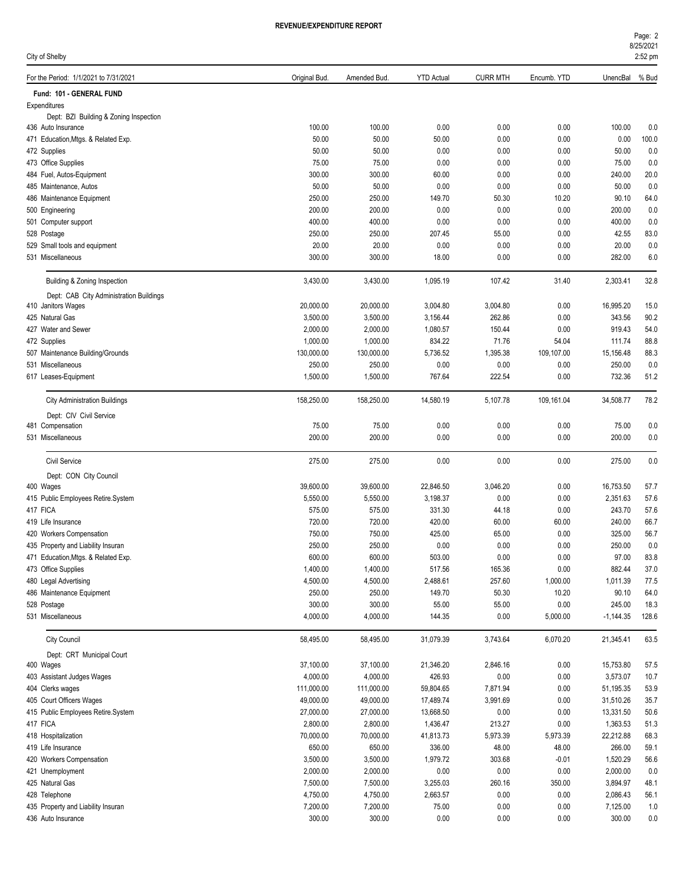| Page: 2   |  |
|-----------|--|
| 8/25/2021 |  |

| City of Shelby                                               |                      |                      |                      |                  |                  |                     | 2:52 pm      |
|--------------------------------------------------------------|----------------------|----------------------|----------------------|------------------|------------------|---------------------|--------------|
| For the Period: 1/1/2021 to 7/31/2021                        | Original Bud.        | Amended Bud.         | <b>YTD Actual</b>    | <b>CURR MTH</b>  | Encumb. YTD      | UnencBal            | % Bud        |
| Fund: 101 - GENERAL FUND                                     |                      |                      |                      |                  |                  |                     |              |
| Expenditures                                                 |                      |                      |                      |                  |                  |                     |              |
| Dept: BZI Building & Zoning Inspection<br>436 Auto Insurance | 100.00               | 100.00               | 0.00                 | 0.00             | 0.00             | 100.00              | 0.0          |
| 471 Education, Mtgs. & Related Exp.                          | 50.00                | 50.00                | 50.00                | 0.00             | 0.00             | 0.00                | 100.0        |
| 472 Supplies                                                 | 50.00                | 50.00                | 0.00                 | 0.00             | 0.00             | 50.00               | 0.0          |
| 473 Office Supplies                                          | 75.00                | 75.00                | 0.00                 | 0.00             | 0.00             | 75.00               | 0.0          |
| 484 Fuel, Autos-Equipment                                    | 300.00               | 300.00               | 60.00                | 0.00             | 0.00             | 240.00              | 20.0         |
| 485 Maintenance, Autos                                       | 50.00                | 50.00                | 0.00                 | 0.00             | 0.00             | 50.00               | 0.0          |
| 486 Maintenance Equipment                                    | 250.00               | 250.00               | 149.70               | 50.30            | 10.20            | 90.10               | 64.0         |
| 500 Engineering                                              | 200.00               | 200.00               | 0.00                 | 0.00             | 0.00             | 200.00              | 0.0          |
| 501 Computer support                                         | 400.00               | 400.00               | 0.00                 | 0.00             | 0.00             | 400.00              | 0.0          |
| 528 Postage                                                  | 250.00               | 250.00               | 207.45               | 55.00            | 0.00             | 42.55               | 83.0         |
| 529 Small tools and equipment                                | 20.00                | 20.00                | 0.00                 | 0.00             | 0.00             | 20.00               | 0.0          |
| 531 Miscellaneous                                            | 300.00               | 300.00               | 18.00                | 0.00             | 0.00             | 282.00              | 6.0          |
| Building & Zoning Inspection                                 | 3,430.00             | 3,430.00             | 1,095.19             | 107.42           | 31.40            | 2,303.41            | 32.8         |
| Dept: CAB City Administration Buildings                      |                      |                      |                      |                  |                  |                     |              |
| 410 Janitors Wages                                           | 20,000.00            | 20,000.00            | 3,004.80             | 3,004.80         | 0.00             | 16,995.20           | 15.0         |
| 425 Natural Gas<br>427 Water and Sewer                       | 3,500.00<br>2,000.00 | 3,500.00<br>2,000.00 | 3,156.44<br>1,080.57 | 262.86<br>150.44 | 0.00<br>0.00     | 343.56<br>919.43    | 90.2<br>54.0 |
| 472 Supplies                                                 | 1,000.00             | 1,000.00             | 834.22               | 71.76            | 54.04            | 111.74              | 88.8         |
| 507 Maintenance Building/Grounds                             | 130,000.00           | 130,000.00           | 5,736.52             | 1,395.38         | 109,107.00       | 15,156.48           | 88.3         |
| 531 Miscellaneous                                            | 250.00               | 250.00               | 0.00                 | 0.00             | 0.00             | 250.00              | 0.0          |
| 617 Leases-Equipment                                         | 1,500.00             | 1,500.00             | 767.64               | 222.54           | 0.00             | 732.36              | 51.2         |
| <b>City Administration Buildings</b>                         | 158,250.00           | 158,250.00           | 14,580.19            | 5,107.78         | 109,161.04       | 34,508.77           | 78.2         |
| Dept: CIV Civil Service                                      |                      |                      |                      |                  |                  |                     |              |
| 481 Compensation                                             | 75.00                | 75.00                | 0.00                 | 0.00             | 0.00             | 75.00               | 0.0          |
| 531 Miscellaneous                                            | 200.00               | 200.00               | 0.00                 | 0.00             | 0.00             | 200.00              | 0.0          |
| <b>Civil Service</b>                                         | 275.00               | 275.00               | 0.00                 | 0.00             | 0.00             | 275.00              | 0.0          |
| Dept: CON City Council                                       |                      |                      |                      |                  |                  |                     |              |
| 400 Wages                                                    | 39,600.00            | 39,600.00            | 22,846.50            | 3,046.20         | 0.00             | 16,753.50           | 57.7         |
| 415 Public Employees Retire.System                           | 5,550.00             | 5,550.00             | 3,198.37             | 0.00             | 0.00             | 2,351.63            | 57.6         |
| 417 FICA<br>419 Life Insurance                               | 575.00<br>720.00     | 575.00<br>720.00     | 331.30<br>420.00     | 44.18            | 0.00             | 243.70              | 57.6         |
| 420 Workers Compensation                                     | 750.00               | 750.00               | 425.00               | 60.00<br>65.00   | 60.00<br>0.00    | 240.00<br>325.00    | 66.7<br>56.7 |
| 435 Property and Liability Insuran                           | 250.00               | 250.00               | 0.00                 | 0.00             | 0.00             | 250.00              | 0.0          |
| 471 Education, Mtgs. & Related Exp.                          | 600.00               | 600.00               | 503.00               | 0.00             | 0.00             | 97.00               | 83.8         |
| 473 Office Supplies                                          | 1,400.00             | 1,400.00             | 517.56               | 165.36           | 0.00             | 882.44              | 37.0         |
| 480 Legal Advertising                                        | 4,500.00             | 4,500.00             | 2,488.61             | 257.60           | 1,000.00         | 1,011.39            | 77.5         |
| 486 Maintenance Equipment                                    | 250.00               | 250.00               | 149.70               | 50.30            | 10.20            | 90.10               | 64.0         |
| 528 Postage                                                  | 300.00               | 300.00               | 55.00                | 55.00            | 0.00             | 245.00              | 18.3         |
| 531 Miscellaneous                                            | 4,000.00             | 4,000.00             | 144.35               | 0.00             | 5,000.00         | $-1,144.35$         | 128.6        |
| <b>City Council</b>                                          | 58,495.00            | 58,495.00            | 31,079.39            | 3,743.64         | 6,070.20         | 21,345.41           | 63.5         |
| Dept: CRT Municipal Court                                    |                      |                      |                      |                  |                  |                     |              |
| 400 Wages                                                    | 37,100.00            | 37,100.00            | 21,346.20            | 2,846.16         | 0.00             | 15,753.80           | 57.5         |
| 403 Assistant Judges Wages                                   | 4,000.00             | 4,000.00             | 426.93               | 0.00             | 0.00             | 3,573.07            | 10.7         |
| 404 Clerks wages                                             | 111,000.00           | 111,000.00           | 59,804.65            | 7,871.94         | 0.00             | 51,195.35           | 53.9         |
| 405 Court Officers Wages                                     | 49,000.00            | 49,000.00            | 17,489.74            | 3,991.69         | 0.00             | 31,510.26           | 35.7         |
| 415 Public Employees Retire.System                           | 27,000.00            | 27,000.00            | 13,668.50            | 0.00             | 0.00             | 13,331.50           | 50.6         |
| 417 FICA                                                     | 2,800.00             | 2,800.00             | 1,436.47             | 213.27           | 0.00             | 1,363.53            | 51.3         |
| 418 Hospitalization                                          | 70,000.00<br>650.00  | 70,000.00<br>650.00  | 41,813.73            | 5,973.39         | 5,973.39         | 22,212.88<br>266.00 | 68.3         |
| 419 Life Insurance<br>420 Workers Compensation               | 3,500.00             | 3,500.00             | 336.00<br>1,979.72   | 48.00<br>303.68  | 48.00<br>$-0.01$ | 1,520.29            | 59.1<br>56.6 |
| 421 Unemployment                                             | 2,000.00             | 2,000.00             | 0.00                 | 0.00             | 0.00             | 2,000.00            | 0.0          |
| 425 Natural Gas                                              | 7,500.00             | 7,500.00             | 3,255.03             | 260.16           | 350.00           | 3,894.97            | 48.1         |
| 428 Telephone                                                | 4,750.00             | 4,750.00             | 2,663.57             | 0.00             | 0.00             | 2,086.43            | 56.1         |
| 435 Property and Liability Insuran                           | 7,200.00             | 7,200.00             | 75.00                | 0.00             | 0.00             | 7,125.00            | 1.0          |
| 436 Auto Insurance                                           | 300.00               | 300.00               | 0.00                 | 0.00             | 0.00             | 300.00              | 0.0          |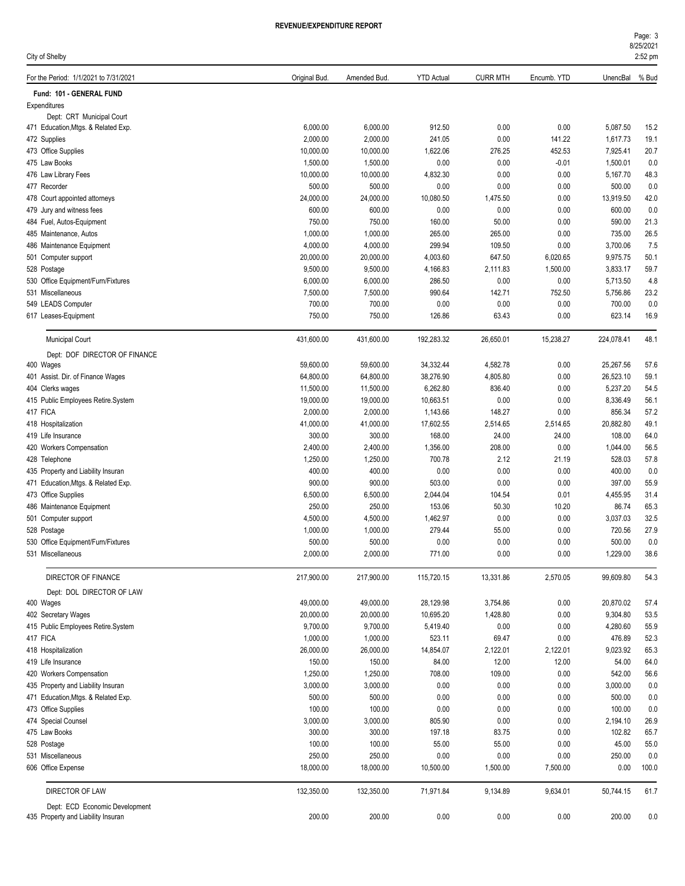| Page: 3   |
|-----------|
| 8/25/2021 |
| $2:52$ pm |

| City of Shelby                                                       |                  |                  |                   |                 |                      |                  | 2:52 pm      |
|----------------------------------------------------------------------|------------------|------------------|-------------------|-----------------|----------------------|------------------|--------------|
| For the Period: 1/1/2021 to 7/31/2021                                | Original Bud.    | Amended Bud.     | <b>YTD Actual</b> | <b>CURR MTH</b> | Encumb. YTD          | UnencBal         | % Bud        |
| Fund: 101 - GENERAL FUND                                             |                  |                  |                   |                 |                      |                  |              |
| Expenditures                                                         |                  |                  |                   |                 |                      |                  |              |
| Dept: CRT Municipal Court                                            |                  |                  |                   |                 |                      |                  |              |
| 471 Education, Mtgs. & Related Exp.                                  | 6,000.00         | 6,000.00         | 912.50            | 0.00            | 0.00                 | 5,087.50         | 15.2         |
| 472 Supplies                                                         | 2,000.00         | 2,000.00         | 241.05            | 0.00            | 141.22               | 1,617.73         | 19.1         |
| 473 Office Supplies                                                  | 10,000.00        | 10,000.00        | 1,622.06          | 276.25          | 452.53               | 7,925.41         | 20.7         |
| 475 Law Books                                                        | 1,500.00         | 1,500.00         | 0.00              | 0.00            | $-0.01$              | 1,500.01         | 0.0          |
| 476 Law Library Fees                                                 | 10,000.00        | 10,000.00        | 4,832.30          | 0.00            | 0.00                 | 5,167.70         | 48.3         |
| 477 Recorder                                                         | 500.00           | 500.00           | 0.00              | 0.00            | 0.00                 | 500.00           | 0.0          |
| 478 Court appointed attorneys                                        | 24,000.00        | 24,000.00        | 10,080.50         | 1,475.50        | 0.00                 | 13,919.50        | 42.0         |
| 479 Jury and witness fees                                            | 600.00<br>750.00 | 600.00<br>750.00 | 0.00<br>160.00    | 0.00            | 0.00                 | 600.00<br>590.00 | 0.0          |
| 484 Fuel, Autos-Equipment<br>485 Maintenance, Autos                  | 1,000.00         | 1,000.00         | 265.00            | 50.00<br>265.00 | 0.00<br>0.00         | 735.00           | 21.3<br>26.5 |
| 486 Maintenance Equipment                                            | 4,000.00         | 4,000.00         | 299.94            | 109.50          | 0.00                 | 3,700.06         | 7.5          |
|                                                                      | 20,000.00        | 20,000.00        | 4,003.60          | 647.50          |                      | 9,975.75         | 50.1         |
| 501 Computer support<br>528 Postage                                  | 9.500.00         | 9,500.00         | 4,166.83          | 2,111.83        | 6,020.65<br>1,500.00 | 3,833.17         | 59.7         |
| 530 Office Equipment/Furn/Fixtures                                   | 6,000.00         | 6,000.00         | 286.50            | 0.00            | 0.00                 | 5,713.50         | 4.8          |
| 531 Miscellaneous                                                    | 7,500.00         | 7,500.00         | 990.64            | 142.71          | 752.50               | 5,756.86         | 23.2         |
| 549 LEADS Computer                                                   | 700.00           | 700.00           | 0.00              | 0.00            | 0.00                 | 700.00           | 0.0          |
| 617 Leases-Equipment                                                 | 750.00           | 750.00           | 126.86            | 63.43           | 0.00                 | 623.14           | 16.9         |
| <b>Municipal Court</b>                                               | 431,600.00       | 431,600.00       | 192,283.32        | 26,650.01       | 15,238.27            | 224,078.41       | 48.1         |
| Dept: DOF DIRECTOR OF FINANCE                                        |                  |                  |                   |                 |                      |                  |              |
| 400 Wages                                                            | 59,600.00        | 59,600.00        | 34,332.44         | 4,582.78        | 0.00                 | 25,267.56        | 57.6         |
| 401 Assist. Dir. of Finance Wages                                    | 64,800.00        | 64,800.00        | 38,276.90         | 4,805.80        | 0.00                 | 26,523.10        | 59.1         |
| 404 Clerks wages                                                     | 11,500.00        | 11,500.00        | 6,262.80          | 836.40          | 0.00                 | 5,237.20         | 54.5         |
| 415 Public Employees Retire.System                                   | 19,000.00        | 19,000.00        | 10,663.51         | 0.00            | 0.00                 | 8,336.49         | 56.1         |
| 417 FICA                                                             | 2,000.00         | 2,000.00         | 1,143.66          | 148.27          | 0.00                 | 856.34           | 57.2         |
| 418 Hospitalization                                                  | 41,000.00        | 41,000.00        | 17,602.55         | 2,514.65        | 2,514.65             | 20,882.80        | 49.1         |
| 419 Life Insurance                                                   | 300.00           | 300.00           | 168.00            | 24.00           | 24.00                | 108.00           | 64.0         |
| 420 Workers Compensation                                             | 2,400.00         | 2,400.00         | 1,356.00          | 208.00          | 0.00                 | 1,044.00         | 56.5         |
| 428 Telephone                                                        | 1,250.00         | 1,250.00         | 700.78            | 2.12            | 21.19                | 528.03           | 57.8         |
| 435 Property and Liability Insuran                                   | 400.00           | 400.00           | 0.00              | 0.00            | 0.00                 | 400.00           | 0.0          |
| 471 Education, Mtgs. & Related Exp.                                  | 900.00           | 900.00           | 503.00            | 0.00            | 0.00                 | 397.00           | 55.9         |
| 473 Office Supplies                                                  | 6,500.00         | 6,500.00         | 2,044.04          | 104.54          | 0.01                 | 4,455.95         | 31.4         |
| 486 Maintenance Equipment                                            | 250.00           | 250.00           | 153.06            | 50.30           | 10.20                | 86.74            | 65.3         |
| 501 Computer support                                                 | 4,500.00         | 4,500.00         | 1,462.97          | 0.00            | 0.00                 | 3,037.03         | 32.5         |
| 528 Postage                                                          | 1,000.00         | 1,000.00         | 279.44            | 55.00           | 0.00                 | 720.56           | 27.9         |
| 530 Office Equipment/Furn/Fixtures                                   | 500.00           | 500.00           | 0.00              | 0.00            | 0.00                 | 500.00           | 0.0          |
| 531 Miscellaneous                                                    | 2,000.00         | 2,000.00         | 771.00            | 0.00            | $0.00\,$             | 1,229.00         | 38.6         |
| DIRECTOR OF FINANCE                                                  | 217,900.00       | 217,900.00       | 115,720.15        | 13,331.86       | 2,570.05             | 99,609.80        | 54.3         |
| Dept: DOL DIRECTOR OF LAW                                            |                  |                  |                   |                 |                      |                  |              |
| 400 Wages                                                            | 49,000.00        | 49,000.00        | 28,129.98         | 3,754.86        | 0.00                 | 20,870.02        | 57.4         |
| 402 Secretary Wages                                                  | 20,000.00        | 20,000.00        | 10,695.20         | 1,428.80        | 0.00                 | 9,304.80         | 53.5         |
| 415 Public Employees Retire.System                                   | 9,700.00         | 9,700.00         | 5,419.40          | 0.00            | 0.00                 | 4,280.60         | 55.9         |
| 417 FICA                                                             | 1,000.00         | 1,000.00         | 523.11            | 69.47           | 0.00                 | 476.89           | 52.3         |
| 418 Hospitalization                                                  | 26,000.00        | 26,000.00        | 14,854.07         | 2,122.01        | 2,122.01             | 9,023.92         | 65.3         |
| 419 Life Insurance                                                   | 150.00           | 150.00           | 84.00             | 12.00           | 12.00                | 54.00            | 64.0         |
| 420 Workers Compensation                                             | 1,250.00         | 1,250.00         | 708.00            | 109.00          | 0.00                 | 542.00           | 56.6         |
| 435 Property and Liability Insuran                                   | 3,000.00         | 3,000.00         | 0.00              | 0.00            | 0.00                 | 3,000.00         | 0.0          |
| 471 Education, Mtgs. & Related Exp.                                  | 500.00           | 500.00           | 0.00              | 0.00            | 0.00                 | 500.00           | 0.0          |
| 473 Office Supplies                                                  | 100.00           | 100.00           | 0.00              | 0.00            | 0.00                 | 100.00           | 0.0          |
| 474 Special Counsel                                                  | 3,000.00         | 3,000.00         | 805.90            | 0.00            | 0.00                 | 2,194.10         | 26.9         |
| 475 Law Books                                                        | 300.00           | 300.00           | 197.18            | 83.75           | 0.00                 | 102.82           | 65.7         |
| 528 Postage                                                          | 100.00           | 100.00           | 55.00             | 55.00           | 0.00                 | 45.00            | 55.0         |
| 531 Miscellaneous                                                    | 250.00           | 250.00           | 0.00              | 0.00            | 0.00                 | 250.00           | 0.0          |
| 606 Office Expense                                                   | 18,000.00        | 18,000.00        | 10,500.00         | 1,500.00        | 7,500.00             | 0.00             | 100.0        |
| DIRECTOR OF LAW                                                      | 132,350.00       | 132,350.00       | 71,971.84         | 9,134.89        | 9,634.01             | 50,744.15        | 61.7         |
| Dept: ECD Economic Development<br>435 Property and Liability Insuran | 200.00           | 200.00           | 0.00              | 0.00            | 0.00                 | 200.00           | 0.0          |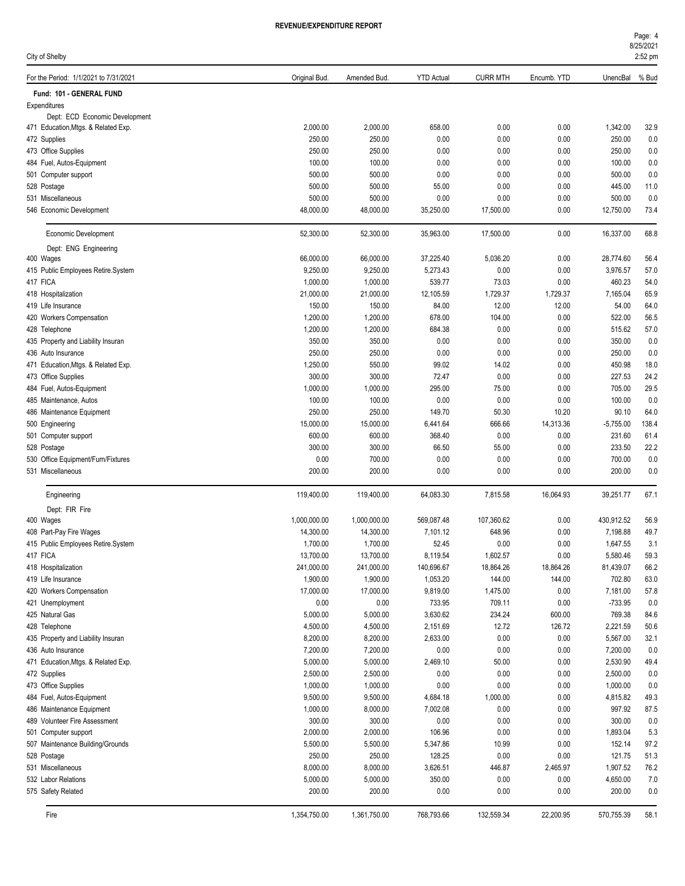| City of Shelby                                |                       |                      |                    |                    |                  |                       | 2:52 pm      |
|-----------------------------------------------|-----------------------|----------------------|--------------------|--------------------|------------------|-----------------------|--------------|
| For the Period: 1/1/2021 to 7/31/2021         | Original Bud.         | Amended Bud.         | <b>YTD Actual</b>  | <b>CURR MTH</b>    | Encumb. YTD      | UnencBal              | % Bud        |
| Fund: 101 - GENERAL FUND                      |                       |                      |                    |                    |                  |                       |              |
| Expenditures                                  |                       |                      |                    |                    |                  |                       |              |
| Dept: ECD Economic Development                |                       |                      |                    |                    |                  |                       |              |
| 471 Education, Mtgs. & Related Exp.           | 2,000.00              | 2,000.00             | 658.00             | 0.00               | 0.00             | 1,342.00              | 32.9         |
| 472 Supplies                                  | 250.00                | 250.00               | 0.00               | 0.00               | 0.00             | 250.00                | 0.0          |
| 473 Office Supplies                           | 250.00                | 250.00               | 0.00               | 0.00               | 0.00             | 250.00                | 0.0          |
| 484 Fuel, Autos-Equipment                     | 100.00                | 100.00               | 0.00               | 0.00               | 0.00             | 100.00                | 0.0          |
| 501 Computer support                          | 500.00                | 500.00               | 0.00               | 0.00               | 0.00             | 500.00                | 0.0          |
| 528 Postage                                   | 500.00                | 500.00               | 55.00              | 0.00               | 0.00             | 445.00                | 11.0         |
| 531 Miscellaneous<br>546 Economic Development | 500.00<br>48,000.00   | 500.00<br>48,000.00  | 0.00<br>35,250.00  | 0.00<br>17,500.00  | 0.00<br>0.00     | 500.00<br>12,750.00   | 0.0<br>73.4  |
| Economic Development                          | 52,300.00             | 52,300.00            | 35,963.00          | 17,500.00          | 0.00             | 16,337.00             | 68.8         |
| Dept: ENG Engineering                         |                       |                      |                    |                    |                  |                       |              |
| 400 Wages                                     | 66,000.00             | 66,000.00            | 37,225.40          | 5,036.20           | 0.00             | 28,774.60             | 56.4         |
| 415 Public Employees Retire.System            | 9,250.00              | 9,250.00             | 5,273.43           | 0.00               | 0.00             | 3,976.57              | 57.0         |
| 417 FICA                                      | 1,000.00              | 1,000.00             | 539.77             | 73.03              | 0.00             | 460.23                | 54.0         |
| 418 Hospitalization                           | 21,000.00             | 21,000.00            | 12,105.59          | 1,729.37           | 1,729.37         | 7,165.04              | 65.9         |
| 419 Life Insurance                            | 150.00                | 150.00               | 84.00              | 12.00              | 12.00            | 54.00                 | 64.0         |
| 420 Workers Compensation                      | 1,200.00              | 1,200.00             | 678.00             | 104.00             | 0.00             | 522.00                | 56.5         |
| 428 Telephone                                 | 1,200.00              | 1,200.00             | 684.38             | 0.00               | 0.00             | 515.62                | 57.0         |
| 435 Property and Liability Insuran            | 350.00                | 350.00               | 0.00               | 0.00               | 0.00             | 350.00                | 0.0          |
| 436 Auto Insurance                            | 250.00                | 250.00               | 0.00               | 0.00               | 0.00             | 250.00                | 0.0          |
| 471 Education, Mtgs. & Related Exp.           | 1,250.00              | 550.00               | 99.02              | 14.02              | 0.00             | 450.98                | 18.0         |
| 473 Office Supplies                           | 300.00                | 300.00               | 72.47              | 0.00               | 0.00             | 227.53                | 24.2         |
| 484 Fuel, Autos-Equipment                     | 1,000.00              | 1,000.00             | 295.00             | 75.00              | 0.00             | 705.00                | 29.5         |
| 485 Maintenance, Autos                        | 100.00                | 100.00               | 0.00               | 0.00               | 0.00             | 100.00                | 0.0          |
| 486 Maintenance Equipment                     | 250.00                | 250.00               | 149.70             | 50.30              | 10.20            | 90.10                 | 64.0         |
| 500 Engineering                               | 15,000.00             | 15,000.00            | 6,441.64           | 666.66             | 14,313.36        | $-5,755.00$           | 138.4        |
| 501 Computer support                          | 600.00                | 600.00               | 368.40             | 0.00               | 0.00             | 231.60                | 61.4         |
| 528 Postage                                   | 300.00                | 300.00               | 66.50              | 55.00              | 0.00             | 233.50                | 22.2         |
| 530 Office Equipment/Furn/Fixtures            | 0.00                  | 700.00               | 0.00               | 0.00               | 0.00             | 700.00                | 0.0          |
| 531 Miscellaneous                             | 200.00                | 200.00               | 0.00               | 0.00               | 0.00             | 200.00                | 0.0          |
| Engineering                                   | 119,400.00            | 119,400.00           | 64,083.30          | 7,815.58           | 16,064.93        | 39,251.77             | 67.1         |
| Dept: FIR Fire                                |                       |                      |                    |                    |                  |                       |              |
| 400 Wages                                     | 1,000,000.00          | 1,000,000.00         | 569,087.48         | 107,360.62         | 0.00             | 430,912.52            | 56.9         |
| 408 Part-Pay Fire Wages                       | 14,300.00             | 14,300.00            | 7,101.12           | 648.96             | 0.00             | 7,198.88              | 49.7         |
| 415 Public Employees Retire.System            | 1,700.00              | 1,700.00             | 52.45              | 0.00               | 0.00             | 1,647.55              | 3.1          |
| 417 FICA                                      | 13,700.00             | 13,700.00            | 8,119.54           | 1,602.57           | 0.00             | 5,580.46              | 59.3         |
| 418 Hospitalization                           | 241,000.00            | 241,000.00           | 140,696.67         | 18,864.26          | 18,864.26        | 81,439.07             | 66.2         |
| 419 Life Insurance                            | 1,900.00<br>17,000.00 | 1,900.00             | 1,053.20           | 144.00             | 144.00           | 702.80                | 63.0         |
| 420 Workers Compensation                      | 0.00                  | 17,000.00<br>0.00    | 9,819.00<br>733.95 | 1,475.00<br>709.11 | 0.00<br>0.00     | 7,181.00<br>$-733.95$ | 57.8<br>0.0  |
| 421 Unemployment<br>425 Natural Gas           | 5,000.00              |                      | 3,630.62           | 234.24             |                  | 769.38                |              |
| 428 Telephone                                 | 4,500.00              | 5,000.00<br>4,500.00 | 2,151.69           | 12.72              | 600.00<br>126.72 | 2,221.59              | 84.6<br>50.6 |
| 435 Property and Liability Insuran            | 8,200.00              | 8,200.00             | 2,633.00           | 0.00               | 0.00             | 5,567.00              | 32.1         |
| 436 Auto Insurance                            | 7,200.00              | 7,200.00             | 0.00               | 0.00               | 0.00             | 7,200.00              | 0.0          |
| 471 Education, Mtgs. & Related Exp.           | 5,000.00              | 5,000.00             | 2,469.10           | 50.00              | 0.00             | 2,530.90              | 49.4         |
| 472 Supplies                                  | 2,500.00              | 2,500.00             | 0.00               | 0.00               | 0.00             | 2,500.00              | 0.0          |
| 473 Office Supplies                           | 1,000.00              | 1,000.00             | 0.00               | 0.00               | 0.00             | 1,000.00              | 0.0          |
| 484 Fuel, Autos-Equipment                     | 9,500.00              | 9,500.00             | 4,684.18           | 1,000.00           | 0.00             | 4,815.82              | 49.3         |
| 486 Maintenance Equipment                     | 1,000.00              | 8,000.00             | 7,002.08           | 0.00               | 0.00             | 997.92                | 87.5         |
| 489 Volunteer Fire Assessment                 | 300.00                | 300.00               | 0.00               | 0.00               | 0.00             | 300.00                | 0.0          |
| 501 Computer support                          | 2,000.00              | 2,000.00             | 106.96             | 0.00               | 0.00             | 1,893.04              | 5.3          |
| 507 Maintenance Building/Grounds              | 5,500.00              | 5,500.00             | 5,347.86           | 10.99              | 0.00             | 152.14                | 97.2         |
| 528 Postage                                   | 250.00                | 250.00               | 128.25             | 0.00               | 0.00             | 121.75                | 51.3         |
| 531 Miscellaneous                             | 8,000.00              | 8,000.00             | 3,626.51           | 446.87             | 2,465.97         | 1,907.52              | 76.2         |
| 532 Labor Relations                           | 5,000.00              | 5,000.00             | 350.00             | 0.00               | 0.00             | 4,650.00              | 7.0          |
| 575 Safety Related                            | 200.00                | 200.00               | 0.00               | 0.00               | 0.00             | 200.00                | 0.0          |
|                                               |                       |                      |                    |                    |                  |                       |              |

Fire 1,354,750.00 1,361,750.00 768,793.66 132,559.34 22,200.95 570,755.39 58.1

8/25/2021 Page: 4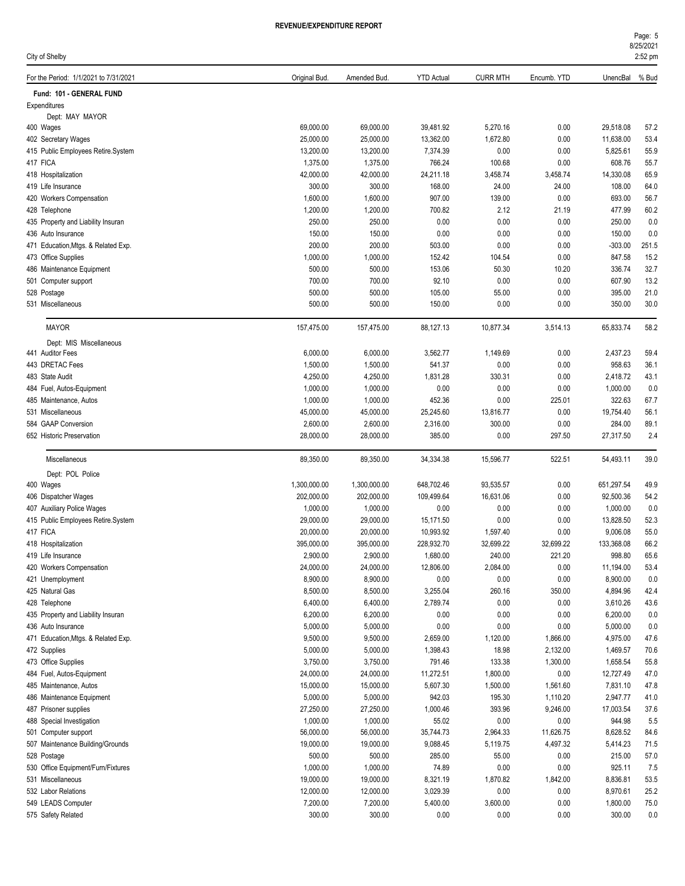| rage: 5   |  |
|-----------|--|
| 8/25/2021 |  |

| City of Shelby                                 |                        |                        |                       |                      |                |                        | 2:52 pm      |
|------------------------------------------------|------------------------|------------------------|-----------------------|----------------------|----------------|------------------------|--------------|
| For the Period: 1/1/2021 to 7/31/2021          | Original Bud.          | Amended Bud.           | <b>YTD Actual</b>     | <b>CURR MTH</b>      | Encumb. YTD    | UnencBal               | % Bud        |
| Fund: 101 - GENERAL FUND                       |                        |                        |                       |                      |                |                        |              |
| Expenditures                                   |                        |                        |                       |                      |                |                        |              |
| Dept: MAY MAYOR                                |                        |                        | 39,481.92             |                      |                |                        |              |
| 400 Wages<br>402 Secretary Wages               | 69,000.00<br>25,000.00 | 69,000.00<br>25,000.00 | 13,362.00             | 5,270.16<br>1,672.80 | 0.00<br>0.00   | 29,518.08<br>11,638.00 | 57.2<br>53.4 |
| 415 Public Employees Retire.System             | 13,200.00              | 13,200.00              | 7,374.39              | 0.00                 | 0.00           | 5,825.61               | 55.9         |
| 417 FICA                                       | 1,375.00               | 1,375.00               | 766.24                | 100.68               | 0.00           | 608.76                 | 55.7         |
| 418 Hospitalization                            | 42,000.00              | 42,000.00              | 24,211.18             | 3,458.74             | 3,458.74       | 14,330.08              | 65.9         |
| 419 Life Insurance                             | 300.00                 | 300.00                 | 168.00                | 24.00                | 24.00          | 108.00                 | 64.0         |
| 420 Workers Compensation                       | 1,600.00               | 1,600.00               | 907.00                | 139.00               | 0.00           | 693.00                 | 56.7         |
| 428 Telephone                                  | 1,200.00               | 1,200.00               | 700.82                | 2.12                 | 21.19          | 477.99                 | 60.2         |
| 435 Property and Liability Insuran             | 250.00                 | 250.00                 | 0.00                  | 0.00                 | 0.00           | 250.00                 | 0.0          |
| 436 Auto Insurance                             | 150.00                 | 150.00                 | 0.00                  | 0.00                 | 0.00           | 150.00                 | 0.0          |
| 471 Education, Mtgs. & Related Exp.            | 200.00                 | 200.00                 | 503.00                | 0.00                 | 0.00           | $-303.00$              | 251.5        |
| 473 Office Supplies                            | 1,000.00               | 1,000.00               | 152.42                | 104.54               | 0.00           | 847.58                 | 15.2         |
| 486 Maintenance Equipment                      | 500.00<br>700.00       | 500.00                 | 153.06<br>92.10       | 50.30                | 10.20<br>0.00  | 336.74                 | 32.7         |
| 501 Computer support<br>528 Postage            | 500.00                 | 700.00<br>500.00       | 105.00                | 0.00<br>55.00        | 0.00           | 607.90<br>395.00       | 13.2<br>21.0 |
| 531 Miscellaneous                              | 500.00                 | 500.00                 | 150.00                | 0.00                 | 0.00           | 350.00                 | 30.0         |
|                                                |                        |                        |                       |                      |                |                        |              |
| <b>MAYOR</b>                                   | 157,475.00             | 157,475.00             | 88,127.13             | 10,877.34            | 3,514.13       | 65,833.74              | 58.2         |
| Dept: MIS Miscellaneous                        |                        |                        |                       |                      |                |                        |              |
| 441 Auditor Fees<br>443 DRETAC Fees            | 6,000.00<br>1,500.00   | 6,000.00<br>1,500.00   | 3,562.77<br>541.37    | 1,149.69<br>0.00     | 0.00<br>0.00   | 2,437.23<br>958.63     | 59.4<br>36.1 |
| 483 State Audit                                | 4,250.00               | 4,250.00               | 1,831.28              | 330.31               | 0.00           | 2,418.72               | 43.1         |
| 484 Fuel, Autos-Equipment                      | 1,000.00               | 1,000.00               | 0.00                  | 0.00                 | 0.00           | 1,000.00               | 0.0          |
| 485 Maintenance, Autos                         | 1,000.00               | 1,000.00               | 452.36                | 0.00                 | 225.01         | 322.63                 | 67.7         |
| 531 Miscellaneous                              | 45,000.00              | 45,000.00              | 25,245.60             | 13,816.77            | 0.00           | 19,754.40              | 56.1         |
| 584 GAAP Conversion                            | 2,600.00               | 2,600.00               | 2,316.00              | 300.00               | 0.00           | 284.00                 | 89.1         |
| 652 Historic Preservation                      | 28,000.00              | 28,000.00              | 385.00                | 0.00                 | 297.50         | 27,317.50              | 2.4          |
| Miscellaneous                                  | 89,350.00              | 89,350.00              | 34,334.38             | 15,596.77            | 522.51         | 54,493.11              | 39.0         |
| Dept: POL Police                               |                        |                        |                       |                      |                |                        |              |
| 400 Wages                                      | 1,300,000.00           | 1,300,000.00           | 648,702.46            | 93,535.57            | 0.00           | 651,297.54             | 49.9         |
| 406 Dispatcher Wages                           | 202,000.00             | 202,000.00             | 109,499.64            | 16.631.06            | 0.00           | 92,500.36              | 54.2         |
| 407 Auxiliary Police Wages                     | 1,000.00               | 1,000.00               | 0.00                  | 0.00                 | 0.00           | 1,000.00               | 0.0          |
| 415 Public Employees Retire.System             | 29,000.00              | 29,000.00              | 15,171.50             | 0.00                 | 0.00           | 13,828.50              | 52.3         |
| 417 FICA                                       | 20,000.00              | 20,000.00              | 10,993.92             | 1,597.40             | 0.00           | 9,006.08               | 55.0         |
| 418 Hospitalization                            | 395,000.00             | 395,000.00             | 228,932.70            | 32,699.22            | 32.699.22      | 133,368.08             | 66.2         |
| 419 Life Insurance<br>420 Workers Compensation | 2,900.00<br>24,000.00  | 2,900.00<br>24,000.00  | 1,680.00<br>12,806.00 | 240.00<br>2,084.00   | 221.20<br>0.00 | 998.80<br>11,194.00    | 65.6<br>53.4 |
| 421 Unemployment                               | 8,900.00               | 8,900.00               | 0.00                  | 0.00                 | 0.00           | 8,900.00               | 0.0          |
| 425 Natural Gas                                | 8,500.00               | 8,500.00               | 3,255.04              | 260.16               | 350.00         | 4,894.96               | 42.4         |
| 428 Telephone                                  | 6,400.00               | 6,400.00               | 2,789.74              | 0.00                 | 0.00           | 3,610.26               | 43.6         |
| 435 Property and Liability Insuran             | 6,200.00               | 6,200.00               | 0.00                  | 0.00                 | 0.00           | 6,200.00               | 0.0          |
| 436 Auto Insurance                             | 5,000.00               | 5,000.00               | 0.00                  | 0.00                 | 0.00           | 5,000.00               | 0.0          |
| 471 Education, Mtgs. & Related Exp.            | 9,500.00               | 9,500.00               | 2,659.00              | 1,120.00             | 1,866.00       | 4,975.00               | 47.6         |
| 472 Supplies                                   | 5,000.00               | 5,000.00               | 1,398.43              | 18.98                | 2,132.00       | 1,469.57               | 70.6         |
| 473 Office Supplies                            | 3,750.00               | 3,750.00               | 791.46                | 133.38               | 1,300.00       | 1,658.54               | 55.8         |
| 484 Fuel, Autos-Equipment                      | 24,000.00              | 24,000.00              | 11,272.51             | 1,800.00             | 0.00           | 12,727.49              | 47.0         |
| 485 Maintenance, Autos                         | 15,000.00              | 15,000.00              | 5,607.30              | 1,500.00             | 1,561.60       | 7,831.10               | 47.8         |
| 486 Maintenance Equipment                      | 5,000.00               | 5,000.00               | 942.03                | 195.30               | 1,110.20       | 2,947.77               | 41.0         |
| 487 Prisoner supplies                          | 27,250.00              | 27,250.00              | 1,000.46              | 393.96               | 9,246.00       | 17,003.54              | 37.6         |
| 488 Special Investigation                      | 1,000.00               | 1,000.00               | 55.02                 | 0.00                 | 0.00           | 944.98                 | 5.5          |
| 501 Computer support                           | 56,000.00              | 56,000.00              | 35,744.73             | 2,964.33             | 11,626.75      | 8,628.52               | 84.6         |
| 507 Maintenance Building/Grounds               | 19,000.00              | 19,000.00              | 9,088.45              | 5,119.75             | 4,497.32       | 5,414.23               | 71.5         |
| 528 Postage                                    | 500.00                 | 500.00                 | 285.00                | 55.00                | 0.00           | 215.00                 | 57.0         |
| 530 Office Equipment/Furn/Fixtures             | 1,000.00               | 1,000.00               | 74.89                 | 0.00                 | 0.00           | 925.11                 | 7.5          |
| 531 Miscellaneous                              | 19,000.00              | 19,000.00              | 8,321.19              | 1,870.82             | 1,842.00       | 8,836.81               | 53.5         |
| 532 Labor Relations<br>549 LEADS Computer      | 12,000.00<br>7,200.00  | 12,000.00<br>7,200.00  | 3,029.39<br>5,400.00  | 0.00<br>3,600.00     | 0.00<br>0.00   | 8,970.61<br>1,800.00   | 25.2<br>75.0 |
| 575 Safety Related                             | 300.00                 | 300.00                 | 0.00                  | 0.00                 | 0.00           | 300.00                 | 0.0          |
|                                                |                        |                        |                       |                      |                |                        |              |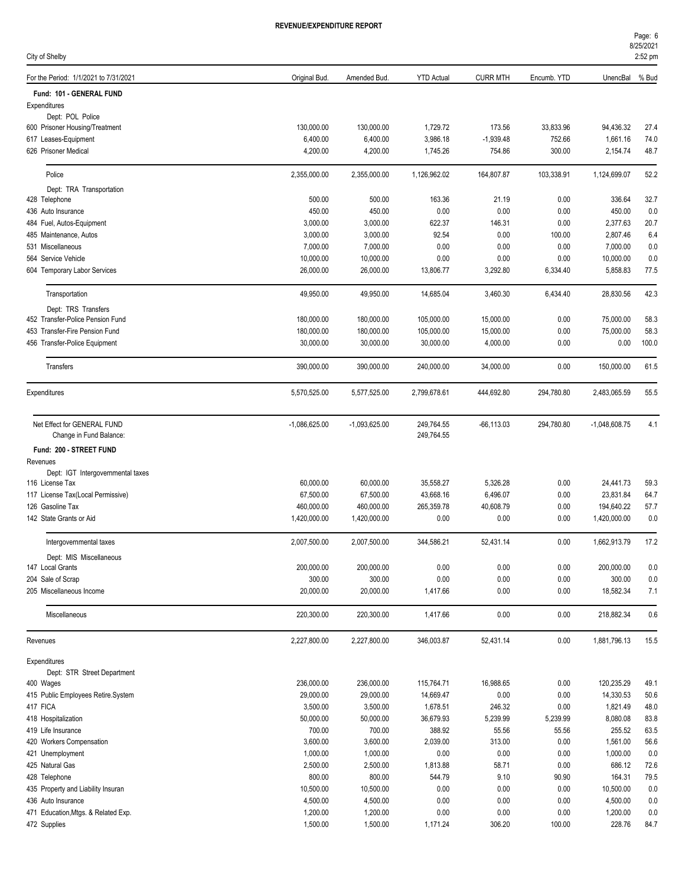| City of Shelby                                         |                       |                       |                          |                 |              |                       | 2:52 pm      |
|--------------------------------------------------------|-----------------------|-----------------------|--------------------------|-----------------|--------------|-----------------------|--------------|
| For the Period: 1/1/2021 to 7/31/2021                  | Original Bud.         | Amended Bud.          | <b>YTD Actual</b>        | <b>CURR MTH</b> | Encumb. YTD  | UnencBal              | % Bud        |
| Fund: 101 - GENERAL FUND                               |                       |                       |                          |                 |              |                       |              |
| Expenditures                                           |                       |                       |                          |                 |              |                       |              |
| Dept: POL Police                                       |                       |                       |                          |                 |              |                       |              |
| 600 Prisoner Housing/Treatment                         | 130,000.00            | 130,000.00            | 1,729.72                 | 173.56          | 33,833.96    | 94,436.32             | 27.4         |
| 617 Leases-Equipment                                   | 6,400.00              | 6,400.00              | 3,986.18                 | $-1,939.48$     | 752.66       | 1,661.16              | 74.0<br>48.7 |
| 626 Prisoner Medical                                   | 4,200.00              | 4,200.00              | 1,745.26                 | 754.86          | 300.00       | 2,154.74              |              |
| Police                                                 | 2,355,000.00          | 2,355,000.00          | 1,126,962.02             | 164,807.87      | 103,338.91   | 1,124,699.07          | 52.2         |
| Dept: TRA Transportation                               |                       |                       |                          |                 |              |                       |              |
| 428 Telephone                                          | 500.00                | 500.00                | 163.36                   | 21.19           | 0.00         | 336.64                | 32.7         |
| 436 Auto Insurance                                     | 450.00                | 450.00                | 0.00                     | 0.00            | 0.00         | 450.00                | 0.0          |
| 484 Fuel, Autos-Equipment                              | 3,000.00              | 3,000.00              | 622.37                   | 146.31          | 0.00         | 2,377.63              | 20.7         |
| 485 Maintenance, Autos                                 | 3,000.00              | 3,000.00              | 92.54                    | 0.00            | 100.00       | 2,807.46              | 6.4          |
| 531 Miscellaneous                                      | 7,000.00              | 7,000.00              | 0.00                     | 0.00            | 0.00         | 7,000.00              | 0.0          |
| 564 Service Vehicle                                    | 10,000.00             | 10,000.00             | 0.00                     | 0.00            | 0.00         | 10,000.00             | 0.0          |
| 604 Temporary Labor Services                           | 26,000.00             | 26,000.00             | 13,806.77                | 3,292.80        | 6,334.40     | 5,858.83              | 77.5         |
| Transportation                                         | 49,950.00             | 49,950.00             | 14,685.04                | 3,460.30        | 6,434.40     | 28,830.56             | 42.3         |
| Dept: TRS Transfers                                    |                       |                       |                          |                 |              |                       |              |
| 452 Transfer-Police Pension Fund                       | 180,000.00            | 180,000.00            | 105,000.00               | 15,000.00       | 0.00         | 75,000.00             | 58.3         |
| 453 Transfer-Fire Pension Fund                         | 180,000.00            | 180,000.00            | 105,000.00               | 15,000.00       | 0.00         | 75,000.00             | 58.3         |
| 456 Transfer-Police Equipment                          | 30,000.00             | 30,000.00             | 30,000.00                | 4,000.00        | 0.00         | 0.00                  | 100.0        |
| Transfers                                              | 390,000.00            | 390,000.00            | 240,000.00               | 34,000.00       | 0.00         | 150,000.00            | 61.5         |
| Expenditures                                           | 5,570,525.00          | 5,577,525.00          | 2,799,678.61             | 444,692.80      | 294,780.80   | 2,483,065.59          | 55.5         |
| Net Effect for GENERAL FUND<br>Change in Fund Balance: | $-1,086,625.00$       | $-1,093,625.00$       | 249,764.55<br>249,764.55 | $-66, 113.03$   | 294,780.80   | $-1,048,608.75$       | 4.1          |
| Fund: 200 - STREET FUND                                |                       |                       |                          |                 |              |                       |              |
| Revenues                                               |                       |                       |                          |                 |              |                       |              |
| Dept: IGT Intergovernmental taxes                      |                       |                       |                          |                 |              |                       |              |
| 116 License Tax                                        | 60,000.00             | 60,000.00             | 35,558.27                | 5,326.28        | 0.00         | 24,441.73             | 59.3         |
| 117 License Tax(Local Permissive)                      | 67,500.00             | 67,500.00             | 43,668.16                | 6,496.07        | 0.00         | 23,831.84             | 64.7         |
| 126 Gasoline Tax                                       | 460,000.00            | 460,000.00            | 265,359.78               | 40,608.79       | 0.00         | 194,640.22            | 57.7         |
| 142 State Grants or Aid                                | 1,420,000.00          | 1,420,000.00          | 0.00                     | 0.00            | 0.00         | 1,420,000.00          | 0.0          |
| Intergovernmental taxes                                | 2,007,500.00          | 2,007,500.00          | 344,586.21               | 52,431.14       | 0.00         | 1,662,913.79          | 17.2         |
| Dept: MIS Miscellaneous                                |                       |                       |                          |                 |              |                       |              |
| 147 Local Grants                                       | 200,000.00            | 200,000.00            | 0.00                     | 0.00            | 0.00         | 200,000.00            | 0.0          |
| 204 Sale of Scrap                                      | 300.00                | 300.00                | 0.00                     | 0.00            | 0.00         | 300.00                | $0.0\,$      |
| 205 Miscellaneous Income                               | 20,000.00             | 20,000.00             | 1,417.66                 | 0.00            | 0.00         | 18,582.34             | 7.1          |
| Miscellaneous                                          | 220,300.00            | 220,300.00            | 1,417.66                 | 0.00            | 0.00         | 218,882.34            | 0.6          |
| Revenues                                               | 2,227,800.00          | 2,227,800.00          | 346,003.87               | 52,431.14       | 0.00         | 1,881,796.13          | 15.5         |
| Expenditures                                           |                       |                       |                          |                 |              |                       |              |
| Dept: STR Street Department                            |                       |                       |                          |                 |              |                       |              |
| 400 Wages                                              | 236,000.00            | 236,000.00            | 115,764.71               | 16,988.65       | 0.00         | 120,235.29            | 49.1         |
| 415 Public Employees Retire.System<br>417 FICA         | 29,000.00<br>3,500.00 | 29,000.00<br>3,500.00 | 14,669.47<br>1,678.51    | 0.00<br>246.32  | 0.00<br>0.00 | 14,330.53<br>1,821.49 | 50.6<br>48.0 |
| 418 Hospitalization                                    | 50,000.00             | 50,000.00             | 36,679.93                | 5,239.99        | 5,239.99     | 8,080.08              | 83.8         |
| 419 Life Insurance                                     | 700.00                | 700.00                | 388.92                   | 55.56           | 55.56        | 255.52                | 63.5         |
| 420 Workers Compensation                               | 3,600.00              | 3,600.00              | 2,039.00                 | 313.00          | 0.00         | 1,561.00              | 56.6         |
| 421 Unemployment                                       | 1,000.00              | 1,000.00              | 0.00                     | 0.00            | 0.00         | 1,000.00              | 0.0          |
| 425 Natural Gas                                        | 2,500.00              | 2,500.00              | 1,813.88                 | 58.71           | 0.00         | 686.12                | 72.6         |
| 428 Telephone                                          | 800.00                | 800.00                | 544.79                   | 9.10            | 90.90        | 164.31                | 79.5         |
| 435 Property and Liability Insuran                     | 10,500.00             | 10,500.00             | 0.00                     | 0.00            | 0.00         | 10,500.00             | 0.0          |
| 436 Auto Insurance                                     | 4,500.00              | 4,500.00              | 0.00                     | 0.00            | 0.00         | 4,500.00              | 0.0          |
| 471 Education, Mtgs. & Related Exp.                    | 1,200.00              | 1,200.00              | 0.00                     | 0.00            | 0.00         | 1,200.00              | 0.0          |
| 472 Supplies                                           | 1,500.00              | 1,500.00              | 1,171.24                 | 306.20          | 100.00       | 228.76                | 84.7         |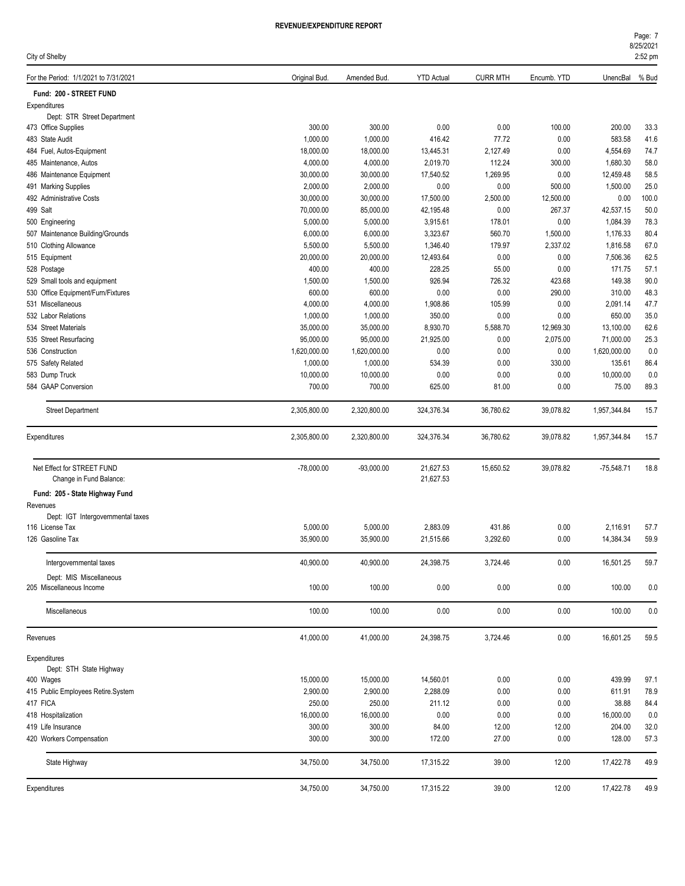| City of Shelby                        |               |              |                   |                 |             |                  | 2:52 pm |
|---------------------------------------|---------------|--------------|-------------------|-----------------|-------------|------------------|---------|
| For the Period: 1/1/2021 to 7/31/2021 | Original Bud. | Amended Bud. | <b>YTD Actual</b> | <b>CURR MTH</b> | Encumb. YTD | UnencBal         | % Bud   |
| Fund: 200 - STREET FUND               |               |              |                   |                 |             |                  |         |
| Expenditures                          |               |              |                   |                 |             |                  |         |
| Dept: STR Street Department           |               |              |                   |                 |             |                  |         |
| 473 Office Supplies                   | 300.00        | 300.00       | 0.00              | 0.00            | 100.00      | 200.00           | 33.3    |
| 483 State Audit                       | 1,000.00      | 1,000.00     | 416.42            | 77.72           | 0.00        | 583.58           | 41.6    |
| 484 Fuel, Autos-Equipment             | 18,000.00     | 18,000.00    | 13,445.31         | 2,127.49        | 0.00        | 4,554.69         | 74.7    |
| 485 Maintenance, Autos                | 4,000.00      | 4,000.00     | 2,019.70          | 112.24          | 300.00      | 1.680.30         | 58.0    |
| 486 Maintenance Equipment             | 30,000.00     | 30,000.00    | 17,540.52         | 1,269.95        | 0.00        | 12,459.48        | 58.5    |
| 491 Marking Supplies                  | 2,000.00      | 2,000.00     | 0.00              | 0.00            | 500.00      | 1,500.00         | 25.0    |
| 492 Administrative Costs              | 30,000.00     | 30,000.00    | 17,500.00         | 2,500.00        | 12,500.00   | 0.00             | 100.0   |
| 499 Salt                              | 70,000.00     | 85,000.00    | 42,195.48         | 0.00            | 267.37      | 42,537.15        | 50.0    |
| 500 Engineering                       | 5,000.00      | 5,000.00     | 3,915.61          | 178.01          | 0.00        | 1,084.39         | 78.3    |
| 507 Maintenance Building/Grounds      | 6,000.00      | 6,000.00     | 3,323.67          | 560.70          | 1,500.00    | 1,176.33         | 80.4    |
| 510 Clothing Allowance                | 5,500.00      | 5,500.00     | 1,346.40          | 179.97          | 2,337.02    | 1,816.58         | 67.0    |
| 515 Equipment                         | 20,000.00     | 20,000.00    | 12,493.64         | 0.00            | 0.00        | 7,506.36         | 62.5    |
| 528 Postage                           | 400.00        | 400.00       | 228.25            | 55.00           | 0.00        | 171.75           | 57.1    |
| 529 Small tools and equipment         | 1,500.00      | 1,500.00     | 926.94            | 726.32          | 423.68      | 149.38           | 90.0    |
| 530 Office Equipment/Furn/Fixtures    | 600.00        | 600.00       | 0.00              | 0.00            | 290.00      | 310.00           | 48.3    |
| 531 Miscellaneous                     | 4,000.00      | 4,000.00     | 1,908.86          | 105.99          | 0.00        | 2,091.14         | 47.7    |
| 532 Labor Relations                   | 1,000.00      | 1,000.00     | 350.00            | 0.00            | 0.00        | 650.00           | 35.0    |
| 534 Street Materials                  | 35,000.00     | 35,000.00    | 8,930.70          | 5,588.70        | 12,969.30   | 13,100.00        | 62.6    |
| 535 Street Resurfacing                | 95,000.00     | 95,000.00    | 21,925.00         | 0.00            | 2,075.00    | 71,000.00        | 25.3    |
| 536 Construction                      | 1,620,000.00  | 1,620,000.00 | 0.00              | 0.00            | 0.00        | 1,620,000.00     | 0.0     |
| 575 Safety Related                    | 1,000.00      | 1,000.00     | 534.39            | 0.00            | 330.00      | 135.61           | 86.4    |
| 583 Dump Truck                        | 10,000.00     | 10,000.00    | 0.00              | 0.00            | 0.00        | 10,000.00        | 0.0     |
| 584 GAAP Conversion                   |               |              |                   |                 |             |                  |         |
|                                       | 700.00        | 700.00       | 625.00            | 81.00           | 0.00        | 75.00            | 89.3    |
| <b>Street Department</b>              | 2,305,800.00  | 2,320,800.00 | 324,376.34        | 36,780.62       | 39,078.82   | 1,957,344.84     | 15.7    |
| Expenditures                          | 2,305,800.00  | 2,320,800.00 | 324,376.34        | 36,780.62       | 39,078.82   | 1,957,344.84     | 15.7    |
| Net Effect for STREET FUND            | $-78,000.00$  | $-93,000.00$ | 21,627.53         | 15,650.52       | 39,078.82   | $-75,548.71$     | 18.8    |
| Change in Fund Balance:               |               |              | 21,627.53         |                 |             |                  |         |
| Fund: 205 - State Highway Fund        |               |              |                   |                 |             |                  |         |
| Revenues                              |               |              |                   |                 |             |                  |         |
| Dept: IGT Intergovernmental taxes     |               |              |                   |                 |             |                  |         |
| 116 License Tax                       | 5,000.00      | 5,000.00     | 2.883.09          | 431.86          | 0.00        | 2,116.91         | 57.7    |
| 126 Gasoline Tax                      | 35,900.00     | 35,900.00    | 21,515.66         | 3,292.60        | 0.00        | 14,384.34        | 59.9    |
| Intergovernmental taxes               | 40,900.00     | 40,900.00    | 24,398.75         | 3,724.46        | 0.00        | 16,501.25        | 59.7    |
| Dept: MIS Miscellaneous               |               |              |                   |                 |             |                  |         |
| 205 Miscellaneous Income              | 100.00        | 100.00       | 0.00              | 0.00            | 0.00        | 100.00           | 0.0     |
| Miscellaneous                         | 100.00        | 100.00       | 0.00              | 0.00            | 0.00        | 100.00           | 0.0     |
| Revenues                              | 41,000.00     | 41,000.00    | 24,398.75         | 3,724.46        | 0.00        | 16,601.25        | 59.5    |
|                                       |               |              |                   |                 |             |                  |         |
| Expenditures                          |               |              |                   |                 |             |                  |         |
| Dept: STH State Highway<br>400 Wages  |               |              |                   | 0.00            |             |                  |         |
|                                       | 15,000.00     | 15,000.00    | 14,560.01         | 0.00            | 0.00        | 439.99<br>611.91 | 97.1    |
| 415 Public Employees Retire.System    | 2,900.00      | 2,900.00     | 2,288.09          |                 | 0.00        |                  | 78.9    |
| 417 FICA                              | 250.00        | 250.00       | 211.12            | 0.00            | 0.00        | 38.88            | 84.4    |
| 418 Hospitalization                   | 16,000.00     | 16,000.00    | 0.00              | 0.00            | 0.00        | 16,000.00        | 0.0     |
| 419 Life Insurance                    | 300.00        | 300.00       | 84.00             | 12.00           | 12.00       | 204.00           | 32.0    |
| 420 Workers Compensation              | 300.00        | 300.00       | 172.00            | 27.00           | 0.00        | 128.00           | 57.3    |
| State Highway                         | 34,750.00     | 34,750.00    | 17,315.22         | 39.00           | 12.00       | 17,422.78        | 49.9    |
| Expenditures                          | 34,750.00     | 34,750.00    | 17,315.22         | 39.00           | 12.00       | 17,422.78        | 49.9    |

8/25/2021 Page: 7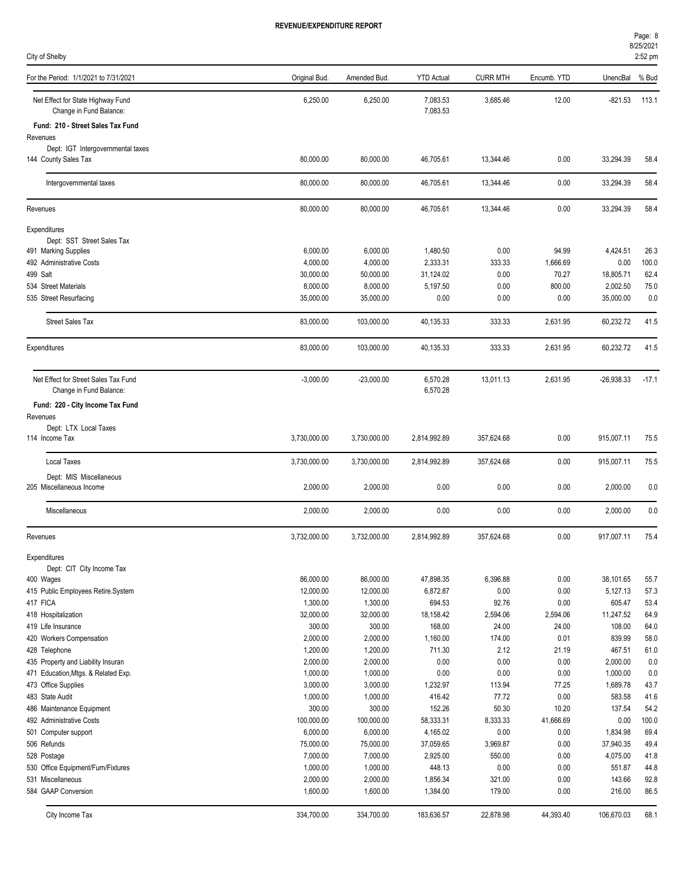| Page: 8           |
|-------------------|
| 8/25/2021         |
| $2:52 \text{ pm}$ |

| City of Shelby                                               |                       |                       |                       |                   |                   |                     | 2:52 pm       |
|--------------------------------------------------------------|-----------------------|-----------------------|-----------------------|-------------------|-------------------|---------------------|---------------|
| For the Period: 1/1/2021 to 7/31/2021                        | Original Bud.         | Amended Bud.          | <b>YTD Actual</b>     | <b>CURR MTH</b>   | Encumb. YTD       | UnencBal            | % Bud         |
| Net Effect for State Highway Fund<br>Change in Fund Balance: | 6,250.00              | 6,250.00              | 7,083.53<br>7,083.53  | 3,685.46          | 12.00             | $-821.53$           | 113.1         |
| Fund: 210 - Street Sales Tax Fund                            |                       |                       |                       |                   |                   |                     |               |
| Revenues                                                     |                       |                       |                       |                   |                   |                     |               |
| Dept: IGT Intergovernmental taxes                            |                       |                       |                       |                   |                   |                     |               |
| 144 County Sales Tax                                         | 80,000.00             | 80,000.00             | 46,705.61             | 13,344.46         | 0.00              | 33,294.39           | 58.4          |
| Intergovernmental taxes                                      | 80,000.00             | 80,000.00             | 46,705.61             | 13,344.46         | 0.00              | 33,294.39           | 58.4          |
| Revenues                                                     | 80,000.00             | 80,000.00             | 46,705.61             | 13,344.46         | 0.00              | 33,294.39           | 58.4          |
| Expenditures                                                 |                       |                       |                       |                   |                   |                     |               |
| Dept: SST Street Sales Tax                                   |                       |                       |                       |                   |                   |                     |               |
| 491 Marking Supplies<br>492 Administrative Costs             | 6,000.00<br>4,000.00  | 6,000.00              | 1,480.50              | 0.00<br>333.33    | 94.99             | 4,424.51<br>0.00    | 26.3          |
| 499 Salt                                                     | 30.000.00             | 4,000.00<br>50,000.00 | 2,333.31<br>31,124.02 | 0.00              | 1,666.69<br>70.27 | 18,805.71           | 100.0<br>62.4 |
| 534 Street Materials                                         | 8,000.00              | 8,000.00              | 5,197.50              | 0.00              | 800.00            | 2,002.50            | 75.0          |
| 535 Street Resurfacing                                       | 35,000.00             | 35,000.00             | 0.00                  | 0.00              | 0.00              | 35,000.00           | 0.0           |
|                                                              |                       |                       |                       |                   |                   |                     |               |
| <b>Street Sales Tax</b>                                      | 83.000.00             | 103,000.00            | 40,135.33             | 333.33            | 2,631.95          | 60,232.72           | 41.5          |
| Expenditures                                                 | 83,000.00             | 103,000.00            | 40,135.33             | 333.33            | 2,631.95          | 60,232.72           | 41.5          |
| Net Effect for Street Sales Tax Fund                         | $-3,000.00$           | $-23,000.00$          | 6,570.28              | 13,011.13         | 2,631.95          | $-26,938.33$        | $-17.1$       |
| Change in Fund Balance:                                      |                       |                       | 6,570.28              |                   |                   |                     |               |
| Fund: 220 - City Income Tax Fund                             |                       |                       |                       |                   |                   |                     |               |
| Revenues<br>Dept: LTX Local Taxes                            |                       |                       |                       |                   |                   |                     |               |
| 114 Income Tax                                               | 3,730,000.00          | 3,730,000.00          | 2,814,992.89          | 357,624.68        | 0.00              | 915,007.11          | 75.5          |
| <b>Local Taxes</b>                                           | 3,730,000.00          | 3,730,000.00          | 2,814,992.89          | 357,624.68        | 0.00              | 915,007.11          | 75.5          |
| Dept: MIS Miscellaneous                                      |                       |                       |                       |                   |                   |                     |               |
| 205 Miscellaneous Income                                     | 2,000.00              | 2,000.00              | 0.00                  | 0.00              | 0.00              | 2,000.00            | 0.0           |
| Miscellaneous                                                | 2,000.00              | 2,000.00              | 0.00                  | 0.00              | 0.00              | 2,000.00            | 0.0           |
| Revenues                                                     | 3,732,000.00          | 3,732,000.00          | 2,814,992.89          | 357.624.68        | 0.00              | 917,007.11          | 75.4          |
| Expenditures                                                 |                       |                       |                       |                   |                   |                     |               |
| Dept: CIT City Income Tax                                    |                       |                       |                       |                   |                   |                     |               |
| 400 Wages                                                    | 86,000.00             | 86,000.00             | 47,898.35             | 6,396.88          | 0.00              | 38,101.65           | 55.7          |
| 415 Public Employees Retire.System                           | 12,000.00             | 12,000.00             | 6,872.87              | 0.00              | 0.00              | 5,127.13            | 57.3          |
| 417 FICA<br>418 Hospitalization                              | 1,300.00<br>32,000.00 | 1,300.00<br>32,000.00 | 694.53<br>18,158.42   | 92.76             | 0.00              | 605.47<br>11,247.52 | 53.4<br>64.9  |
| 419 Life Insurance                                           | 300.00                | 300.00                | 168.00                | 2,594.06<br>24.00 | 2,594.06<br>24.00 | 108.00              | 64.0          |
| 420 Workers Compensation                                     | 2,000.00              | 2,000.00              | 1,160.00              | 174.00            | 0.01              | 839.99              | 58.0          |
| 428 Telephone                                                | 1,200.00              | 1,200.00              | 711.30                | 2.12              | 21.19             | 467.51              | 61.0          |
| 435 Property and Liability Insuran                           | 2,000.00              | 2,000.00              | 0.00                  | 0.00              | 0.00              | 2,000.00            | 0.0           |
| 471 Education, Mtgs. & Related Exp.                          | 1,000.00              | 1,000.00              | 0.00                  | 0.00              | 0.00              | 1,000.00            | 0.0           |
| 473 Office Supplies                                          | 3,000.00              | 3,000.00              | 1,232.97              | 113.94            | 77.25             | 1,689.78            | 43.7          |
| 483 State Audit                                              | 1,000.00              | 1,000.00              | 416.42                | 77.72             | 0.00              | 583.58              | 41.6          |
| 486 Maintenance Equipment                                    | 300.00                | 300.00                | 152.26                | 50.30             | 10.20             | 137.54              | 54.2          |
| 492 Administrative Costs                                     | 100,000.00            | 100,000.00            | 58,333.31             | 8,333.33          | 41,666.69         | 0.00                | 100.0         |
| 501 Computer support                                         | 6,000.00              | 6,000.00              | 4,165.02              | 0.00              | 0.00              | 1,834.98            | 69.4          |
| 506 Refunds                                                  | 75,000.00             | 75,000.00             | 37,059.65             | 3,969.87          | 0.00              | 37,940.35           | 49.4          |
| 528 Postage                                                  | 7,000.00              | 7,000.00              | 2,925.00              | 550.00            | 0.00              | 4,075.00            | 41.8          |
| 530 Office Equipment/Furn/Fixtures                           | 1,000.00              | 1,000.00              | 448.13                | 0.00              | 0.00              | 551.87              | 44.8          |
| 531 Miscellaneous                                            | 2,000.00              | 2,000.00              | 1,856.34              | 321.00            | 0.00              | 143.66              | 92.8          |
| 584 GAAP Conversion                                          | 1,600.00              | 1,600.00              | 1,384.00              | 179.00            | 0.00              | 216.00              | 86.5          |
| City Income Tax                                              | 334,700.00            | 334,700.00            | 183,636.57            | 22,878.98         | 44,393.40         | 106,670.03          | 68.1          |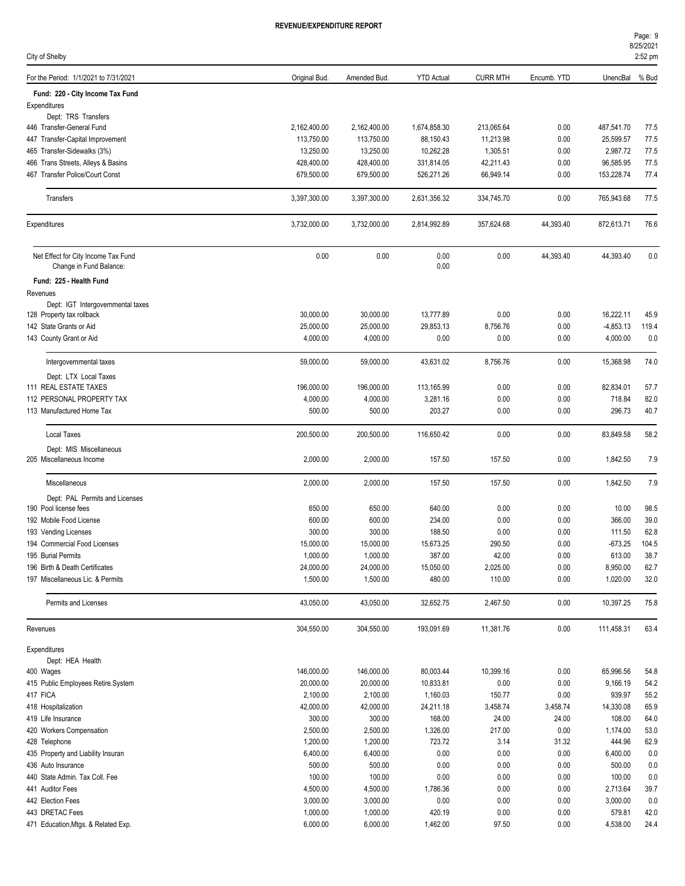| City of Shelby                                                    |                         |                         |                        |                       |              |                         | 2:52 pm       |
|-------------------------------------------------------------------|-------------------------|-------------------------|------------------------|-----------------------|--------------|-------------------------|---------------|
| For the Period: 1/1/2021 to 7/31/2021                             | Original Bud.           | Amended Bud.            | <b>YTD Actual</b>      | <b>CURR MTH</b>       | Encumb. YTD  | UnencBal                | % Bud         |
| Fund: 220 - City Income Tax Fund                                  |                         |                         |                        |                       |              |                         |               |
| Expenditures                                                      |                         |                         |                        |                       |              |                         |               |
| Dept: TRS Transfers                                               |                         |                         |                        |                       |              |                         |               |
| 446 Transfer-General Fund                                         | 2,162,400.00            | 2,162,400.00            | 1,674,858.30           | 213,065.64            | 0.00         | 487,541.70              | 77.5          |
| 447 Transfer-Capital Improvement                                  | 113,750.00<br>13,250.00 | 113,750.00<br>13,250.00 | 88,150.43<br>10,262.28 | 11,213.98<br>1,305.51 | 0.00<br>0.00 | 25,599.57<br>2,987.72   | 77.5<br>77.5  |
| 465 Transfer-Sidewalks (3%)<br>466 Trans Streets, Alleys & Basins | 428,400.00              | 428,400.00              | 331,814.05             | 42,211.43             | 0.00         | 96,585.95               | 77.5          |
| 467 Transfer Police/Court Const                                   | 679,500.00              | 679,500.00              | 526,271.26             | 66,949.14             | 0.00         | 153,228.74              | 77.4          |
|                                                                   |                         |                         |                        |                       |              |                         |               |
| Transfers                                                         | 3,397,300.00            | 3,397,300.00            | 2,631,356.32           | 334,745.70            | 0.00         | 765,943.68              | 77.5          |
| Expenditures                                                      | 3,732,000.00            | 3,732,000.00            | 2,814,992.89           | 357,624.68            | 44,393.40    | 872,613.71              | 76.6          |
| Net Effect for City Income Tax Fund                               | 0.00                    | 0.00                    | 0.00                   | 0.00                  | 44,393.40    | 44,393.40               | 0.0           |
| Change in Fund Balance:                                           |                         |                         | 0.00                   |                       |              |                         |               |
| Fund: 225 - Health Fund                                           |                         |                         |                        |                       |              |                         |               |
| Revenues                                                          |                         |                         |                        |                       |              |                         |               |
| Dept: IGT Intergovernmental taxes                                 |                         |                         |                        |                       |              |                         |               |
| 128 Property tax rollback<br>142 State Grants or Aid              | 30,000.00               | 30,000.00               | 13,777.89              | 0.00                  | 0.00         | 16,222.11               | 45.9          |
|                                                                   | 25,000.00<br>4,000.00   | 25,000.00<br>4,000.00   | 29,853.13<br>0.00      | 8,756.76<br>0.00      | 0.00<br>0.00 | $-4,853.13$<br>4,000.00 | 119.4<br>0.0  |
| 143 County Grant or Aid                                           |                         |                         |                        |                       |              |                         |               |
| Intergovernmental taxes                                           | 59,000.00               | 59,000.00               | 43,631.02              | 8,756.76              | 0.00         | 15,368.98               | 74.0          |
| Dept: LTX Local Taxes                                             |                         |                         |                        |                       |              |                         |               |
| 111 REAL ESTATE TAXES                                             | 196,000.00              | 196,000.00              | 113,165.99             | 0.00                  | 0.00         | 82,834.01               | 57.7          |
| 112 PERSONAL PROPERTY TAX<br>113 Manufactured Home Tax            | 4,000.00<br>500.00      | 4,000.00<br>500.00      | 3,281.16<br>203.27     | 0.00<br>0.00          | 0.00<br>0.00 | 718.84<br>296.73        | 82.0<br>40.7  |
|                                                                   |                         |                         |                        |                       |              |                         |               |
| <b>Local Taxes</b>                                                | 200,500.00              | 200,500.00              | 116,650.42             | 0.00                  | 0.00         | 83,849.58               | 58.2          |
| Dept: MIS Miscellaneous<br>205 Miscellaneous Income               | 2,000.00                | 2,000.00                | 157.50                 | 157.50                | 0.00         | 1,842.50                | 7.9           |
| Miscellaneous                                                     | 2,000.00                | 2,000.00                | 157.50                 | 157.50                | 0.00         | 1,842.50                | 7.9           |
| Dept: PAL Permits and Licenses                                    |                         |                         |                        |                       |              |                         |               |
| 190 Pool license fees                                             | 650.00                  | 650.00                  | 640.00                 | 0.00                  | 0.00         | 10.00                   | 98.5          |
| 192 Mobile Food License                                           | 600.00                  | 600.00                  | 234.00                 | 0.00                  | 0.00         | 366.00                  | 39.0          |
| 193 Vending Licenses                                              | 300.00                  | 300.00                  | 188.50<br>15.673.25    | 0.00                  | 0.00         | 111.50                  | 62.8          |
| 194 Commercial Food Licenses<br>195 Burial Permits                | 15.000.00<br>1,000.00   | 15,000.00<br>1,000.00   |                        | 290.50<br>42.00       | 0.00<br>0.00 | $-673.25$<br>613.00     | 104.5<br>38.7 |
| 196 Birth & Death Certificates                                    | 24,000.00               | 24,000.00               | 387.00<br>15,050.00    | 2,025.00              | 0.00         | 8,950.00                | 62.7          |
| 197 Miscellaneous Lic. & Permits                                  | 1,500.00                | 1,500.00                | 480.00                 | 110.00                | 0.00         | 1,020.00                | 32.0          |
| Permits and Licenses                                              | 43,050.00               | 43,050.00               | 32,652.75              | 2,467.50              | 0.00         | 10,397.25               | 75.8          |
| Revenues                                                          | 304,550.00              | 304,550.00              | 193,091.69             | 11,381.76             | 0.00         | 111,458.31              | 63.4          |
|                                                                   |                         |                         |                        |                       |              |                         |               |
| Expenditures<br>Dept: HEA Health                                  |                         |                         |                        |                       |              |                         |               |
| 400 Wages                                                         | 146,000.00              | 146,000.00              | 80,003.44              | 10,399.16             | 0.00         | 65,996.56               | 54.8          |
| 415 Public Employees Retire.System                                | 20,000.00               | 20,000.00               | 10,833.81              | 0.00                  | 0.00         | 9,166.19                | 54.2          |
| 417 FICA                                                          | 2,100.00                | 2,100.00                | 1,160.03               | 150.77                | 0.00         | 939.97                  | 55.2          |
| 418 Hospitalization                                               | 42,000.00               | 42,000.00               | 24,211.18              | 3,458.74              | 3,458.74     | 14,330.08               | 65.9          |
| 419 Life Insurance                                                | 300.00                  | 300.00                  | 168.00                 | 24.00                 | 24.00        | 108.00                  | 64.0          |
| 420 Workers Compensation                                          | 2,500.00                | 2,500.00                | 1,326.00               | 217.00                | 0.00         | 1,174.00                | 53.0          |
| 428 Telephone                                                     | 1,200.00                | 1,200.00                | 723.72                 | 3.14                  | 31.32        | 444.96                  | 62.9          |
| 435 Property and Liability Insuran                                | 6,400.00                | 6,400.00                | 0.00                   | 0.00                  | 0.00         | 6,400.00                | 0.0           |
| 436 Auto Insurance                                                | 500.00                  | 500.00                  | 0.00                   | 0.00                  | 0.00         | 500.00                  | 0.0           |
| 440 State Admin. Tax Coll. Fee                                    | 100.00                  | 100.00                  | 0.00                   | 0.00                  | 0.00         | 100.00                  | 0.0           |
| 441 Auditor Fees                                                  | 4,500.00                | 4,500.00                | 1,786.36               | 0.00                  | 0.00         | 2,713.64                | 39.7          |
| 442 Election Fees                                                 | 3,000.00                | 3,000.00                | 0.00                   | 0.00                  | 0.00         | 3,000.00                | 0.0           |
| 443 DRETAC Fees                                                   | 1,000.00                | 1,000.00                | 420.19                 | 0.00                  | 0.00         | 579.81                  | 42.0          |
| 471 Education, Mtgs. & Related Exp.                               | 6,000.00                | 6,000.00                | 1,462.00               | 97.50                 | 0.00         | 4,538.00                | 24.4          |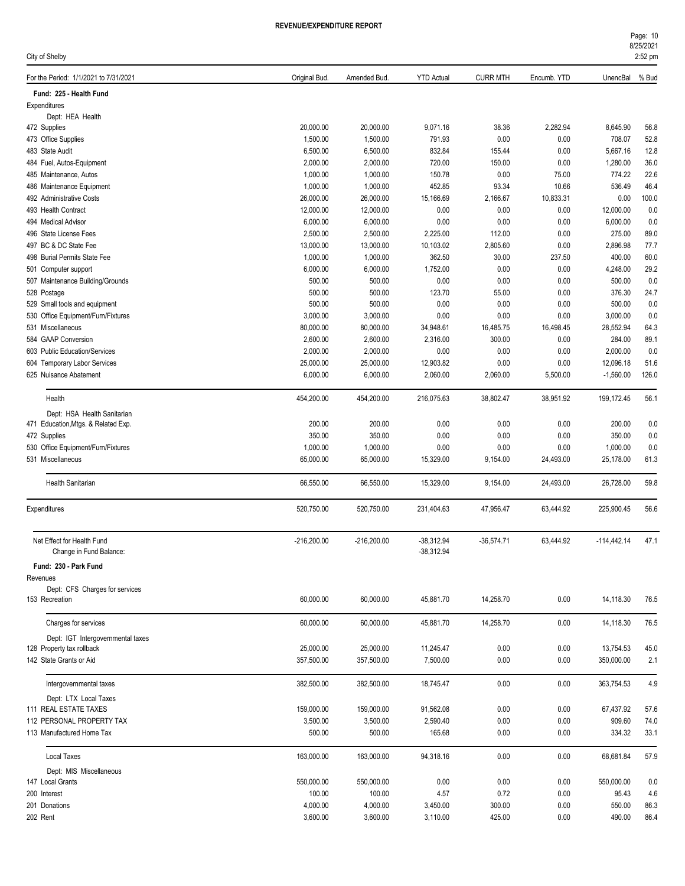| Page: 10          |  |
|-------------------|--|
| 8/25/2021         |  |
| $2:52 \text{ pm}$ |  |

| ). YTD | UnencBal % Bu |  |
|--------|---------------|--|
|        |               |  |
|        |               |  |
|        |               |  |

| City of Shelby                                                 |               |               |                   |                 |              |               | 2:52 pm |
|----------------------------------------------------------------|---------------|---------------|-------------------|-----------------|--------------|---------------|---------|
| For the Period: 1/1/2021 to 7/31/2021                          | Original Bud. | Amended Bud.  | <b>YTD Actual</b> | <b>CURR MTH</b> | Encumb. YTD  | UnencBal      | % Bud   |
| Fund: 225 - Health Fund                                        |               |               |                   |                 |              |               |         |
| Expenditures                                                   |               |               |                   |                 |              |               |         |
| Dept: HEA Health                                               |               |               |                   |                 |              |               |         |
| 472 Supplies                                                   | 20,000.00     | 20,000.00     | 9,071.16          | 38.36           | 2,282.94     | 8,645.90      | 56.8    |
| 473 Office Supplies                                            | 1,500.00      | 1,500.00      | 791.93            | 0.00            | 0.00         | 708.07        | 52.8    |
| 483 State Audit                                                | 6,500.00      | 6,500.00      | 832.84            | 155.44          | 0.00         | 5,667.16      | 12.8    |
| 484 Fuel, Autos-Equipment                                      | 2,000.00      | 2,000.00      | 720.00            | 150.00          | 0.00         | 1,280.00      | 36.0    |
| 485 Maintenance, Autos                                         | 1,000.00      | 1,000.00      | 150.78            | 0.00            | 75.00        | 774.22        | 22.6    |
| 486 Maintenance Equipment                                      | 1,000.00      | 1,000.00      | 452.85            | 93.34           | 10.66        | 536.49        | 46.4    |
| 492 Administrative Costs                                       | 26,000.00     | 26,000.00     | 15,166.69         | 2,166.67        | 10,833.31    | 0.00          | 100.0   |
| 493 Health Contract                                            | 12,000.00     | 12,000.00     | 0.00              | 0.00            | 0.00         | 12,000.00     | 0.0     |
| 494 Medical Advisor                                            | 6,000.00      | 6,000.00      | 0.00              | 0.00            | 0.00         | 6,000.00      | 0.0     |
| 496 State License Fees                                         | 2,500.00      | 2,500.00      | 2,225.00          | 112.00          | 0.00         | 275.00        | 89.0    |
| 497 BC & DC State Fee                                          | 13,000.00     | 13,000.00     | 10,103.02         | 2,805.60        | 0.00         | 2,896.98      | 77.7    |
| 498 Burial Permits State Fee                                   | 1,000.00      | 1,000.00      | 362.50            | 30.00           | 237.50       | 400.00        | 60.0    |
| 501 Computer support                                           | 6,000.00      | 6,000.00      | 1,752.00          | 0.00            | 0.00         | 4,248.00      | 29.2    |
| 507 Maintenance Building/Grounds                               | 500.00        | 500.00        | 0.00              | 0.00            | 0.00         | 500.00        | 0.0     |
| 528 Postage                                                    | 500.00        | 500.00        | 123.70            | 55.00           | 0.00         | 376.30        | 24.7    |
| 529 Small tools and equipment                                  | 500.00        | 500.00        | 0.00              | 0.00            | 0.00         | 500.00        | 0.0     |
| 530 Office Equipment/Furn/Fixtures                             | 3,000.00      | 3,000.00      | 0.00              | 0.00            | 0.00         | 3,000.00      | 0.0     |
| 531 Miscellaneous                                              | 80,000.00     | 80,000.00     | 34,948.61         | 16,485.75       | 16,498.45    | 28,552.94     | 64.3    |
| 584 GAAP Conversion                                            | 2,600.00      | 2,600.00      | 2,316.00          | 300.00          | 0.00         | 284.00        | 89.1    |
| 603 Public Education/Services                                  | 2,000.00      | 2,000.00      | 0.00              | 0.00            | 0.00         | 2,000.00      | 0.0     |
| 604 Temporary Labor Services                                   | 25,000.00     | 25,000.00     | 12,903.82         | 0.00            | 0.00         | 12,096.18     | 51.6    |
| 625 Nuisance Abatement                                         | 6,000.00      | 6,000.00      | 2,060.00          | 2,060.00        | 5,500.00     | $-1,560.00$   | 126.0   |
| Health                                                         | 454,200.00    | 454,200.00    | 216,075.63        | 38,802.47       | 38,951.92    | 199,172.45    | 56.1    |
| Dept: HSA Health Sanitarian                                    |               |               |                   |                 |              |               |         |
| 471 Education, Mtgs. & Related Exp.                            | 200.00        | 200.00        | 0.00              | 0.00            | 0.00         | 200.00        | 0.0     |
| 472 Supplies                                                   | 350.00        | 350.00        | 0.00              | 0.00            | 0.00         | 350.00        | 0.0     |
| 530 Office Equipment/Furn/Fixtures                             | 1,000.00      | 1,000.00      | 0.00              | 0.00            | 0.00         | 1,000.00      | 0.0     |
| 531 Miscellaneous                                              | 65,000.00     | 65,000.00     | 15,329.00         | 9,154.00        | 24,493.00    | 25,178.00     | 61.3    |
| Health Sanitarian                                              | 66,550.00     | 66,550.00     | 15,329.00         | 9,154.00        | 24,493.00    | 26,728.00     | 59.8    |
| Expenditures                                                   | 520,750.00    | 520,750.00    | 231,404.63        | 47,956.47       | 63,444.92    | 225,900.45    | 56.6    |
| Net Effect for Health Fund                                     | $-216,200.00$ | $-216,200.00$ | $-38,312.94$      | $-36,574.71$    | 63,444.92    | $-114,442.14$ | 47.1    |
| Change in Fund Balance:<br>Fund: 230 - Park Fund               |               |               | $-38,312.94$      |                 |              |               |         |
| Revenues                                                       |               |               |                   |                 |              |               |         |
| Dept: CFS Charges for services<br>153 Recreation               | 60,000.00     | 60,000.00     | 45,881.70         | 14,258.70       | 0.00         | 14,118.30     | 76.5    |
|                                                                |               |               |                   |                 |              |               |         |
| Charges for services                                           | 60,000.00     | 60,000.00     | 45,881.70         | 14,258.70       | 0.00         | 14,118.30     | 76.5    |
| Dept: IGT Intergovernmental taxes<br>128 Property tax rollback | 25,000.00     | 25,000.00     | 11,245.47         | 0.00            |              | 13,754.53     |         |
| 142 State Grants or Aid                                        | 357,500.00    | 357,500.00    | 7,500.00          | 0.00            | 0.00<br>0.00 | 350,000.00    | 45.0    |
|                                                                |               |               |                   |                 |              |               | 2.1     |
| Intergovernmental taxes                                        | 382,500.00    | 382,500.00    | 18,745.47         | 0.00            | 0.00         | 363,754.53    | 4.9     |
| Dept: LTX Local Taxes                                          |               |               |                   |                 |              |               |         |
| 111 REAL ESTATE TAXES                                          | 159,000.00    | 159,000.00    | 91,562.08         | 0.00            | 0.00         | 67,437.92     | 57.6    |
| 112 PERSONAL PROPERTY TAX                                      | 3,500.00      | 3,500.00      | 2,590.40          | 0.00            | 0.00         | 909.60        | 74.0    |
| 113 Manufactured Home Tax                                      | 500.00        | 500.00        | 165.68            | 0.00            | 0.00         | 334.32        | 33.1    |
| <b>Local Taxes</b>                                             | 163,000.00    | 163,000.00    | 94,318.16         | 0.00            | 0.00         | 68,681.84     | 57.9    |
| Dept: MIS Miscellaneous                                        |               |               |                   |                 |              |               |         |
| 147 Local Grants                                               | 550,000.00    | 550,000.00    | 0.00              | 0.00            | 0.00         | 550,000.00    | 0.0     |
| 200 Interest                                                   | 100.00        | 100.00        | 4.57              | 0.72            | 0.00         | 95.43         | 4.6     |

201 Donations 4,000.00 4,000.00 3,450.00 300.00 0.00 550.00 86.3 202 Rent 3,600.00 3,600.00 3,110.00 425.00 0.00 490.00 86.4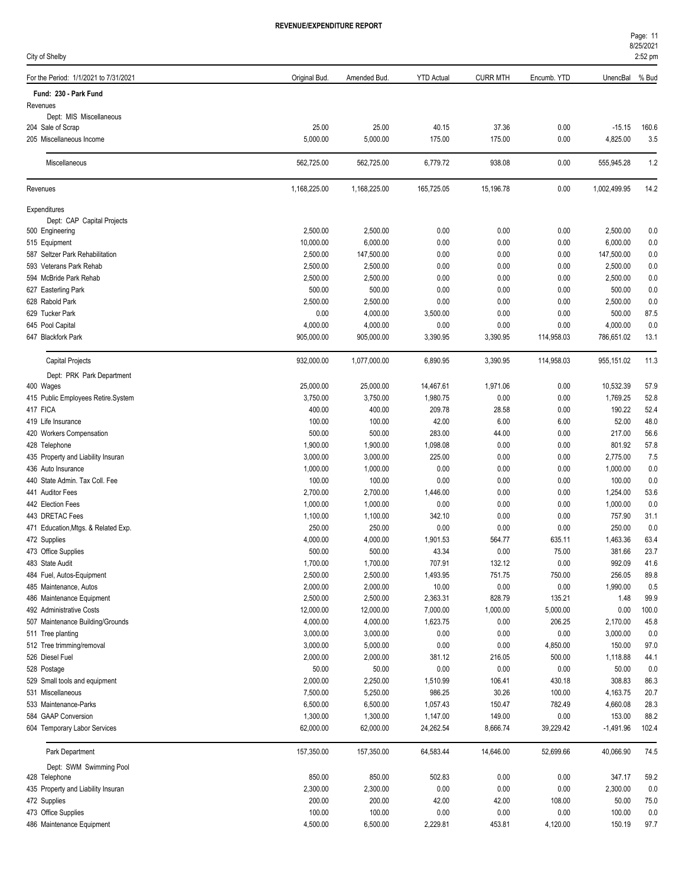City of Shelby

| наае: т   |  |
|-----------|--|
| 8/25/2021 |  |

| For the Period: 1/1/2021 to 7/31/2021            | Original Bud.         | Amended Bud.           | <b>YTD Actual</b> | <b>CURR MTH</b> | Encumb. YTD  | UnencBal               | % Bud      |
|--------------------------------------------------|-----------------------|------------------------|-------------------|-----------------|--------------|------------------------|------------|
| Fund: 230 - Park Fund                            |                       |                        |                   |                 |              |                        |            |
| Revenues                                         |                       |                        |                   |                 |              |                        |            |
| Dept: MIS Miscellaneous                          |                       |                        |                   |                 |              |                        |            |
| 204 Sale of Scrap                                | 25.00                 | 25.00                  | 40.15             | 37.36           | 0.00         | $-15.15$               | 160.6      |
| 205 Miscellaneous Income                         | 5,000.00              | 5,000.00               | 175.00            | 175.00          | 0.00         | 4,825.00               | 3.5        |
| Miscellaneous                                    | 562,725.00            | 562,725.00             | 6,779.72          | 938.08          | 0.00         | 555,945.28             | 1.2        |
| Revenues                                         | 1,168,225.00          | 1,168,225.00           | 165,725.05        | 15,196.78       | 0.00         | 1,002,499.95           | 14.2       |
| Expenditures                                     |                       |                        |                   |                 |              |                        |            |
| Dept: CAP Capital Projects                       |                       |                        |                   |                 |              |                        |            |
| 500 Engineering                                  | 2,500.00              | 2,500.00               | 0.00              | 0.00            | 0.00         | 2,500.00               | 0.0        |
| 515 Equipment<br>587 Seltzer Park Rehabilitation | 10,000.00<br>2,500.00 | 6,000.00<br>147,500.00 | 0.00<br>0.00      | 0.00<br>0.00    | 0.00<br>0.00 | 6,000.00<br>147,500.00 | 0.0        |
| 593 Veterans Park Rehab                          | 2,500.00              | 2,500.00               | 0.00              | 0.00            | 0.00         | 2,500.00               | 0.0<br>0.0 |
| 594 McBride Park Rehab                           | 2,500.00              | 2,500.00               | 0.00              | 0.00            | 0.00         | 2,500.00               | 0.0        |
| 627 Easterling Park                              | 500.00                | 500.00                 | 0.00              | 0.00            | 0.00         | 500.00                 | 0.0        |
| 628 Rabold Park                                  | 2,500.00              | 2,500.00               | 0.00              | 0.00            | 0.00         | 2,500.00               | 0.0        |
| 629 Tucker Park                                  | 0.00                  | 4,000.00               | 3,500.00          | 0.00            | 0.00         | 500.00                 | 87.5       |
| 645 Pool Capital                                 | 4,000.00              | 4,000.00               | 0.00              | 0.00            | 0.00         | 4,000.00               | 0.0        |
| 647 Blackfork Park                               | 905,000.00            | 905,000.00             | 3,390.95          | 3,390.95        | 114,958.03   | 786,651.02             | 13.1       |
| Capital Projects                                 | 932,000.00            | 1,077,000.00           | 6,890.95          | 3,390.95        | 114,958.03   | 955,151.02             | 11.3       |
| Dept: PRK Park Department                        |                       |                        |                   |                 |              |                        |            |
| 400 Wages                                        | 25,000.00             | 25,000.00              | 14,467.61         | 1,971.06        | 0.00         | 10,532.39              | 57.9       |
| 415 Public Employees Retire.System               | 3,750.00              | 3,750.00               | 1,980.75          | 0.00            | 0.00         | 1,769.25               | 52.8       |
| 417 FICA                                         | 400.00                | 400.00                 | 209.78            | 28.58           | 0.00         | 190.22                 | 52.4       |
| 419 Life Insurance                               | 100.00                | 100.00                 | 42.00             | 6.00            | 6.00         | 52.00                  | 48.0       |
| 420 Workers Compensation                         | 500.00                | 500.00                 | 283.00            | 44.00           | 0.00         | 217.00                 | 56.6       |
| 428 Telephone                                    | 1,900.00              | 1,900.00               | 1,098.08          | 0.00            | 0.00         | 801.92                 | 57.8       |
| 435 Property and Liability Insuran               | 3,000.00              | 3,000.00               | 225.00            | 0.00            | 0.00         | 2,775.00               | 7.5        |
| 436 Auto Insurance                               | 1,000.00              | 1,000.00               | 0.00              | 0.00            | 0.00         | 1,000.00               | 0.0        |
| 440 State Admin. Tax Coll. Fee                   | 100.00                | 100.00                 | 0.00              | 0.00            | 0.00         | 100.00                 | 0.0        |
| 441 Auditor Fees                                 | 2,700.00              | 2,700.00               | 1,446.00          | 0.00            | 0.00         | 1,254.00               | 53.6       |
| 442 Election Fees                                | 1,000.00              | 1,000.00               | 0.00              | 0.00            | 0.00         | 1,000.00               | 0.0        |
| 443 DRETAC Fees                                  | 1,100.00              | 1,100.00               | 342.10            | 0.00            | 0.00         | 757.90                 | 31.1       |
| 471 Education, Mtgs. & Related Exp.              | 250.00                | 250.00                 | 0.00              | 0.00            | 0.00         | 250.00                 | 0.0        |
| 472 Supplies                                     | 4,000.00              | 4,000.00               | 1,901.53          | 564.77          | 635.11       | 1,463.36               | 63.4       |
| 473 Office Supplies                              | 500.00                | 500.00                 | 43.34             | 0.00            | 75.00        | 381.66                 | 23.7       |
| 483 State Audit                                  | 1,700.00              | 1,700.00               | 707.91            | 132.12          | 0.00         | 992.09                 | 41.6       |
| 484 Fuel, Autos-Equipment                        | 2,500.00              | 2,500.00               | 1,493.95          | 751.75          | 750.00       | 256.05                 | 89.8       |
| 485 Maintenance, Autos                           | 2,000.00              | 2,000.00               | 10.00             | 0.00            | 0.00         | 1,990.00               | 0.5        |
| 486 Maintenance Equipment                        | 2,500.00              | 2,500.00               | 2,363.31          | 828.79          | 135.21       | 1.48                   | 99.9       |
| 492 Administrative Costs                         | 12,000.00             | 12,000.00              | 7,000.00          | 1,000.00        | 5,000.00     | 0.00                   | 100.0      |
| 507 Maintenance Building/Grounds                 | 4,000.00              | 4,000.00               | 1,623.75          | 0.00            | 206.25       | 2,170.00               | 45.8       |
| 511 Tree planting                                | 3,000.00              | 3,000.00               | 0.00              | 0.00            | 0.00         | 3,000.00               | 0.0        |
| 512 Tree trimming/removal                        | 3,000.00              | 5,000.00               | 0.00              | 0.00            | 4,850.00     | 150.00                 | 97.0       |
| 526 Diesel Fuel                                  | 2,000.00              | 2,000.00               | 381.12            | 216.05          | 500.00       | 1,118.88               | 44.1       |
| 528 Postage                                      | 50.00                 | 50.00                  | 0.00              | 0.00            | 0.00         | 50.00                  | 0.0        |
| 529 Small tools and equipment                    | 2,000.00              | 2,250.00               | 1,510.99          | 106.41          | 430.18       | 308.83                 | 86.3       |
| 531 Miscellaneous                                | 7,500.00              | 5,250.00               | 986.25            | 30.26           | 100.00       | 4,163.75               | 20.7       |
| 533 Maintenance-Parks                            | 6,500.00              | 6,500.00               | 1,057.43          | 150.47          | 782.49       | 4,660.08               | 28.3       |
| 584 GAAP Conversion                              | 1,300.00              | 1,300.00               | 1,147.00          | 149.00          | 0.00         | 153.00                 | 88.2       |
| 604 Temporary Labor Services                     | 62,000.00             | 62,000.00              | 24,262.54         | 8,666.74        | 39,229.42    | $-1,491.96$            | 102.4      |
| Park Department                                  | 157,350.00            | 157,350.00             | 64,583.44         | 14,646.00       | 52,699.66    | 40,066.90              | 74.5       |
| Dept: SWM Swimming Pool                          |                       |                        |                   |                 |              |                        |            |
| 428 Telephone                                    | 850.00                | 850.00                 | 502.83            | 0.00            | 0.00         | 347.17                 | 59.2       |
| 435 Property and Liability Insuran               | 2,300.00              | 2,300.00               | 0.00              | 0.00            | 0.00         | 2,300.00               | 0.0        |
| 472 Supplies                                     | 200.00                | 200.00                 | 42.00             | 42.00           | 108.00       | 50.00                  | 75.0       |
| 473 Office Supplies                              | 100.00                | 100.00                 | 0.00              | 0.00            | 0.00         | 100.00                 | 0.0        |
| 486 Maintenance Equipment                        | 4,500.00              | 6,500.00               | 2,229.81          | 453.81          | 4,120.00     | 150.19                 | 97.7       |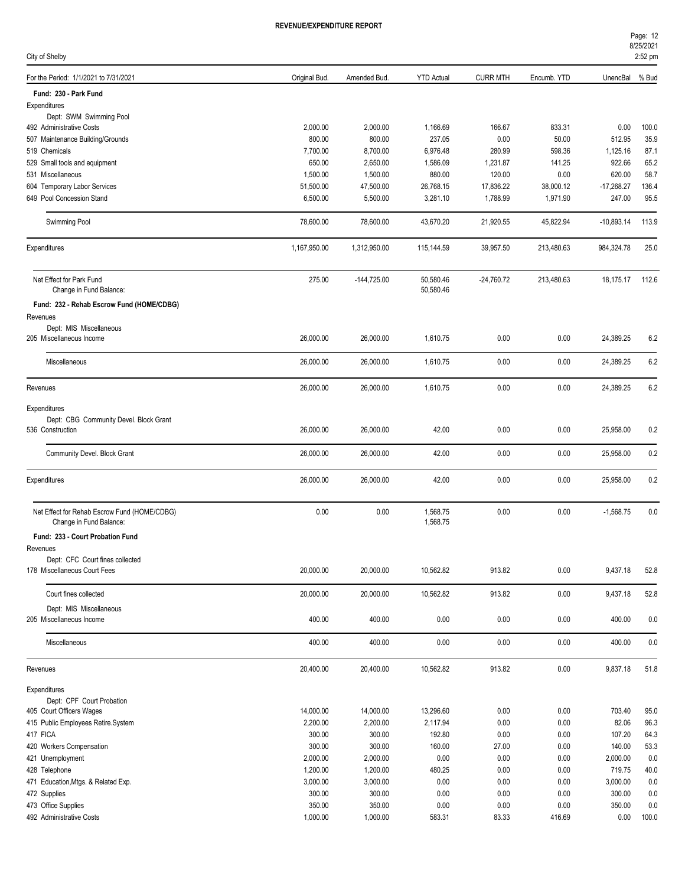| ורוס ושוב ומוסדושום |  |  |
|---------------------|--|--|
|                     |  |  |
|                     |  |  |

| City of Shelby                                                          |                  |                  |                        |                 |              |                  | 2:52 pm    |
|-------------------------------------------------------------------------|------------------|------------------|------------------------|-----------------|--------------|------------------|------------|
| For the Period: 1/1/2021 to 7/31/2021                                   | Original Bud.    | Amended Bud.     | <b>YTD Actual</b>      | <b>CURR MTH</b> | Encumb. YTD  | UnencBal         | % Bud      |
| Fund: 230 - Park Fund                                                   |                  |                  |                        |                 |              |                  |            |
| Expenditures                                                            |                  |                  |                        |                 |              |                  |            |
| Dept: SWM Swimming Pool                                                 |                  |                  |                        |                 |              |                  |            |
| 492 Administrative Costs                                                | 2,000.00         | 2,000.00         | 1,166.69               | 166.67          | 833.31       | 0.00             | 100.0      |
| 507 Maintenance Building/Grounds                                        | 800.00           | 800.00           | 237.05                 | 0.00            | 50.00        | 512.95           | 35.9       |
| 519 Chemicals                                                           | 7,700.00         | 8,700.00         | 6,976.48               | 280.99          | 598.36       | 1,125.16         | 87.1       |
| 529 Small tools and equipment                                           | 650.00           | 2,650.00         | 1,586.09               | 1,231.87        | 141.25       | 922.66           | 65.2       |
| 531 Miscellaneous                                                       | 1,500.00         | 1,500.00         | 880.00                 | 120.00          | 0.00         | 620.00           | 58.7       |
| 604 Temporary Labor Services                                            | 51,500.00        | 47,500.00        | 26,768.15              | 17,836.22       | 38,000.12    | $-17,268.27$     | 136.4      |
| 649 Pool Concession Stand                                               | 6,500.00         | 5,500.00         | 3,281.10               | 1,788.99        | 1,971.90     | 247.00           | 95.5       |
| Swimming Pool                                                           | 78,600.00        | 78,600.00        | 43,670.20              | 21,920.55       | 45,822.94    | $-10,893.14$     | 113.9      |
| Expenditures                                                            | 1,167,950.00     | 1,312,950.00     | 115,144.59             | 39,957.50       | 213,480.63   | 984,324.78       | 25.0       |
| Net Effect for Park Fund<br>Change in Fund Balance:                     | 275.00           | $-144,725.00$    | 50,580.46<br>50,580.46 | $-24,760.72$    | 213,480.63   | 18,175.17        | 112.6      |
| Fund: 232 - Rehab Escrow Fund (HOME/CDBG)                               |                  |                  |                        |                 |              |                  |            |
| Revenues                                                                |                  |                  |                        |                 |              |                  |            |
| Dept: MIS Miscellaneous                                                 |                  |                  |                        |                 |              |                  |            |
| 205 Miscellaneous Income                                                | 26,000.00        | 26,000.00        | 1,610.75               | 0.00            | 0.00         | 24,389.25        | 6.2        |
| Miscellaneous                                                           | 26,000.00        | 26,000.00        | 1,610.75               | 0.00            | 0.00         | 24,389.25        | 6.2        |
| Revenues                                                                | 26,000.00        | 26,000.00        | 1,610.75               | 0.00            | 0.00         | 24,389.25        | 6.2        |
| Expenditures                                                            |                  |                  |                        |                 |              |                  |            |
| Dept: CBG Community Devel. Block Grant                                  |                  |                  |                        |                 |              |                  |            |
| 536 Construction                                                        | 26,000.00        | 26,000.00        | 42.00                  | 0.00            | 0.00         | 25,958.00        | 0.2        |
| Community Devel. Block Grant                                            | 26,000.00        | 26,000.00        | 42.00                  | 0.00            | 0.00         | 25,958.00        | 0.2        |
| Expenditures                                                            | 26,000.00        | 26,000.00        | 42.00                  | 0.00            | 0.00         | 25,958.00        | 0.2        |
| Net Effect for Rehab Escrow Fund (HOME/CDBG)<br>Change in Fund Balance: | 0.00             | 0.00             | 1,568.75<br>1,568.75   | 0.00            | 0.00         | $-1,568.75$      | 0.0        |
| Fund: 233 - Court Probation Fund                                        |                  |                  |                        |                 |              |                  |            |
| Revenues                                                                |                  |                  |                        |                 |              |                  |            |
| Dept: CFC Court fines collected                                         |                  |                  |                        |                 |              |                  |            |
| 178 Miscellaneous Court Fees                                            | 20,000.00        | 20,000.00        | 10,562.82              | 913.82          | 0.00         | 9,437.18         | 52.8       |
| Court fines collected                                                   | 20,000.00        | 20,000.00        | 10,562.82              | 913.82          | 0.00         | 9,437.18         | 52.8       |
| Dept: MIS Miscellaneous                                                 |                  |                  |                        |                 |              |                  |            |
| 205 Miscellaneous Income                                                | 400.00           | 400.00           | 0.00                   | 0.00            | 0.00         | 400.00           | 0.0        |
| Miscellaneous                                                           | 400.00           | 400.00           | 0.00                   | 0.00            | 0.00         | 400.00           | 0.0        |
| Revenues                                                                | 20,400.00        | 20,400.00        | 10,562.82              | 913.82          | 0.00         | 9,837.18         | 51.8       |
| Expenditures                                                            |                  |                  |                        |                 |              |                  |            |
| Dept: CPF Court Probation                                               |                  |                  |                        |                 |              |                  |            |
| 405 Court Officers Wages                                                | 14,000.00        | 14,000.00        | 13,296.60              | 0.00            | 0.00         | 703.40           | 95.0       |
| 415 Public Employees Retire.System                                      | 2,200.00         | 2,200.00         | 2,117.94               | 0.00            | 0.00         | 82.06            | 96.3       |
| 417 FICA                                                                | 300.00           | 300.00           | 192.80                 | 0.00            | 0.00         | 107.20           | 64.3       |
| 420 Workers Compensation                                                | 300.00           | 300.00           | 160.00                 | 27.00           | 0.00         | 140.00           | 53.3       |
| 421 Unemployment                                                        | 2,000.00         | 2,000.00         | 0.00                   | 0.00            | 0.00         | 2,000.00         | 0.0        |
| 428 Telephone                                                           | 1,200.00         | 1,200.00         | 480.25                 | 0.00            | 0.00         | 719.75           | 40.0       |
| 471 Education, Mtgs. & Related Exp.                                     | 3,000.00         | 3,000.00         | 0.00                   | 0.00            | 0.00         | 3,000.00         | 0.0        |
| 472 Supplies<br>473 Office Supplies                                     | 300.00<br>350.00 | 300.00<br>350.00 | 0.00<br>0.00           | 0.00<br>0.00    | 0.00<br>0.00 | 300.00<br>350.00 | 0.0<br>0.0 |
| 492 Administrative Costs                                                | 1,000.00         | 1,000.00         | 583.31                 | 83.33           | 416.69       | 0.00             | 100.0      |
|                                                                         |                  |                  |                        |                 |              |                  |            |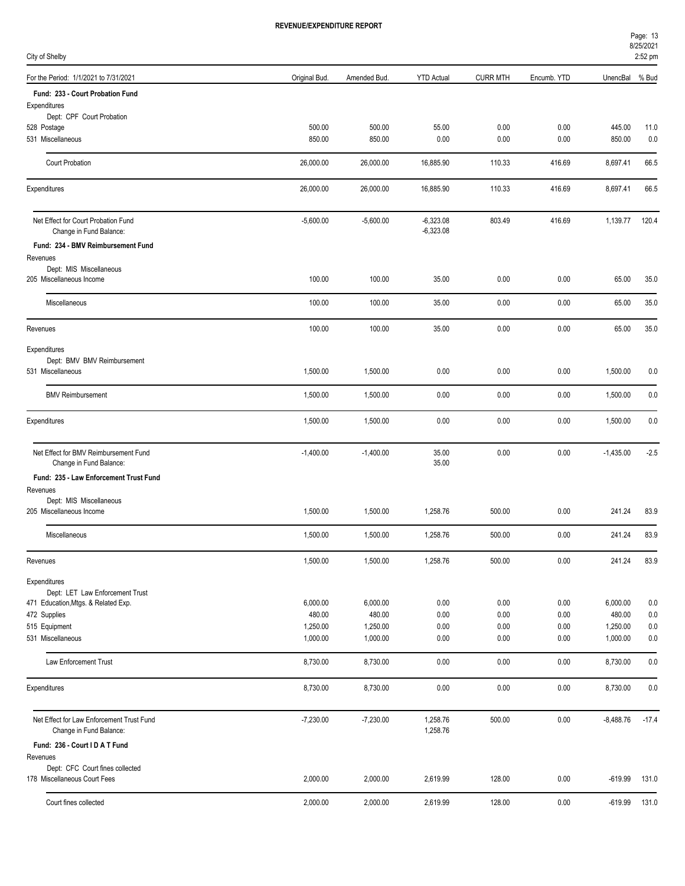| Page: 13  |  |
|-----------|--|
| 8/25/2021 |  |

| City of Shelby                                                       |               |              |                            |                 |             |             | 2:52 pm |
|----------------------------------------------------------------------|---------------|--------------|----------------------------|-----------------|-------------|-------------|---------|
| For the Period: 1/1/2021 to 7/31/2021                                | Original Bud. | Amended Bud. | <b>YTD Actual</b>          | <b>CURR MTH</b> | Encumb. YTD | UnencBal    | % Bud   |
| Fund: 233 - Court Probation Fund                                     |               |              |                            |                 |             |             |         |
| Expenditures                                                         |               |              |                            |                 |             |             |         |
| Dept: CPF Court Probation<br>528 Postage                             | 500.00        | 500.00       | 55.00                      | 0.00            | 0.00        | 445.00      | 11.0    |
| 531 Miscellaneous                                                    | 850.00        | 850.00       | 0.00                       | 0.00            | 0.00        | 850.00      | 0.0     |
| Court Probation                                                      | 26,000.00     | 26,000.00    | 16,885.90                  | 110.33          | 416.69      | 8,697.41    | 66.5    |
| Expenditures                                                         | 26,000.00     | 26,000.00    | 16,885.90                  | 110.33          | 416.69      | 8,697.41    | 66.5    |
| Net Effect for Court Probation Fund<br>Change in Fund Balance:       | $-5,600.00$   | $-5,600.00$  | $-6,323.08$<br>$-6,323.08$ | 803.49          | 416.69      | 1,139.77    | 120.4   |
| Fund: 234 - BMV Reimbursement Fund                                   |               |              |                            |                 |             |             |         |
| Revenues                                                             |               |              |                            |                 |             |             |         |
| Dept: MIS Miscellaneous<br>205 Miscellaneous Income                  | 100.00        | 100.00       | 35.00                      | 0.00            | 0.00        | 65.00       | 35.0    |
| Miscellaneous                                                        | 100.00        | 100.00       | 35.00                      | 0.00            | 0.00        | 65.00       | 35.0    |
|                                                                      |               |              |                            |                 |             |             |         |
| Revenues                                                             | 100.00        | 100.00       | 35.00                      | 0.00            | 0.00        | 65.00       | 35.0    |
| Expenditures                                                         |               |              |                            |                 |             |             |         |
| Dept: BMV BMV Reimbursement<br>531 Miscellaneous                     | 1,500.00      | 1,500.00     | 0.00                       | 0.00            | 0.00        | 1,500.00    | 0.0     |
|                                                                      |               |              |                            |                 |             |             |         |
| <b>BMV Reimbursement</b>                                             | 1,500.00      | 1,500.00     | 0.00                       | 0.00            | 0.00        | 1,500.00    | 0.0     |
| Expenditures                                                         | 1,500.00      | 1,500.00     | 0.00                       | 0.00            | 0.00        | 1,500.00    | 0.0     |
| Net Effect for BMV Reimbursement Fund<br>Change in Fund Balance:     | $-1,400.00$   | $-1,400.00$  | 35.00<br>35.00             | 0.00            | 0.00        | $-1,435.00$ | $-2.5$  |
| Fund: 235 - Law Enforcement Trust Fund                               |               |              |                            |                 |             |             |         |
| Revenues<br>Dept: MIS Miscellaneous                                  |               |              |                            |                 |             |             |         |
| 205 Miscellaneous Income                                             | 1,500.00      | 1,500.00     | 1,258.76                   | 500.00          | 0.00        | 241.24      | 83.9    |
| Miscellaneous                                                        | 1,500.00      | 1,500.00     | 1,258.76                   | 500.00          | 0.00        | 241.24      | 83.9    |
| Revenues                                                             | 1,500.00      | 1,500.00     | 1,258.76                   | 500.00          | 0.00        | 241.24      | 83.9    |
| Expenditures                                                         |               |              |                            |                 |             |             |         |
| Dept: LET Law Enforcement Trust                                      |               |              |                            |                 |             |             |         |
| 471 Education, Mtgs. & Related Exp.                                  | 6,000.00      | 6,000.00     | 0.00                       | 0.00            | 0.00        | 6,000.00    | 0.0     |
| 472 Supplies                                                         | 480.00        | 480.00       | 0.00                       | 0.00            | 0.00        | 480.00      | 0.0     |
| 515 Equipment                                                        | 1,250.00      | 1,250.00     | 0.00                       | 0.00            | 0.00        | 1,250.00    | 0.0     |
| 531 Miscellaneous                                                    | 1,000.00      | 1,000.00     | 0.00                       | 0.00            | 0.00        | 1,000.00    | 0.0     |
| Law Enforcement Trust                                                | 8,730.00      | 8,730.00     | 0.00                       | 0.00            | 0.00        | 8,730.00    | 0.0     |
| Expenditures                                                         | 8,730.00      | 8,730.00     | 0.00                       | 0.00            | 0.00        | 8,730.00    | 0.0     |
| Net Effect for Law Enforcement Trust Fund<br>Change in Fund Balance: | $-7,230.00$   | $-7,230.00$  | 1,258.76<br>1,258.76       | 500.00          | 0.00        | $-8,488.76$ | $-17.4$ |
| Fund: 236 - Court I D A T Fund                                       |               |              |                            |                 |             |             |         |
| Revenues                                                             |               |              |                            |                 |             |             |         |
| Dept: CFC Court fines collected<br>178 Miscellaneous Court Fees      | 2,000.00      | 2,000.00     | 2,619.99                   | 128.00          | 0.00        | $-619.99$   | 131.0   |
| Court fines collected                                                | 2,000.00      | 2,000.00     | 2,619.99                   | 128.00          | 0.00        | $-619.99$   | 131.0   |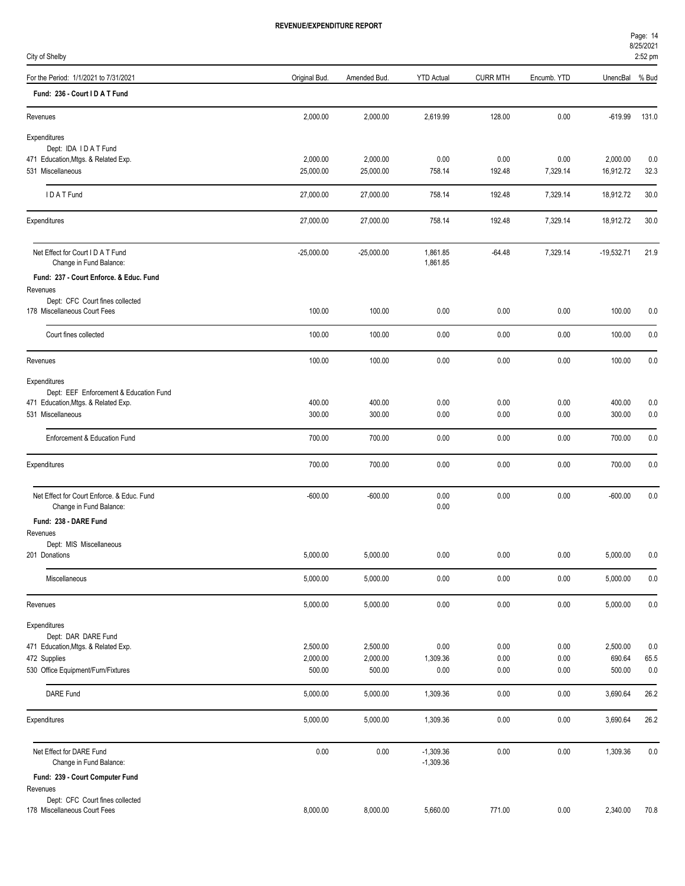| City of Shelby                                                        |               |              |                      |                 |             |              | 2:52 pm |
|-----------------------------------------------------------------------|---------------|--------------|----------------------|-----------------|-------------|--------------|---------|
| For the Period: 1/1/2021 to 7/31/2021                                 | Original Bud. | Amended Bud. | <b>YTD Actual</b>    | <b>CURR MTH</b> | Encumb. YTD | UnencBal     | % Bud   |
| Fund: 236 - Court I D A T Fund                                        |               |              |                      |                 |             |              |         |
| Revenues                                                              | 2,000.00      | 2,000.00     | 2,619.99             | 128.00          | 0.00        | $-619.99$    | 131.0   |
| Expenditures                                                          |               |              |                      |                 |             |              |         |
| Dept: IDA IDAT Fund                                                   |               |              |                      |                 |             |              |         |
| 471 Education, Mtgs. & Related Exp.                                   | 2,000.00      | 2,000.00     | 0.00                 | 0.00            | 0.00        | 2,000.00     | 0.0     |
| 531 Miscellaneous                                                     | 25,000.00     | 25,000.00    | 758.14               | 192.48          | 7,329.14    | 16,912.72    | 32.3    |
| IDATFund                                                              | 27,000.00     | 27,000.00    | 758.14               | 192.48          | 7,329.14    | 18,912.72    | 30.0    |
| Expenditures                                                          | 27,000.00     | 27,000.00    | 758.14               | 192.48          | 7,329.14    | 18,912.72    | 30.0    |
| Net Effect for Court I D A T Fund<br>Change in Fund Balance:          | $-25,000.00$  | $-25,000.00$ | 1,861.85<br>1,861.85 | $-64.48$        | 7,329.14    | $-19,532.71$ | 21.9    |
| Fund: 237 - Court Enforce. & Educ. Fund                               |               |              |                      |                 |             |              |         |
| Revenues                                                              |               |              |                      |                 |             |              |         |
| Dept: CFC Court fines collected                                       |               |              |                      |                 |             |              |         |
| 178 Miscellaneous Court Fees                                          | 100.00        | 100.00       | 0.00                 | 0.00            | 0.00        | 100.00       | 0.0     |
| Court fines collected                                                 | 100.00        | 100.00       | 0.00                 | 0.00            | 0.00        | 100.00       | 0.0     |
| Revenues                                                              | 100.00        | 100.00       | 0.00                 | 0.00            | 0.00        | 100.00       | 0.0     |
| Expenditures                                                          |               |              |                      |                 |             |              |         |
| Dept: EEF Enforcement & Education Fund                                |               |              |                      |                 |             |              |         |
| 471 Education, Mtgs. & Related Exp.                                   | 400.00        | 400.00       | 0.00                 | 0.00            | 0.00        | 400.00       | 0.0     |
| 531 Miscellaneous                                                     | 300.00        | 300.00       | 0.00                 | 0.00            | 0.00        | 300.00       | 0.0     |
| Enforcement & Education Fund                                          | 700.00        | 700.00       | 0.00                 | 0.00            | 0.00        | 700.00       | 0.0     |
| Expenditures                                                          | 700.00        | 700.00       | 0.00                 | 0.00            | 0.00        | 700.00       | 0.0     |
| Net Effect for Court Enforce. & Educ. Fund<br>Change in Fund Balance: | $-600.00$     | $-600.00$    | 0.00<br>0.00         | 0.00            | 0.00        | $-600.00$    | 0.0     |
| Fund: 238 - DARE Fund                                                 |               |              |                      |                 |             |              |         |
| Revenues                                                              |               |              |                      |                 |             |              |         |

City of Shelby

| Expenditures                                                          |              |              |                            |          |          |              |      |
|-----------------------------------------------------------------------|--------------|--------------|----------------------------|----------|----------|--------------|------|
| Dept: IDA IDAT Fund                                                   |              |              |                            |          |          |              |      |
| 471 Education, Mtgs. & Related Exp.                                   | 2,000.00     | 2,000.00     | 0.00                       | 0.00     | 0.00     | 2,000.00     | 0.0  |
| 531 Miscellaneous                                                     | 25,000.00    | 25,000.00    | 758.14                     | 192.48   | 7,329.14 | 16,912.72    | 32.3 |
| IDAT Fund                                                             | 27,000.00    | 27,000.00    | 758.14                     | 192.48   | 7,329.14 | 18,912.72    | 30.0 |
| Expenditures                                                          | 27,000.00    | 27,000.00    | 758.14                     | 192.48   | 7,329.14 | 18,912.72    | 30.0 |
| Net Effect for Court I D A T Fund<br>Change in Fund Balance:          | $-25,000.00$ | $-25,000.00$ | 1,861.85<br>1,861.85       | $-64.48$ | 7,329.14 | $-19,532.71$ | 21.9 |
| Fund: 237 - Court Enforce. & Educ. Fund<br>Revenues                   |              |              |                            |          |          |              |      |
| Dept: CFC Court fines collected                                       |              |              |                            |          |          |              |      |
| 178 Miscellaneous Court Fees                                          | 100.00       | 100.00       | 0.00                       | 0.00     | 0.00     | 100.00       | 0.0  |
| Court fines collected                                                 | 100.00       | 100.00       | 0.00                       | 0.00     | 0.00     | 100.00       | 0.0  |
| Revenues                                                              | 100.00       | 100.00       | 0.00                       | 0.00     | 0.00     | 100.00       | 0.0  |
| Expenditures                                                          |              |              |                            |          |          |              |      |
| Dept: EEF Enforcement & Education Fund                                |              |              |                            |          |          |              |      |
| 471 Education, Mtgs. & Related Exp.                                   | 400.00       | 400.00       | 0.00                       | 0.00     | 0.00     | 400.00       | 0.0  |
| 531 Miscellaneous                                                     | 300.00       | 300.00       | 0.00                       | 0.00     | 0.00     | 300.00       | 0.0  |
| Enforcement & Education Fund                                          | 700.00       | 700.00       | 0.00                       | 0.00     | 0.00     | 700.00       | 0.0  |
| Expenditures                                                          | 700.00       | 700.00       | 0.00                       | 0.00     | 0.00     | 700.00       | 0.0  |
| Net Effect for Court Enforce. & Educ. Fund<br>Change in Fund Balance: | $-600.00$    | $-600.00$    | 0.00<br>0.00               | 0.00     | 0.00     | $-600.00$    | 0.0  |
| Fund: 238 - DARE Fund                                                 |              |              |                            |          |          |              |      |
| Revenues                                                              |              |              |                            |          |          |              |      |
| Dept: MIS Miscellaneous<br>201 Donations                              | 5,000.00     | 5,000.00     | 0.00                       | 0.00     | 0.00     | 5,000.00     | 0.0  |
|                                                                       |              |              |                            |          |          |              |      |
| Miscellaneous                                                         | 5,000.00     | 5,000.00     | 0.00                       | 0.00     | 0.00     | 5,000.00     | 0.0  |
| Revenues                                                              | 5,000.00     | 5,000.00     | 0.00                       | 0.00     | 0.00     | 5,000.00     | 0.0  |
| Expenditures                                                          |              |              |                            |          |          |              |      |
| Dept: DAR DARE Fund                                                   |              |              |                            |          |          |              |      |
| 471 Education, Mtgs. & Related Exp.                                   | 2,500.00     | 2,500.00     | 0.00                       | 0.00     | 0.00     | 2,500.00     | 0.0  |
| 472 Supplies                                                          | 2,000.00     | 2,000.00     | 1,309.36                   | 0.00     | 0.00     | 690.64       | 65.5 |
| 530 Office Equipment/Furn/Fixtures                                    | 500.00       | 500.00       | 0.00                       | 0.00     | 0.00     | 500.00       | 0.0  |
| DARE Fund                                                             | 5,000.00     | 5,000.00     | 1,309.36                   | 0.00     | 0.00     | 3,690.64     | 26.2 |
| Expenditures                                                          | 5,000.00     | 5,000.00     | 1,309.36                   | 0.00     | 0.00     | 3,690.64     | 26.2 |
| Net Effect for DARE Fund<br>Change in Fund Balance:                   | 0.00         | $0.00\,$     | $-1,309.36$<br>$-1,309.36$ | 0.00     | 0.00     | 1,309.36     | 0.0  |
| Fund: 239 - Court Computer Fund                                       |              |              |                            |          |          |              |      |
| Revenues                                                              |              |              |                            |          |          |              |      |
| Dept: CFC Court fines collected                                       |              |              |                            |          |          |              |      |
| 178 Miscellaneous Court Fees                                          | 8,000.00     | 8,000.00     | 5,660.00                   | 771.00   | 0.00     | 2,340.00     | 70.8 |
|                                                                       |              |              |                            |          |          |              |      |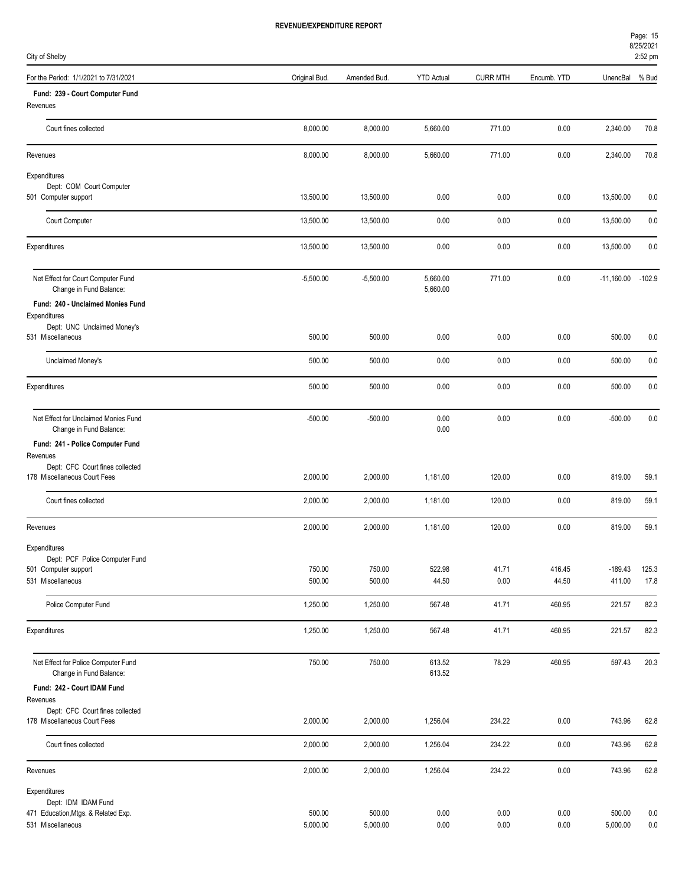| City of Shelby                                                  |               |              |                      |                 |             |              | 2:52 pm  |
|-----------------------------------------------------------------|---------------|--------------|----------------------|-----------------|-------------|--------------|----------|
| For the Period: 1/1/2021 to 7/31/2021                           | Original Bud. | Amended Bud. | <b>YTD Actual</b>    | <b>CURR MTH</b> | Encumb. YTD | UnencBal     | % Bud    |
| Fund: 239 - Court Computer Fund                                 |               |              |                      |                 |             |              |          |
| Revenues                                                        |               |              |                      |                 |             |              |          |
| Court fines collected                                           | 8,000.00      | 8,000.00     | 5,660.00             | 771.00          | 0.00        | 2,340.00     | 70.8     |
| Revenues                                                        | 8,000.00      | 8,000.00     | 5,660.00             | 771.00          | 0.00        | 2,340.00     | 70.8     |
| Expenditures                                                    |               |              |                      |                 |             |              |          |
| Dept: COM Court Computer<br>501 Computer support                | 13,500.00     | 13,500.00    | 0.00                 | 0.00            | 0.00        | 13,500.00    | 0.0      |
|                                                                 |               |              |                      |                 |             |              |          |
| Court Computer                                                  | 13,500.00     | 13,500.00    | 0.00                 | 0.00            | 0.00        | 13,500.00    | 0.0      |
| Expenditures                                                    | 13,500.00     | 13,500.00    | 0.00                 | 0.00            | 0.00        | 13,500.00    | 0.0      |
| Net Effect for Court Computer Fund<br>Change in Fund Balance:   | $-5,500.00$   | $-5,500.00$  | 5,660.00<br>5,660.00 | 771.00          | 0.00        | $-11,160.00$ | $-102.9$ |
| Fund: 240 - Unclaimed Monies Fund                               |               |              |                      |                 |             |              |          |
| Expenditures<br>Dept: UNC Unclaimed Money's                     |               |              |                      |                 |             |              |          |
| 531 Miscellaneous                                               | 500.00        | 500.00       | 0.00                 | 0.00            | 0.00        | 500.00       | 0.0      |
| Unclaimed Money's                                               | 500.00        | 500.00       | 0.00                 | 0.00            | 0.00        | 500.00       | 0.0      |
| Expenditures                                                    | 500.00        | 500.00       | 0.00                 | 0.00            | 0.00        | 500.00       | 0.0      |
| Net Effect for Unclaimed Monies Fund<br>Change in Fund Balance: | $-500.00$     | $-500.00$    | 0.00<br>0.00         | 0.00            | 0.00        | $-500.00$    | 0.0      |
| Fund: 241 - Police Computer Fund                                |               |              |                      |                 |             |              |          |
| Revenues                                                        |               |              |                      |                 |             |              |          |
| Dept: CFC Court fines collected<br>178 Miscellaneous Court Fees | 2,000.00      | 2,000.00     |                      | 120.00          | 0.00        | 819.00       |          |
|                                                                 |               |              | 1,181.00             |                 |             |              | 59.1     |
| Court fines collected                                           | 2,000.00      | 2,000.00     | 1,181.00             | 120.00          | 0.00        | 819.00       | 59.1     |
| Revenues                                                        | 2,000.00      | 2,000.00     | 1,181.00             | 120.00          | 0.00        | 819.00       | 59.1     |
| Expenditures                                                    |               |              |                      |                 |             |              |          |
| Dept: PCF Police Computer Fund<br>501 Computer support          | 750.00        | 750.00       | 522.98               | 41.71           | 416.45      | $-189.43$    | 125.3    |
| 531 Miscellaneous                                               | 500.00        | 500.00       | 44.50                | 0.00            | 44.50       | 411.00       | 17.8     |
| Police Computer Fund                                            | 1,250.00      | 1,250.00     | 567.48               | 41.71           | 460.95      | 221.57       | 82.3     |
|                                                                 |               |              |                      |                 |             |              |          |
| Expenditures                                                    | 1,250.00      | 1,250.00     | 567.48               | 41.71           | 460.95      | 221.57       | 82.3     |
| Net Effect for Police Computer Fund<br>Change in Fund Balance:  | 750.00        | 750.00       | 613.52<br>613.52     | 78.29           | 460.95      | 597.43       | 20.3     |
| Fund: 242 - Court IDAM Fund                                     |               |              |                      |                 |             |              |          |
| Revenues                                                        |               |              |                      |                 |             |              |          |
| Dept: CFC Court fines collected<br>178 Miscellaneous Court Fees | 2,000.00      | 2,000.00     | 1,256.04             | 234.22          | 0.00        | 743.96       | 62.8     |
| Court fines collected                                           | 2,000.00      | 2,000.00     | 1,256.04             | 234.22          | 0.00        | 743.96       | 62.8     |
| Revenues                                                        | 2,000.00      | 2,000.00     | 1,256.04             | 234.22          | 0.00        | 743.96       | 62.8     |
| Expenditures                                                    |               |              |                      |                 |             |              |          |
| Dept: IDM IDAM Fund<br>471 Education, Mtgs. & Related Exp.      | 500.00        | 500.00       | 0.00                 | 0.00            | 0.00        | 500.00       | 0.0      |
| 531 Miscellaneous                                               | 5,000.00      | 5,000.00     | 0.00                 | 0.00            | 0.00        | 5,000.00     | 0.0      |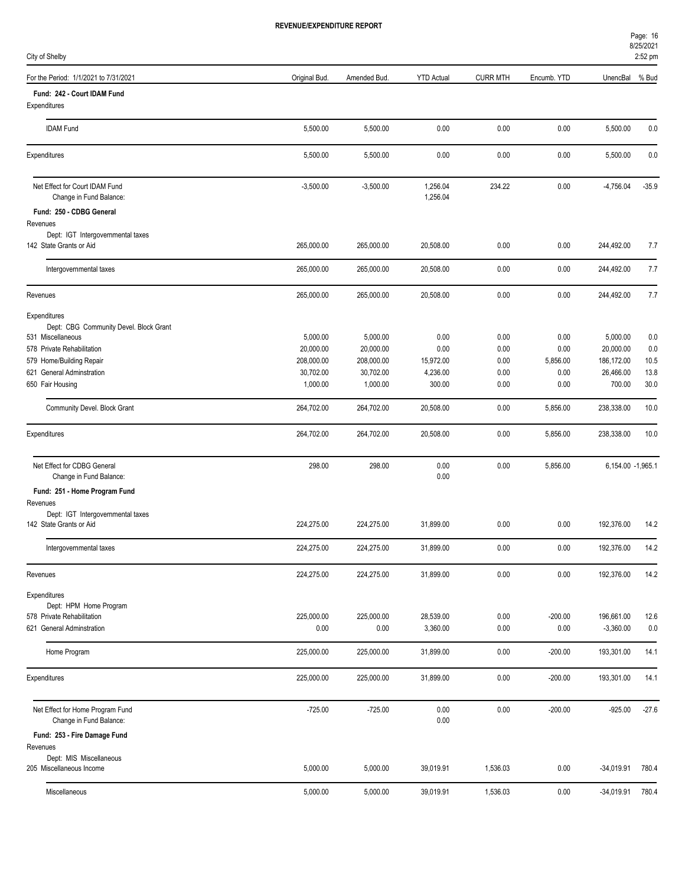| City of Shelby                                               |                       |                       |                      |                 |              |                       | 012312021<br>2:52 pm |
|--------------------------------------------------------------|-----------------------|-----------------------|----------------------|-----------------|--------------|-----------------------|----------------------|
| For the Period: 1/1/2021 to 7/31/2021                        | Original Bud.         | Amended Bud.          | <b>YTD Actual</b>    | <b>CURR MTH</b> | Encumb. YTD  | UnencBal              | % Bud                |
| Fund: 242 - Court IDAM Fund                                  |                       |                       |                      |                 |              |                       |                      |
| Expenditures                                                 |                       |                       |                      |                 |              |                       |                      |
| <b>IDAM Fund</b>                                             | 5,500.00              | 5,500.00              | 0.00                 | 0.00            | 0.00         | 5,500.00              | 0.0                  |
| Expenditures                                                 | 5,500.00              | 5,500.00              | 0.00                 | 0.00            | 0.00         | 5,500.00              | 0.0                  |
| Net Effect for Court IDAM Fund<br>Change in Fund Balance:    | $-3,500.00$           | $-3,500.00$           | 1,256.04<br>1,256.04 | 234.22          | 0.00         | $-4,756.04$           | $-35.9$              |
| Fund: 250 - CDBG General                                     |                       |                       |                      |                 |              |                       |                      |
| Revenues                                                     |                       |                       |                      |                 |              |                       |                      |
| Dept: IGT Intergovernmental taxes<br>142 State Grants or Aid | 265,000.00            | 265,000.00            | 20,508.00            | 0.00            | 0.00         | 244,492.00            | 7.7                  |
|                                                              |                       |                       |                      |                 |              |                       |                      |
| Intergovernmental taxes                                      | 265,000.00            | 265,000.00            | 20,508.00            | 0.00            | 0.00         | 244,492.00            | 7.7                  |
| Revenues                                                     | 265,000.00            | 265,000.00            | 20,508.00            | 0.00            | 0.00         | 244,492.00            | 7.7                  |
| Expenditures                                                 |                       |                       |                      |                 |              |                       |                      |
| Dept: CBG Community Devel. Block Grant                       |                       |                       |                      |                 |              |                       |                      |
| 531 Miscellaneous<br>578 Private Rehabilitation              | 5,000.00<br>20,000.00 | 5,000.00<br>20,000.00 | 0.00<br>0.00         | 0.00<br>0.00    | 0.00<br>0.00 | 5,000.00<br>20,000.00 | 0.0<br>0.0           |
|                                                              |                       |                       |                      |                 |              |                       |                      |
| 579 Home/Building Repair                                     | 208,000.00            | 208,000.00            | 15,972.00            | 0.00            | 5,856.00     | 186,172.00            | 10.5                 |
| 621 General Adminstration                                    | 30,702.00             | 30,702.00             | 4,236.00             | 0.00            | 0.00         | 26,466.00             | 13.8                 |
| 650 Fair Housing                                             | 1,000.00              | 1,000.00              | 300.00               | 0.00            | 0.00         | 700.00                | 30.0                 |
| Community Devel. Block Grant                                 | 264,702.00            | 264,702.00            | 20,508.00            | 0.00            | 5,856.00     | 238,338.00            | 10.0                 |
| Expenditures                                                 | 264,702.00            | 264,702.00            | 20,508.00            | 0.00            | 5,856.00     | 238,338.00            | 10.0                 |
| Net Effect for CDBG General<br>Change in Fund Balance:       | 298.00                | 298.00                | 0.00<br>0.00         | 0.00            | 5,856.00     | 6,154.00 -1,965.1     |                      |
| Fund: 251 - Home Program Fund                                |                       |                       |                      |                 |              |                       |                      |
| Revenues                                                     |                       |                       |                      |                 |              |                       |                      |
| Dept: IGT Intergovernmental taxes<br>142 State Grants or Aid | 224,275.00            | 224,275.00            | 31,899.00            | 0.00            | 0.00         | 192,376.00            | 14.2                 |
| Intergovernmental taxes                                      | 224,275.00            | 224,275.00            | 31,899.00            | 0.00            | 0.00         | 192,376.00            | 14.2                 |
| Revenues                                                     | 224,275.00            | 224,275.00            | 31,899.00            | 0.00            | 0.00         | 192,376.00            | 14.2                 |
| Expenditures                                                 |                       |                       |                      |                 |              |                       |                      |
| Dept: HPM Home Program                                       |                       |                       |                      |                 |              |                       |                      |
| 578 Private Rehabilitation                                   | 225,000.00            | 225,000.00            | 28,539.00            | 0.00            | $-200.00$    | 196,661.00            | 12.6                 |
| 621 General Adminstration                                    | 0.00                  | 0.00                  | 3,360.00             | 0.00            | 0.00         | $-3,360.00$           | 0.0                  |
| Home Program                                                 | 225,000.00            | 225,000.00            | 31,899.00            | 0.00            | $-200.00$    | 193,301.00            | 14.1                 |
| Expenditures                                                 | 225,000.00            | 225,000.00            | 31,899.00            | 0.00            | $-200.00$    | 193,301.00            | 14.1                 |
|                                                              |                       |                       |                      |                 |              |                       |                      |
| Net Effect for Home Program Fund<br>Change in Fund Balance:  | $-725.00$             | $-725.00$             | 0.00<br>0.00         | 0.00            | $-200.00$    | $-925.00$             | $-27.6$              |
| Fund: 253 - Fire Damage Fund<br>Revenues                     |                       |                       |                      |                 |              |                       |                      |
| Dept: MIS Miscellaneous                                      |                       |                       |                      |                 |              |                       |                      |
| 205 Miscellaneous Income                                     | 5,000.00              | 5,000.00              | 39,019.91            | 1,536.03        | 0.00         | $-34,019.91$          | 780.4                |
| Miscellaneous                                                | 5,000.00              | 5,000.00              | 39,019.91            | 1,536.03        | 0.00         | $-34,019.91$          | 780.4                |

8/25/2021 Page: 16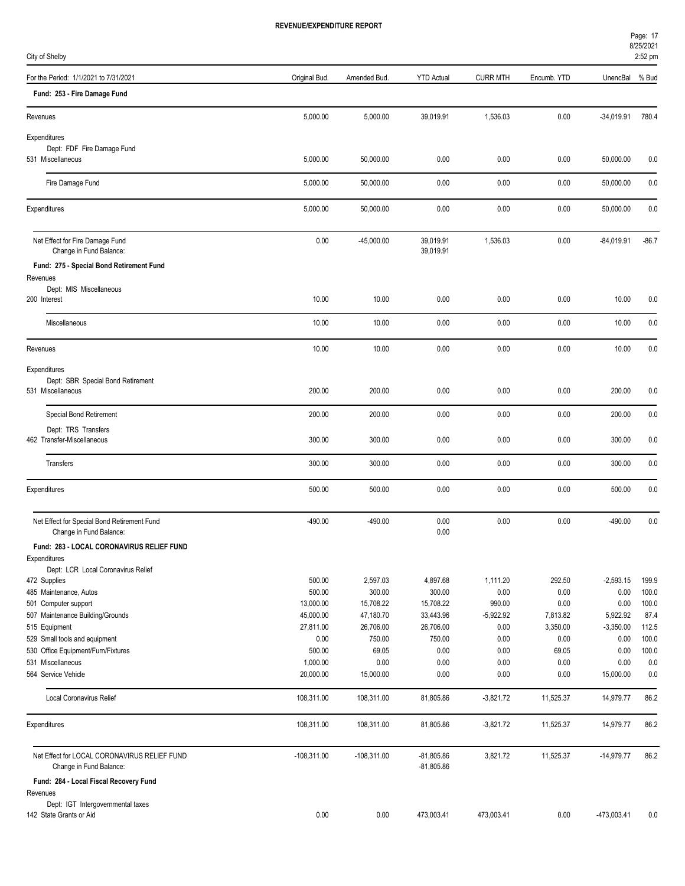|          | L.JL UIII |
|----------|-----------|
| UnencBal | % Bud     |
|          |           |

| City of Shelby                                                          |                   |                     |                              |                 |                  |                     | 2:52 pm        |
|-------------------------------------------------------------------------|-------------------|---------------------|------------------------------|-----------------|------------------|---------------------|----------------|
| For the Period: 1/1/2021 to 7/31/2021                                   | Original Bud.     | Amended Bud.        | <b>YTD Actual</b>            | <b>CURR MTH</b> | Encumb. YTD      | UnencBal            | % Bud          |
| Fund: 253 - Fire Damage Fund                                            |                   |                     |                              |                 |                  |                     |                |
| Revenues                                                                | 5,000.00          | 5,000.00            | 39,019.91                    | 1,536.03        | 0.00             | $-34,019.91$        | 780.4          |
| Expenditures                                                            |                   |                     |                              |                 |                  |                     |                |
| Dept: FDF Fire Damage Fund                                              |                   |                     |                              |                 |                  |                     |                |
| 531 Miscellaneous                                                       | 5,000.00          | 50,000.00           | 0.00                         | 0.00            | 0.00             | 50,000.00           | 0.0            |
| Fire Damage Fund                                                        | 5,000.00          | 50,000.00           | 0.00                         | 0.00            | 0.00             | 50,000.00           | 0.0            |
| Expenditures                                                            | 5,000.00          | 50,000.00           | 0.00                         | 0.00            | 0.00             | 50,000.00           | 0.0            |
|                                                                         |                   |                     |                              |                 |                  |                     |                |
| Net Effect for Fire Damage Fund<br>Change in Fund Balance:              | 0.00              | $-45,000.00$        | 39,019.91<br>39,019.91       | 1,536.03        | 0.00             | $-84,019.91$        | $-86.7$        |
| Fund: 275 - Special Bond Retirement Fund                                |                   |                     |                              |                 |                  |                     |                |
| Revenues                                                                |                   |                     |                              |                 |                  |                     |                |
| Dept: MIS Miscellaneous<br>200 Interest                                 | 10.00             | 10.00               | 0.00                         | 0.00            | 0.00             | 10.00               | 0.0            |
|                                                                         |                   |                     |                              |                 |                  |                     |                |
| Miscellaneous                                                           | 10.00             | 10.00               | 0.00                         | 0.00            | 0.00             | 10.00               | 0.0            |
| Revenues                                                                | 10.00             | 10.00               | 0.00                         | 0.00            | 0.00             | 10.00               | 0.0            |
| Expenditures                                                            |                   |                     |                              |                 |                  |                     |                |
| Dept: SBR Special Bond Retirement                                       |                   |                     |                              |                 |                  |                     |                |
| 531 Miscellaneous                                                       | 200.00            | 200.00              | 0.00                         | 0.00            | 0.00             | 200.00              | 0.0            |
| Special Bond Retirement                                                 | 200.00            | 200.00              | 0.00                         | 0.00            | 0.00             | 200.00              | 0.0            |
| Dept: TRS Transfers                                                     |                   |                     |                              |                 |                  |                     |                |
| 462 Transfer-Miscellaneous                                              | 300.00            | 300.00              | 0.00                         | 0.00            | 0.00             | 300.00              | 0.0            |
| Transfers                                                               | 300.00            | 300.00              | 0.00                         | 0.00            | 0.00             | 300.00              | 0.0            |
| Expenditures                                                            | 500.00            | 500.00              | 0.00                         | 0.00            | 0.00             | 500.00              | 0.0            |
| Net Effect for Special Bond Retirement Fund                             | $-490.00$         | $-490.00$           | 0.00<br>0.00                 | 0.00            | 0.00             | $-490.00$           | 0.0            |
| Change in Fund Balance:<br>Fund: 283 - LOCAL CORONAVIRUS RELIEF FUND    |                   |                     |                              |                 |                  |                     |                |
| Expenditures                                                            |                   |                     |                              |                 |                  |                     |                |
| Dept: LCR Local Coronavirus Relief                                      |                   |                     |                              |                 |                  |                     |                |
| 472 Supplies                                                            | 500.00            | 2,597.03            | 4,897.68                     | 1,111.20        | 292.50           | $-2,593.15$         | 199.9          |
| 485 Maintenance, Autos                                                  | 500.00            | 300.00              | 300.00                       | 0.00            | 0.00             | 0.00                | 100.0          |
| 501 Computer support                                                    | 13,000.00         | 15,708.22           | 15,708.22                    | 990.00          | 0.00             | 0.00                | 100.0          |
| 507 Maintenance Building/Grounds                                        | 45,000.00         | 47,180.70           | 33,443.96                    | $-5,922.92$     | 7,813.82         | 5,922.92            | 87.4           |
| 515 Equipment                                                           | 27,811.00<br>0.00 | 26,706.00<br>750.00 | 26,706.00<br>750.00          | 0.00<br>0.00    | 3,350.00<br>0.00 | $-3,350.00$<br>0.00 | 112.5<br>100.0 |
| 529 Small tools and equipment<br>530 Office Equipment/Furn/Fixtures     | 500.00            | 69.05               | 0.00                         | 0.00            | 69.05            | 0.00                | 100.0          |
| 531 Miscellaneous                                                       | 1,000.00          | 0.00                | 0.00                         | 0.00            | 0.00             | 0.00                | $0.0\,$        |
| 564 Service Vehicle                                                     | 20,000.00         | 15,000.00           | 0.00                         | 0.00            | 0.00             | 15,000.00           | 0.0            |
| Local Coronavirus Relief                                                | 108,311.00        | 108,311.00          | 81,805.86                    | $-3,821.72$     | 11,525.37        | 14,979.77           | 86.2           |
|                                                                         |                   |                     |                              |                 |                  |                     |                |
| Expenditures                                                            | 108,311.00        | 108,311.00          | 81,805.86                    | $-3,821.72$     | 11,525.37        | 14,979.77           | 86.2           |
| Net Effect for LOCAL CORONAVIRUS RELIEF FUND<br>Change in Fund Balance: | $-108,311.00$     | $-108,311.00$       | $-81,805.86$<br>$-81,805.86$ | 3,821.72        | 11,525.37        | $-14,979.77$        | 86.2           |
| Fund: 284 - Local Fiscal Recovery Fund<br>Revenues                      |                   |                     |                              |                 |                  |                     |                |
| Dept: IGT Intergovernmental taxes<br>142 State Grants or Aid            | 0.00              | 0.00                | 473,003.41                   | 473,003.41      | 0.00             | $-473,003.41$       | 0.0            |
|                                                                         |                   |                     |                              |                 |                  |                     |                |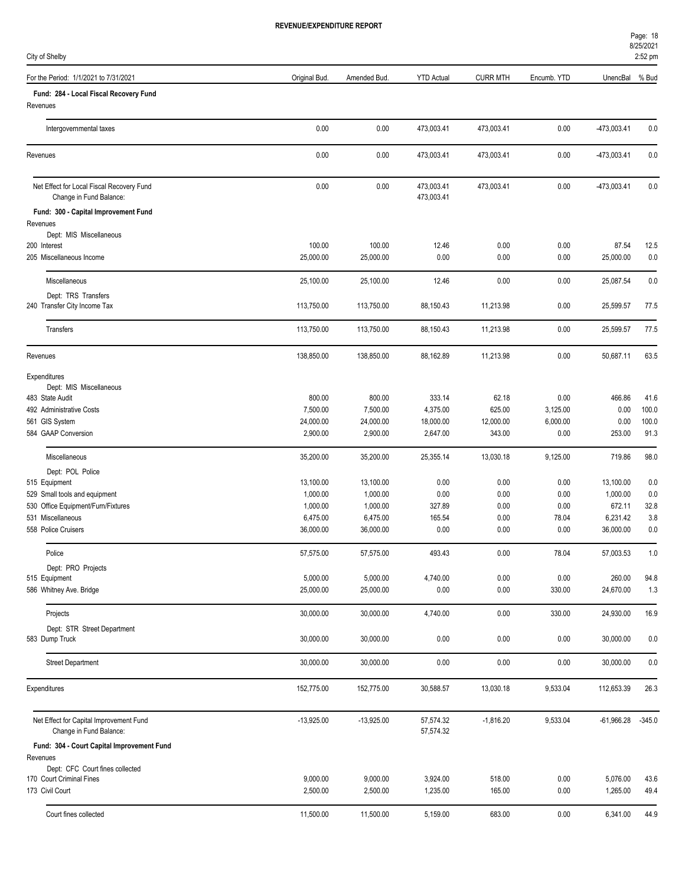| For the Period: 1/1/2021 to 7/31/2021                                | Original Bud.        | Amended Bud.         | <b>YTD Actual</b>        | <b>CURR MTH</b>  | Encumb. YTD  | UnencBal             | % Bud        |
|----------------------------------------------------------------------|----------------------|----------------------|--------------------------|------------------|--------------|----------------------|--------------|
| Fund: 284 - Local Fiscal Recovery Fund<br>Revenues                   |                      |                      |                          |                  |              |                      |              |
| Intergovernmental taxes                                              | 0.00                 | 0.00                 | 473,003.41               | 473,003.41       | 0.00         | -473,003.41          | 0.0          |
| Revenues                                                             | 0.00                 | 0.00                 | 473,003.41               | 473,003.41       | 0.00         | -473,003.41          | 0.0          |
| Net Effect for Local Fiscal Recovery Fund<br>Change in Fund Balance: | 0.00                 | 0.00                 | 473,003.41<br>473,003.41 | 473,003.41       | 0.00         | $-473,003.41$        | 0.0          |
| Fund: 300 - Capital Improvement Fund                                 |                      |                      |                          |                  |              |                      |              |
| Revenues                                                             |                      |                      |                          |                  |              |                      |              |
| Dept: MIS Miscellaneous<br>200 Interest                              | 100.00               | 100.00               | 12.46                    | 0.00             | 0.00         | 87.54                | 12.5         |
| 205 Miscellaneous Income                                             | 25,000.00            | 25,000.00            | 0.00                     | 0.00             | 0.00         | 25,000.00            | 0.0          |
| Miscellaneous                                                        | 25,100.00            | 25,100.00            | 12.46                    | 0.00             | 0.00         | 25,087.54            | 0.0          |
| Dept: TRS Transfers                                                  |                      |                      |                          |                  |              |                      |              |
| 240 Transfer City Income Tax                                         | 113,750.00           | 113,750.00           | 88,150.43                | 11,213.98        | 0.00         | 25,599.57            | 77.5         |
| <b>Transfers</b>                                                     | 113,750.00           | 113,750.00           | 88,150.43                | 11,213.98        | 0.00         | 25,599.57            | 77.5         |
| Revenues                                                             | 138,850.00           | 138,850.00           | 88,162.89                | 11,213.98        | 0.00         | 50,687.11            | 63.5         |
| Expenditures                                                         |                      |                      |                          |                  |              |                      |              |
| Dept: MIS Miscellaneous<br>483 State Audit                           | 800.00               | 800.00               | 333.14                   | 62.18            | 0.00         | 466.86               | 41.6         |
| 492 Administrative Costs                                             | 7,500.00             | 7,500.00             | 4,375.00                 | 625.00           | 3,125.00     | 0.00                 | 100.0        |
| 561 GIS System                                                       | 24,000.00            | 24,000.00            | 18,000.00                | 12,000.00        | 6,000.00     | 0.00                 | 100.0        |
| 584 GAAP Conversion                                                  | 2,900.00             | 2,900.00             | 2,647.00                 | 343.00           | 0.00         | 253.00               | 91.3         |
| Miscellaneous                                                        | 35,200.00            | 35,200.00            | 25,355.14                | 13,030.18        | 9,125.00     | 719.86               | 98.0         |
| Dept: POL Police                                                     |                      |                      |                          |                  |              |                      |              |
| 515 Equipment                                                        | 13,100.00            | 13,100.00            | 0.00                     | 0.00             | 0.00         | 13,100.00            | 0.0          |
| 529 Small tools and equipment                                        | 1,000.00<br>1,000.00 | 1,000.00<br>1,000.00 | 0.00<br>327.89           | 0.00<br>0.00     | 0.00<br>0.00 | 1,000.00<br>672.11   | 0.0<br>32.8  |
| 530 Office Equipment/Furn/Fixtures<br>531 Miscellaneous              | 6,475.00             | 6,475.00             | 165.54                   | 0.00             | 78.04        | 6,231.42             | 3.8          |
| 558 Police Cruisers                                                  | 36,000.00            | 36,000.00            | 0.00                     | 0.00             | 0.00         | 36,000.00            | 0.0          |
| Police                                                               | 57,575.00            | 57,575.00            | 493.43                   | 0.00             | 78.04        | 57,003.53            | 1.0          |
| Dept: PRO Projects                                                   |                      |                      |                          |                  |              |                      |              |
| 515 Equipment                                                        | 5,000.00             | 5,000.00             | 4,740.00                 | 0.00             | 0.00         | 260.00               | 94.8         |
| 586 Whitney Ave. Bridge                                              | 25,000.00            | 25,000.00            | 0.00                     | 0.00             | 330.00       | 24,670.00            | 1.3          |
| Projects                                                             | 30,000.00            | 30,000.00            | 4,740.00                 | 0.00             | 330.00       | 24,930.00            | 16.9         |
| Dept: STR Street Department                                          |                      |                      |                          |                  |              |                      |              |
| 583 Dump Truck                                                       | 30,000.00            | 30,000.00            | 0.00                     | 0.00             | 0.00         | 30,000.00            | 0.0          |
| <b>Street Department</b>                                             | 30,000.00            | 30,000.00            | 0.00                     | 0.00             | 0.00         | 30,000.00            | 0.0          |
| Expenditures                                                         | 152,775.00           | 152,775.00           | 30,588.57                | 13,030.18        | 9,533.04     | 112,653.39           | 26.3         |
| Net Effect for Capital Improvement Fund<br>Change in Fund Balance:   | $-13,925.00$         | $-13,925.00$         | 57,574.32<br>57,574.32   | $-1,816.20$      | 9,533.04     | $-61,966.28$         | $-345.0$     |
| Fund: 304 - Court Capital Improvement Fund                           |                      |                      |                          |                  |              |                      |              |
| Revenues                                                             |                      |                      |                          |                  |              |                      |              |
| Dept: CFC Court fines collected                                      |                      |                      |                          |                  |              |                      |              |
| 170 Court Criminal Fines<br>173 Civil Court                          | 9,000.00<br>2,500.00 | 9,000.00<br>2,500.00 | 3,924.00<br>1,235.00     | 518.00<br>165.00 | 0.00<br>0.00 | 5,076.00<br>1,265.00 | 43.6<br>49.4 |
|                                                                      |                      |                      |                          |                  |              |                      |              |
| Court fines collected                                                | 11,500.00            | 11,500.00            | 5,159.00                 | 683.00           | 0.00         | 6,341.00             | 44.9         |

City of Shelby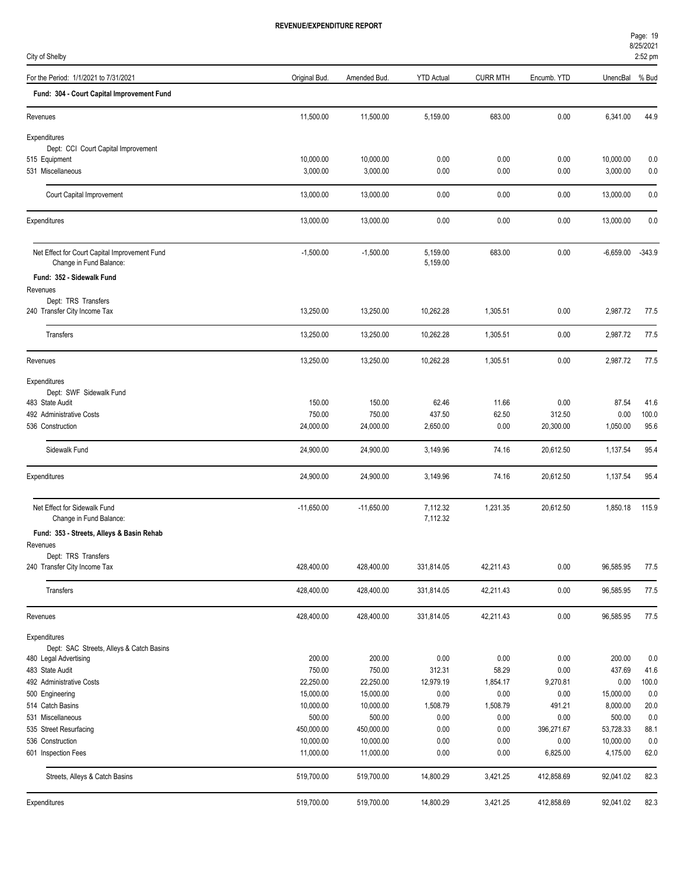| For the Period: 1/1/2021 to 7/31/2021<br><b>YTD Actual</b><br><b>CURR MTH</b><br>UnencBal<br>Original Bud.<br>Amended Bud<br>Encumb. YTD<br>% Bud<br>Fund: 304 - Court Capital Improvement Fund<br>11,500.00<br>11,500.00<br>5,159.00<br>683.00<br>0.00<br>6,341.00<br>44.9<br>Revenues<br>Expenditures<br>Dept: CCI Court Capital Improvement<br>10,000.00<br>515 Equipment<br>10,000.00<br>0.00<br>0.00<br>0.00<br>10,000.00<br>0.0<br>3,000.00<br>3,000.00<br>531 Miscellaneous<br>3,000.00<br>0.00<br>0.00<br>0.00<br>0.0<br>13,000.00<br>0.00<br>0.00<br>0.00<br>13,000.00<br>Court Capital Improvement<br>13,000.00<br>0.0<br>13,000.00<br>0.00<br>0.00<br>0.00<br>Expenditures<br>13,000.00<br>13,000.00<br>0.0<br>Net Effect for Court Capital Improvement Fund<br>$-1,500.00$<br>5,159.00<br>683.00<br>0.00<br>$-6,659.00$<br>$-343.9$<br>$-1,500.00$<br>5,159.00<br>Change in Fund Balance:<br>Fund: 352 - Sidewalk Fund<br>Revenues<br>Dept: TRS Transfers<br>240 Transfer City Income Tax<br>13.250.00<br>10,262.28<br>1,305.51<br>0.00<br>2,987.72<br>13,250.00<br>77.5<br>13,250.00<br>13,250.00<br>10,262.28<br>1,305.51<br>0.00<br>2,987.72<br>Transfers<br>77.5<br>13,250.00<br>13,250.00<br>10,262.28<br>1,305.51<br>0.00<br>2,987.72<br>Revenues<br>77.5<br>Expenditures<br>Dept: SWF Sidewalk Fund<br>150.00<br>150.00<br>62.46<br>11.66<br>0.00<br>87.54<br>483 State Audit<br>41.6<br>750.00<br>750.00<br>437.50<br>62.50<br>312.50<br>0.00<br>100.0<br>492 Administrative Costs<br>24,000.00<br>0.00<br>1,050.00<br>536 Construction<br>24,000.00<br>2,650.00<br>20,300.00<br>95.6<br>Sidewalk Fund<br>24,900.00<br>3,149.96<br>74.16<br>1,137.54<br>95.4<br>24,900.00<br>20,612.50<br>74.16<br>Expenditures<br>24,900.00<br>24,900.00<br>3,149.96<br>20,612.50<br>1,137.54<br>95.4<br>Net Effect for Sidewalk Fund<br>$-11,650.00$<br>7,112.32<br>1,231.35<br>$-11,650.00$<br>20,612.50<br>1,850.18<br>115.9<br>7,112.32<br>Change in Fund Balance:<br>Fund: 353 - Streets, Alleys & Basin Rehab<br>Revenues<br>Dept: TRS Transfers<br>240 Transfer City Income Tax<br>428,400.00<br>428,400.00<br>331,814.05<br>42,211.43<br>0.00<br>96,585.95<br>77.5<br>0.00<br>Transfers<br>428,400.00<br>428,400.00<br>331,814.05<br>42,211.43<br>96,585.95<br>77.5<br>428,400.00<br>428,400.00<br>331,814.05<br>42,211.43<br>0.00<br>96,585.95<br>77.5<br>Revenues<br>Expenditures<br>Dept: SAC Streets, Alleys & Catch Basins<br>200.00<br>200.00<br>0.00<br>0.00<br>0.00<br>200.00<br>0.0<br>480 Legal Advertising<br>750.00<br>437.69<br>483 State Audit<br>750.00<br>312.31<br>58.29<br>0.00<br>41.6<br>22,250.00<br>12,979.19<br>22,250.00<br>1,854.17<br>9,270.81<br>0.00<br>100.0<br>492 Administrative Costs<br>15,000.00<br>15,000.00<br>0.00<br>0.00<br>0.00<br>15,000.00<br>0.0<br>500 Engineering<br>10,000.00<br>8,000.00<br>514 Catch Basins<br>10,000.00<br>1,508.79<br>1,508.79<br>491.21<br>20.0<br>500.00<br>500.00<br>500.00<br>0.00<br>0.00<br>0.00<br>0.0<br>531 Miscellaneous<br>450,000.00<br>53,728.33<br>535 Street Resurfacing<br>450,000.00<br>0.00<br>0.00<br>396,271.67<br>88.1<br>10,000.00<br>10,000.00<br>0.00<br>0.00<br>0.00<br>10,000.00<br>0.0<br>536 Construction<br>11,000.00<br>0.00<br>0.00<br>6,825.00<br>4,175.00<br>62.0<br>601 Inspection Fees<br>11,000.00<br>Streets, Alleys & Catch Basins<br>519,700.00<br>14,800.29<br>92,041.02<br>82.3<br>519,700.00<br>3,421.25<br>412,858.69<br>3,421.25<br>519,700.00<br>519,700.00<br>14,800.29<br>412,858.69<br>92,041.02<br>82.3<br>Expenditures | City of Shelby |  |  |  | 2:52 pm |
|---------------------------------------------------------------------------------------------------------------------------------------------------------------------------------------------------------------------------------------------------------------------------------------------------------------------------------------------------------------------------------------------------------------------------------------------------------------------------------------------------------------------------------------------------------------------------------------------------------------------------------------------------------------------------------------------------------------------------------------------------------------------------------------------------------------------------------------------------------------------------------------------------------------------------------------------------------------------------------------------------------------------------------------------------------------------------------------------------------------------------------------------------------------------------------------------------------------------------------------------------------------------------------------------------------------------------------------------------------------------------------------------------------------------------------------------------------------------------------------------------------------------------------------------------------------------------------------------------------------------------------------------------------------------------------------------------------------------------------------------------------------------------------------------------------------------------------------------------------------------------------------------------------------------------------------------------------------------------------------------------------------------------------------------------------------------------------------------------------------------------------------------------------------------------------------------------------------------------------------------------------------------------------------------------------------------------------------------------------------------------------------------------------------------------------------------------------------------------------------------------------------------------------------------------------------------------------------------------------------------------------------------------------------------------------------------------------------------------------------------------------------------------------------------------------------------------------------------------------------------------------------------------------------------------------------------------------------------------------------------------------------------------------------------------------------------------------------------------------------------------------------------------------------------------------------------------------------------------------------------------------------------------------------------------------------------------------------------------------------------------------------------------------------------------------------------------------------------------------------------------------------------------------------------------------|----------------|--|--|--|---------|
|                                                                                                                                                                                                                                                                                                                                                                                                                                                                                                                                                                                                                                                                                                                                                                                                                                                                                                                                                                                                                                                                                                                                                                                                                                                                                                                                                                                                                                                                                                                                                                                                                                                                                                                                                                                                                                                                                                                                                                                                                                                                                                                                                                                                                                                                                                                                                                                                                                                                                                                                                                                                                                                                                                                                                                                                                                                                                                                                                                                                                                                                                                                                                                                                                                                                                                                                                                                                                                                                                                                                                         |                |  |  |  |         |
|                                                                                                                                                                                                                                                                                                                                                                                                                                                                                                                                                                                                                                                                                                                                                                                                                                                                                                                                                                                                                                                                                                                                                                                                                                                                                                                                                                                                                                                                                                                                                                                                                                                                                                                                                                                                                                                                                                                                                                                                                                                                                                                                                                                                                                                                                                                                                                                                                                                                                                                                                                                                                                                                                                                                                                                                                                                                                                                                                                                                                                                                                                                                                                                                                                                                                                                                                                                                                                                                                                                                                         |                |  |  |  |         |
|                                                                                                                                                                                                                                                                                                                                                                                                                                                                                                                                                                                                                                                                                                                                                                                                                                                                                                                                                                                                                                                                                                                                                                                                                                                                                                                                                                                                                                                                                                                                                                                                                                                                                                                                                                                                                                                                                                                                                                                                                                                                                                                                                                                                                                                                                                                                                                                                                                                                                                                                                                                                                                                                                                                                                                                                                                                                                                                                                                                                                                                                                                                                                                                                                                                                                                                                                                                                                                                                                                                                                         |                |  |  |  |         |
|                                                                                                                                                                                                                                                                                                                                                                                                                                                                                                                                                                                                                                                                                                                                                                                                                                                                                                                                                                                                                                                                                                                                                                                                                                                                                                                                                                                                                                                                                                                                                                                                                                                                                                                                                                                                                                                                                                                                                                                                                                                                                                                                                                                                                                                                                                                                                                                                                                                                                                                                                                                                                                                                                                                                                                                                                                                                                                                                                                                                                                                                                                                                                                                                                                                                                                                                                                                                                                                                                                                                                         |                |  |  |  |         |
|                                                                                                                                                                                                                                                                                                                                                                                                                                                                                                                                                                                                                                                                                                                                                                                                                                                                                                                                                                                                                                                                                                                                                                                                                                                                                                                                                                                                                                                                                                                                                                                                                                                                                                                                                                                                                                                                                                                                                                                                                                                                                                                                                                                                                                                                                                                                                                                                                                                                                                                                                                                                                                                                                                                                                                                                                                                                                                                                                                                                                                                                                                                                                                                                                                                                                                                                                                                                                                                                                                                                                         |                |  |  |  |         |
|                                                                                                                                                                                                                                                                                                                                                                                                                                                                                                                                                                                                                                                                                                                                                                                                                                                                                                                                                                                                                                                                                                                                                                                                                                                                                                                                                                                                                                                                                                                                                                                                                                                                                                                                                                                                                                                                                                                                                                                                                                                                                                                                                                                                                                                                                                                                                                                                                                                                                                                                                                                                                                                                                                                                                                                                                                                                                                                                                                                                                                                                                                                                                                                                                                                                                                                                                                                                                                                                                                                                                         |                |  |  |  |         |
|                                                                                                                                                                                                                                                                                                                                                                                                                                                                                                                                                                                                                                                                                                                                                                                                                                                                                                                                                                                                                                                                                                                                                                                                                                                                                                                                                                                                                                                                                                                                                                                                                                                                                                                                                                                                                                                                                                                                                                                                                                                                                                                                                                                                                                                                                                                                                                                                                                                                                                                                                                                                                                                                                                                                                                                                                                                                                                                                                                                                                                                                                                                                                                                                                                                                                                                                                                                                                                                                                                                                                         |                |  |  |  |         |
|                                                                                                                                                                                                                                                                                                                                                                                                                                                                                                                                                                                                                                                                                                                                                                                                                                                                                                                                                                                                                                                                                                                                                                                                                                                                                                                                                                                                                                                                                                                                                                                                                                                                                                                                                                                                                                                                                                                                                                                                                                                                                                                                                                                                                                                                                                                                                                                                                                                                                                                                                                                                                                                                                                                                                                                                                                                                                                                                                                                                                                                                                                                                                                                                                                                                                                                                                                                                                                                                                                                                                         |                |  |  |  |         |
|                                                                                                                                                                                                                                                                                                                                                                                                                                                                                                                                                                                                                                                                                                                                                                                                                                                                                                                                                                                                                                                                                                                                                                                                                                                                                                                                                                                                                                                                                                                                                                                                                                                                                                                                                                                                                                                                                                                                                                                                                                                                                                                                                                                                                                                                                                                                                                                                                                                                                                                                                                                                                                                                                                                                                                                                                                                                                                                                                                                                                                                                                                                                                                                                                                                                                                                                                                                                                                                                                                                                                         |                |  |  |  |         |
|                                                                                                                                                                                                                                                                                                                                                                                                                                                                                                                                                                                                                                                                                                                                                                                                                                                                                                                                                                                                                                                                                                                                                                                                                                                                                                                                                                                                                                                                                                                                                                                                                                                                                                                                                                                                                                                                                                                                                                                                                                                                                                                                                                                                                                                                                                                                                                                                                                                                                                                                                                                                                                                                                                                                                                                                                                                                                                                                                                                                                                                                                                                                                                                                                                                                                                                                                                                                                                                                                                                                                         |                |  |  |  |         |
|                                                                                                                                                                                                                                                                                                                                                                                                                                                                                                                                                                                                                                                                                                                                                                                                                                                                                                                                                                                                                                                                                                                                                                                                                                                                                                                                                                                                                                                                                                                                                                                                                                                                                                                                                                                                                                                                                                                                                                                                                                                                                                                                                                                                                                                                                                                                                                                                                                                                                                                                                                                                                                                                                                                                                                                                                                                                                                                                                                                                                                                                                                                                                                                                                                                                                                                                                                                                                                                                                                                                                         |                |  |  |  |         |
|                                                                                                                                                                                                                                                                                                                                                                                                                                                                                                                                                                                                                                                                                                                                                                                                                                                                                                                                                                                                                                                                                                                                                                                                                                                                                                                                                                                                                                                                                                                                                                                                                                                                                                                                                                                                                                                                                                                                                                                                                                                                                                                                                                                                                                                                                                                                                                                                                                                                                                                                                                                                                                                                                                                                                                                                                                                                                                                                                                                                                                                                                                                                                                                                                                                                                                                                                                                                                                                                                                                                                         |                |  |  |  |         |
|                                                                                                                                                                                                                                                                                                                                                                                                                                                                                                                                                                                                                                                                                                                                                                                                                                                                                                                                                                                                                                                                                                                                                                                                                                                                                                                                                                                                                                                                                                                                                                                                                                                                                                                                                                                                                                                                                                                                                                                                                                                                                                                                                                                                                                                                                                                                                                                                                                                                                                                                                                                                                                                                                                                                                                                                                                                                                                                                                                                                                                                                                                                                                                                                                                                                                                                                                                                                                                                                                                                                                         |                |  |  |  |         |
|                                                                                                                                                                                                                                                                                                                                                                                                                                                                                                                                                                                                                                                                                                                                                                                                                                                                                                                                                                                                                                                                                                                                                                                                                                                                                                                                                                                                                                                                                                                                                                                                                                                                                                                                                                                                                                                                                                                                                                                                                                                                                                                                                                                                                                                                                                                                                                                                                                                                                                                                                                                                                                                                                                                                                                                                                                                                                                                                                                                                                                                                                                                                                                                                                                                                                                                                                                                                                                                                                                                                                         |                |  |  |  |         |
|                                                                                                                                                                                                                                                                                                                                                                                                                                                                                                                                                                                                                                                                                                                                                                                                                                                                                                                                                                                                                                                                                                                                                                                                                                                                                                                                                                                                                                                                                                                                                                                                                                                                                                                                                                                                                                                                                                                                                                                                                                                                                                                                                                                                                                                                                                                                                                                                                                                                                                                                                                                                                                                                                                                                                                                                                                                                                                                                                                                                                                                                                                                                                                                                                                                                                                                                                                                                                                                                                                                                                         |                |  |  |  |         |
|                                                                                                                                                                                                                                                                                                                                                                                                                                                                                                                                                                                                                                                                                                                                                                                                                                                                                                                                                                                                                                                                                                                                                                                                                                                                                                                                                                                                                                                                                                                                                                                                                                                                                                                                                                                                                                                                                                                                                                                                                                                                                                                                                                                                                                                                                                                                                                                                                                                                                                                                                                                                                                                                                                                                                                                                                                                                                                                                                                                                                                                                                                                                                                                                                                                                                                                                                                                                                                                                                                                                                         |                |  |  |  |         |
|                                                                                                                                                                                                                                                                                                                                                                                                                                                                                                                                                                                                                                                                                                                                                                                                                                                                                                                                                                                                                                                                                                                                                                                                                                                                                                                                                                                                                                                                                                                                                                                                                                                                                                                                                                                                                                                                                                                                                                                                                                                                                                                                                                                                                                                                                                                                                                                                                                                                                                                                                                                                                                                                                                                                                                                                                                                                                                                                                                                                                                                                                                                                                                                                                                                                                                                                                                                                                                                                                                                                                         |                |  |  |  |         |
|                                                                                                                                                                                                                                                                                                                                                                                                                                                                                                                                                                                                                                                                                                                                                                                                                                                                                                                                                                                                                                                                                                                                                                                                                                                                                                                                                                                                                                                                                                                                                                                                                                                                                                                                                                                                                                                                                                                                                                                                                                                                                                                                                                                                                                                                                                                                                                                                                                                                                                                                                                                                                                                                                                                                                                                                                                                                                                                                                                                                                                                                                                                                                                                                                                                                                                                                                                                                                                                                                                                                                         |                |  |  |  |         |
|                                                                                                                                                                                                                                                                                                                                                                                                                                                                                                                                                                                                                                                                                                                                                                                                                                                                                                                                                                                                                                                                                                                                                                                                                                                                                                                                                                                                                                                                                                                                                                                                                                                                                                                                                                                                                                                                                                                                                                                                                                                                                                                                                                                                                                                                                                                                                                                                                                                                                                                                                                                                                                                                                                                                                                                                                                                                                                                                                                                                                                                                                                                                                                                                                                                                                                                                                                                                                                                                                                                                                         |                |  |  |  |         |
|                                                                                                                                                                                                                                                                                                                                                                                                                                                                                                                                                                                                                                                                                                                                                                                                                                                                                                                                                                                                                                                                                                                                                                                                                                                                                                                                                                                                                                                                                                                                                                                                                                                                                                                                                                                                                                                                                                                                                                                                                                                                                                                                                                                                                                                                                                                                                                                                                                                                                                                                                                                                                                                                                                                                                                                                                                                                                                                                                                                                                                                                                                                                                                                                                                                                                                                                                                                                                                                                                                                                                         |                |  |  |  |         |
|                                                                                                                                                                                                                                                                                                                                                                                                                                                                                                                                                                                                                                                                                                                                                                                                                                                                                                                                                                                                                                                                                                                                                                                                                                                                                                                                                                                                                                                                                                                                                                                                                                                                                                                                                                                                                                                                                                                                                                                                                                                                                                                                                                                                                                                                                                                                                                                                                                                                                                                                                                                                                                                                                                                                                                                                                                                                                                                                                                                                                                                                                                                                                                                                                                                                                                                                                                                                                                                                                                                                                         |                |  |  |  |         |
|                                                                                                                                                                                                                                                                                                                                                                                                                                                                                                                                                                                                                                                                                                                                                                                                                                                                                                                                                                                                                                                                                                                                                                                                                                                                                                                                                                                                                                                                                                                                                                                                                                                                                                                                                                                                                                                                                                                                                                                                                                                                                                                                                                                                                                                                                                                                                                                                                                                                                                                                                                                                                                                                                                                                                                                                                                                                                                                                                                                                                                                                                                                                                                                                                                                                                                                                                                                                                                                                                                                                                         |                |  |  |  |         |
|                                                                                                                                                                                                                                                                                                                                                                                                                                                                                                                                                                                                                                                                                                                                                                                                                                                                                                                                                                                                                                                                                                                                                                                                                                                                                                                                                                                                                                                                                                                                                                                                                                                                                                                                                                                                                                                                                                                                                                                                                                                                                                                                                                                                                                                                                                                                                                                                                                                                                                                                                                                                                                                                                                                                                                                                                                                                                                                                                                                                                                                                                                                                                                                                                                                                                                                                                                                                                                                                                                                                                         |                |  |  |  |         |
|                                                                                                                                                                                                                                                                                                                                                                                                                                                                                                                                                                                                                                                                                                                                                                                                                                                                                                                                                                                                                                                                                                                                                                                                                                                                                                                                                                                                                                                                                                                                                                                                                                                                                                                                                                                                                                                                                                                                                                                                                                                                                                                                                                                                                                                                                                                                                                                                                                                                                                                                                                                                                                                                                                                                                                                                                                                                                                                                                                                                                                                                                                                                                                                                                                                                                                                                                                                                                                                                                                                                                         |                |  |  |  |         |
|                                                                                                                                                                                                                                                                                                                                                                                                                                                                                                                                                                                                                                                                                                                                                                                                                                                                                                                                                                                                                                                                                                                                                                                                                                                                                                                                                                                                                                                                                                                                                                                                                                                                                                                                                                                                                                                                                                                                                                                                                                                                                                                                                                                                                                                                                                                                                                                                                                                                                                                                                                                                                                                                                                                                                                                                                                                                                                                                                                                                                                                                                                                                                                                                                                                                                                                                                                                                                                                                                                                                                         |                |  |  |  |         |
|                                                                                                                                                                                                                                                                                                                                                                                                                                                                                                                                                                                                                                                                                                                                                                                                                                                                                                                                                                                                                                                                                                                                                                                                                                                                                                                                                                                                                                                                                                                                                                                                                                                                                                                                                                                                                                                                                                                                                                                                                                                                                                                                                                                                                                                                                                                                                                                                                                                                                                                                                                                                                                                                                                                                                                                                                                                                                                                                                                                                                                                                                                                                                                                                                                                                                                                                                                                                                                                                                                                                                         |                |  |  |  |         |
|                                                                                                                                                                                                                                                                                                                                                                                                                                                                                                                                                                                                                                                                                                                                                                                                                                                                                                                                                                                                                                                                                                                                                                                                                                                                                                                                                                                                                                                                                                                                                                                                                                                                                                                                                                                                                                                                                                                                                                                                                                                                                                                                                                                                                                                                                                                                                                                                                                                                                                                                                                                                                                                                                                                                                                                                                                                                                                                                                                                                                                                                                                                                                                                                                                                                                                                                                                                                                                                                                                                                                         |                |  |  |  |         |
|                                                                                                                                                                                                                                                                                                                                                                                                                                                                                                                                                                                                                                                                                                                                                                                                                                                                                                                                                                                                                                                                                                                                                                                                                                                                                                                                                                                                                                                                                                                                                                                                                                                                                                                                                                                                                                                                                                                                                                                                                                                                                                                                                                                                                                                                                                                                                                                                                                                                                                                                                                                                                                                                                                                                                                                                                                                                                                                                                                                                                                                                                                                                                                                                                                                                                                                                                                                                                                                                                                                                                         |                |  |  |  |         |
|                                                                                                                                                                                                                                                                                                                                                                                                                                                                                                                                                                                                                                                                                                                                                                                                                                                                                                                                                                                                                                                                                                                                                                                                                                                                                                                                                                                                                                                                                                                                                                                                                                                                                                                                                                                                                                                                                                                                                                                                                                                                                                                                                                                                                                                                                                                                                                                                                                                                                                                                                                                                                                                                                                                                                                                                                                                                                                                                                                                                                                                                                                                                                                                                                                                                                                                                                                                                                                                                                                                                                         |                |  |  |  |         |
|                                                                                                                                                                                                                                                                                                                                                                                                                                                                                                                                                                                                                                                                                                                                                                                                                                                                                                                                                                                                                                                                                                                                                                                                                                                                                                                                                                                                                                                                                                                                                                                                                                                                                                                                                                                                                                                                                                                                                                                                                                                                                                                                                                                                                                                                                                                                                                                                                                                                                                                                                                                                                                                                                                                                                                                                                                                                                                                                                                                                                                                                                                                                                                                                                                                                                                                                                                                                                                                                                                                                                         |                |  |  |  |         |
|                                                                                                                                                                                                                                                                                                                                                                                                                                                                                                                                                                                                                                                                                                                                                                                                                                                                                                                                                                                                                                                                                                                                                                                                                                                                                                                                                                                                                                                                                                                                                                                                                                                                                                                                                                                                                                                                                                                                                                                                                                                                                                                                                                                                                                                                                                                                                                                                                                                                                                                                                                                                                                                                                                                                                                                                                                                                                                                                                                                                                                                                                                                                                                                                                                                                                                                                                                                                                                                                                                                                                         |                |  |  |  |         |
|                                                                                                                                                                                                                                                                                                                                                                                                                                                                                                                                                                                                                                                                                                                                                                                                                                                                                                                                                                                                                                                                                                                                                                                                                                                                                                                                                                                                                                                                                                                                                                                                                                                                                                                                                                                                                                                                                                                                                                                                                                                                                                                                                                                                                                                                                                                                                                                                                                                                                                                                                                                                                                                                                                                                                                                                                                                                                                                                                                                                                                                                                                                                                                                                                                                                                                                                                                                                                                                                                                                                                         |                |  |  |  |         |
|                                                                                                                                                                                                                                                                                                                                                                                                                                                                                                                                                                                                                                                                                                                                                                                                                                                                                                                                                                                                                                                                                                                                                                                                                                                                                                                                                                                                                                                                                                                                                                                                                                                                                                                                                                                                                                                                                                                                                                                                                                                                                                                                                                                                                                                                                                                                                                                                                                                                                                                                                                                                                                                                                                                                                                                                                                                                                                                                                                                                                                                                                                                                                                                                                                                                                                                                                                                                                                                                                                                                                         |                |  |  |  |         |
|                                                                                                                                                                                                                                                                                                                                                                                                                                                                                                                                                                                                                                                                                                                                                                                                                                                                                                                                                                                                                                                                                                                                                                                                                                                                                                                                                                                                                                                                                                                                                                                                                                                                                                                                                                                                                                                                                                                                                                                                                                                                                                                                                                                                                                                                                                                                                                                                                                                                                                                                                                                                                                                                                                                                                                                                                                                                                                                                                                                                                                                                                                                                                                                                                                                                                                                                                                                                                                                                                                                                                         |                |  |  |  |         |
|                                                                                                                                                                                                                                                                                                                                                                                                                                                                                                                                                                                                                                                                                                                                                                                                                                                                                                                                                                                                                                                                                                                                                                                                                                                                                                                                                                                                                                                                                                                                                                                                                                                                                                                                                                                                                                                                                                                                                                                                                                                                                                                                                                                                                                                                                                                                                                                                                                                                                                                                                                                                                                                                                                                                                                                                                                                                                                                                                                                                                                                                                                                                                                                                                                                                                                                                                                                                                                                                                                                                                         |                |  |  |  |         |
|                                                                                                                                                                                                                                                                                                                                                                                                                                                                                                                                                                                                                                                                                                                                                                                                                                                                                                                                                                                                                                                                                                                                                                                                                                                                                                                                                                                                                                                                                                                                                                                                                                                                                                                                                                                                                                                                                                                                                                                                                                                                                                                                                                                                                                                                                                                                                                                                                                                                                                                                                                                                                                                                                                                                                                                                                                                                                                                                                                                                                                                                                                                                                                                                                                                                                                                                                                                                                                                                                                                                                         |                |  |  |  |         |
|                                                                                                                                                                                                                                                                                                                                                                                                                                                                                                                                                                                                                                                                                                                                                                                                                                                                                                                                                                                                                                                                                                                                                                                                                                                                                                                                                                                                                                                                                                                                                                                                                                                                                                                                                                                                                                                                                                                                                                                                                                                                                                                                                                                                                                                                                                                                                                                                                                                                                                                                                                                                                                                                                                                                                                                                                                                                                                                                                                                                                                                                                                                                                                                                                                                                                                                                                                                                                                                                                                                                                         |                |  |  |  |         |
|                                                                                                                                                                                                                                                                                                                                                                                                                                                                                                                                                                                                                                                                                                                                                                                                                                                                                                                                                                                                                                                                                                                                                                                                                                                                                                                                                                                                                                                                                                                                                                                                                                                                                                                                                                                                                                                                                                                                                                                                                                                                                                                                                                                                                                                                                                                                                                                                                                                                                                                                                                                                                                                                                                                                                                                                                                                                                                                                                                                                                                                                                                                                                                                                                                                                                                                                                                                                                                                                                                                                                         |                |  |  |  |         |
|                                                                                                                                                                                                                                                                                                                                                                                                                                                                                                                                                                                                                                                                                                                                                                                                                                                                                                                                                                                                                                                                                                                                                                                                                                                                                                                                                                                                                                                                                                                                                                                                                                                                                                                                                                                                                                                                                                                                                                                                                                                                                                                                                                                                                                                                                                                                                                                                                                                                                                                                                                                                                                                                                                                                                                                                                                                                                                                                                                                                                                                                                                                                                                                                                                                                                                                                                                                                                                                                                                                                                         |                |  |  |  |         |
|                                                                                                                                                                                                                                                                                                                                                                                                                                                                                                                                                                                                                                                                                                                                                                                                                                                                                                                                                                                                                                                                                                                                                                                                                                                                                                                                                                                                                                                                                                                                                                                                                                                                                                                                                                                                                                                                                                                                                                                                                                                                                                                                                                                                                                                                                                                                                                                                                                                                                                                                                                                                                                                                                                                                                                                                                                                                                                                                                                                                                                                                                                                                                                                                                                                                                                                                                                                                                                                                                                                                                         |                |  |  |  |         |
|                                                                                                                                                                                                                                                                                                                                                                                                                                                                                                                                                                                                                                                                                                                                                                                                                                                                                                                                                                                                                                                                                                                                                                                                                                                                                                                                                                                                                                                                                                                                                                                                                                                                                                                                                                                                                                                                                                                                                                                                                                                                                                                                                                                                                                                                                                                                                                                                                                                                                                                                                                                                                                                                                                                                                                                                                                                                                                                                                                                                                                                                                                                                                                                                                                                                                                                                                                                                                                                                                                                                                         |                |  |  |  |         |
|                                                                                                                                                                                                                                                                                                                                                                                                                                                                                                                                                                                                                                                                                                                                                                                                                                                                                                                                                                                                                                                                                                                                                                                                                                                                                                                                                                                                                                                                                                                                                                                                                                                                                                                                                                                                                                                                                                                                                                                                                                                                                                                                                                                                                                                                                                                                                                                                                                                                                                                                                                                                                                                                                                                                                                                                                                                                                                                                                                                                                                                                                                                                                                                                                                                                                                                                                                                                                                                                                                                                                         |                |  |  |  |         |
|                                                                                                                                                                                                                                                                                                                                                                                                                                                                                                                                                                                                                                                                                                                                                                                                                                                                                                                                                                                                                                                                                                                                                                                                                                                                                                                                                                                                                                                                                                                                                                                                                                                                                                                                                                                                                                                                                                                                                                                                                                                                                                                                                                                                                                                                                                                                                                                                                                                                                                                                                                                                                                                                                                                                                                                                                                                                                                                                                                                                                                                                                                                                                                                                                                                                                                                                                                                                                                                                                                                                                         |                |  |  |  |         |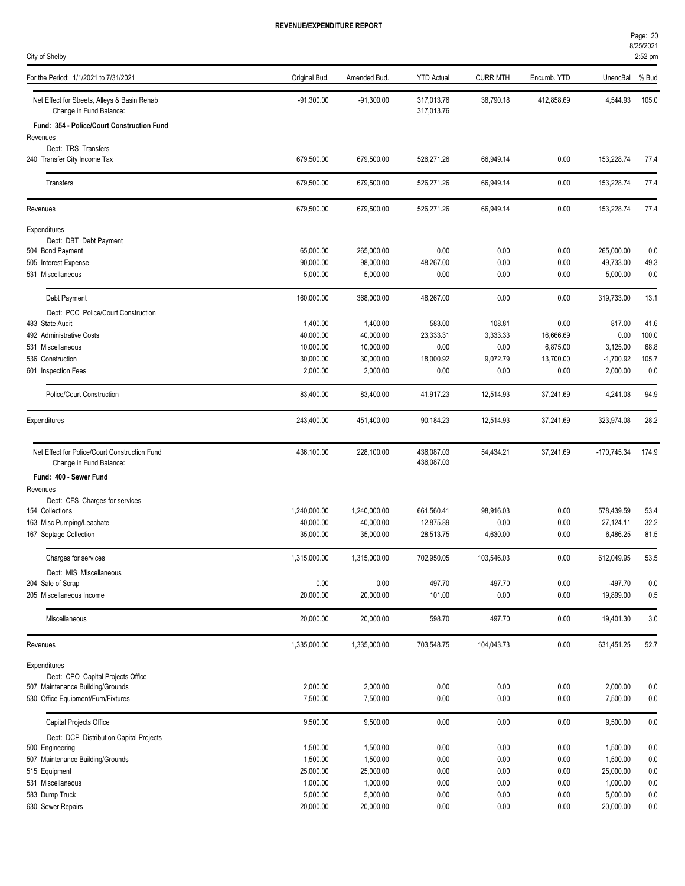| Page: 20  |  |
|-----------|--|
| 8/25/2021 |  |

| City of Shelby                                                           |               |              |                          |                 |             |               | 8/25/2021<br>2:52 pm |
|--------------------------------------------------------------------------|---------------|--------------|--------------------------|-----------------|-------------|---------------|----------------------|
| For the Period: 1/1/2021 to 7/31/2021                                    | Original Bud. | Amended Bud. | <b>YTD Actual</b>        | <b>CURR MTH</b> | Encumb. YTD | UnencBal      | % Bud                |
| Net Effect for Streets, Alleys & Basin Rehab<br>Change in Fund Balance:  | $-91,300.00$  | $-91,300.00$ | 317,013.76<br>317,013.76 | 38,790.18       | 412,858.69  | 4,544.93      | 105.0                |
| Fund: 354 - Police/Court Construction Fund                               |               |              |                          |                 |             |               |                      |
| Revenues                                                                 |               |              |                          |                 |             |               |                      |
| Dept: TRS Transfers                                                      |               |              |                          |                 |             |               |                      |
| 240 Transfer City Income Tax                                             | 679,500.00    | 679,500.00   | 526,271.26               | 66,949.14       | 0.00        | 153,228.74    | 77.4                 |
| Transfers                                                                | 679,500.00    | 679,500.00   | 526,271.26               | 66,949.14       | 0.00        | 153,228.74    | 77.4                 |
| Revenues                                                                 | 679,500.00    | 679,500.00   | 526,271.26               | 66,949.14       | 0.00        | 153,228.74    | 77.4                 |
| Expenditures                                                             |               |              |                          |                 |             |               |                      |
| Dept: DBT Debt Payment                                                   |               |              |                          |                 |             |               |                      |
| 504 Bond Payment                                                         | 65,000.00     | 265,000.00   | 0.00                     | 0.00            | 0.00        | 265,000.00    | 0.0                  |
| 505 Interest Expense                                                     | 90,000.00     | 98,000.00    | 48,267.00                | 0.00            | 0.00        | 49,733.00     | 49.3                 |
| 531 Miscellaneous                                                        | 5,000.00      | 5,000.00     | 0.00                     | 0.00            | 0.00        | 5,000.00      | 0.0                  |
| Debt Payment                                                             | 160,000.00    | 368,000.00   | 48,267.00                | 0.00            | 0.00        | 319,733.00    | 13.1                 |
| Dept: PCC Police/Court Construction                                      |               |              |                          |                 |             |               |                      |
| 483 State Audit                                                          | 1,400.00      | 1,400.00     | 583.00                   | 108.81          | 0.00        | 817.00        | 41.6                 |
| 492 Administrative Costs                                                 | 40,000.00     | 40,000.00    | 23,333.31                | 3,333.33        | 16,666.69   | 0.00          | 100.0                |
| 531 Miscellaneous                                                        | 10,000.00     | 10,000.00    | 0.00                     | 0.00            | 6,875.00    | 3,125.00      | 68.8                 |
| 536 Construction                                                         | 30.000.00     | 30,000.00    | 18,000.92                | 9,072.79        | 13,700.00   | $-1,700.92$   | 105.7                |
| 601 Inspection Fees                                                      | 2,000.00      | 2,000.00     | 0.00                     | 0.00            | 0.00        | 2,000.00      | 0.0                  |
| Police/Court Construction                                                | 83,400.00     | 83,400.00    | 41,917.23                | 12,514.93       | 37,241.69   | 4,241.08      | 94.9                 |
| Expenditures                                                             | 243,400.00    | 451,400.00   | 90,184.23                | 12,514.93       | 37,241.69   | 323,974.08    | 28.2                 |
| Net Effect for Police/Court Construction Fund<br>Change in Fund Balance: | 436,100.00    | 228,100.00   | 436,087.03<br>436,087.03 | 54,434.21       | 37,241.69   | $-170,745.34$ | 174.9                |
| Fund: 400 - Sewer Fund                                                   |               |              |                          |                 |             |               |                      |
| Revenues                                                                 |               |              |                          |                 |             |               |                      |
| Dept: CFS Charges for services                                           |               |              |                          |                 |             |               |                      |
| 154 Collections                                                          | 1,240,000.00  | 1,240,000.00 | 661,560.41               | 98,916.03       | 0.00        | 578,439.59    | 53.4                 |
| 163 Misc Pumping/Leachate                                                | 40,000.00     | 40,000.00    | 12,875.89                | 0.00            | 0.00        | 27,124.11     | 32.2                 |
| 167 Septage Collection                                                   | 35,000.00     | 35,000.00    | 28,513.75                | 4,630.00        | 0.00        | 6,486.25      | 81.5                 |
| Charges for services                                                     | 1,315,000.00  | 1,315,000.00 | 702,950.05               | 103,546.03      | 0.00        | 612,049.95    | 53.5                 |
| Dept: MIS Miscellaneous                                                  |               |              |                          |                 |             |               |                      |
| 204 Sale of Scrap                                                        | 0.00          | 0.00         | 497.70                   | 497.70          | 0.00        | -497.70       | 0.0                  |
| 205 Miscellaneous Income                                                 | 20,000.00     | 20,000.00    | 101.00                   | 0.00            | 0.00        | 19,899.00     | 0.5                  |
| Miscellaneous                                                            | 20,000.00     | 20,000.00    | 598.70                   | 497.70          | 0.00        | 19,401.30     | 3.0                  |
| Revenues                                                                 | 1,335,000.00  | 1,335,000.00 | 703,548.75               | 104,043.73      | 0.00        | 631,451.25    | 52.7                 |
| Expenditures                                                             |               |              |                          |                 |             |               |                      |
| Dept: CPO Capital Projects Office                                        |               |              |                          |                 |             |               |                      |
| 507 Maintenance Building/Grounds                                         | 2,000.00      | 2,000.00     | 0.00                     | 0.00            | 0.00        | 2,000.00      | 0.0                  |
| 530 Office Equipment/Furn/Fixtures                                       | 7,500.00      | 7,500.00     | 0.00                     | 0.00            | 0.00        | 7,500.00      | 0.0                  |
| Capital Projects Office                                                  | 9,500.00      | 9,500.00     | 0.00                     | 0.00            | 0.00        | 9,500.00      | 0.0                  |
| Dept: DCP Distribution Capital Projects                                  |               |              |                          |                 |             |               |                      |
| 500 Engineering                                                          | 1,500.00      | 1,500.00     | 0.00                     | 0.00            | 0.00        | 1,500.00      | $0.0\,$              |
| 507 Maintenance Building/Grounds                                         | 1,500.00      | 1,500.00     | 0.00                     | 0.00            | 0.00        | 1,500.00      | 0.0                  |
| 515 Equipment                                                            | 25,000.00     | 25,000.00    | $0.00\,$                 | 0.00            | 0.00        | 25,000.00     | 0.0                  |

531 Miscellaneous 1,000.00 1,000.00 0.00 0.00 0.00 1,000.00 0.0 583 Dump Truck 5,000.00 5,000.00 0.00 0.00 0.00 5,000.00 0.0 630 Sewer Repairs 20,000.00 0.00 0.00 0.00 20,000.00 0.0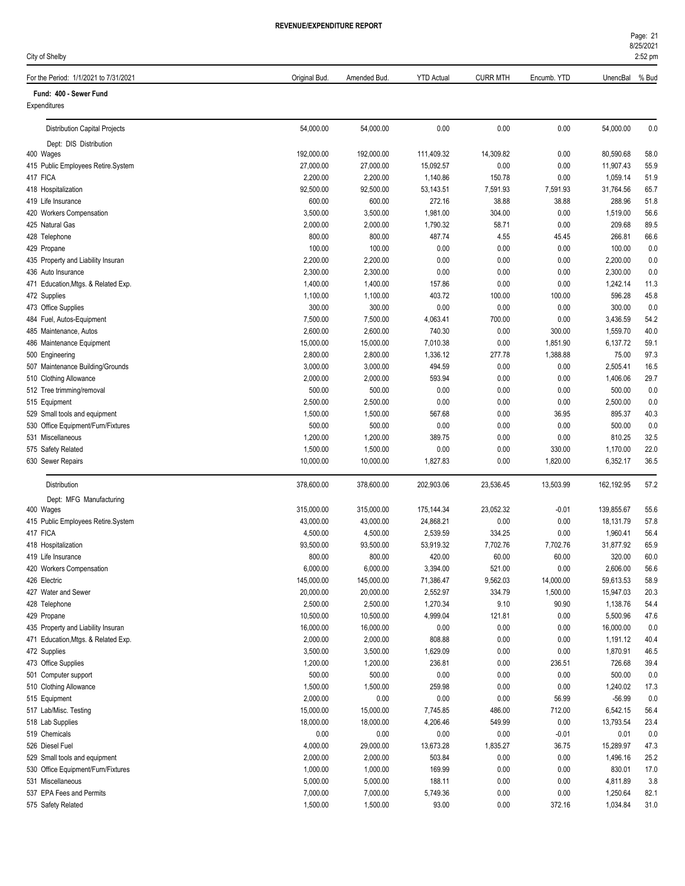Page: 21

| City of Shelby                                      |                    |                    |                      |                  |                 |                       | 8/25/2021<br>2:52 pm |
|-----------------------------------------------------|--------------------|--------------------|----------------------|------------------|-----------------|-----------------------|----------------------|
| For the Period: 1/1/2021 to 7/31/2021               | Original Bud.      | Amended Bud.       | <b>YTD Actual</b>    | <b>CURR MTH</b>  | Encumb. YTD     | UnencBal              | % Bud                |
| Fund: 400 - Sewer Fund                              |                    |                    |                      |                  |                 |                       |                      |
| Expenditures                                        |                    |                    |                      |                  |                 |                       |                      |
| <b>Distribution Capital Projects</b>                | 54,000.00          | 54,000.00          | 0.00                 | 0.00             | 0.00            | 54,000.00             | 0.0                  |
| Dept: DIS Distribution                              |                    |                    |                      |                  |                 |                       |                      |
| 400 Wages                                           | 192,000.00         | 192,000.00         | 111,409.32           | 14,309.82        | 0.00            | 80,590.68             | 58.0                 |
| 415 Public Employees Retire.System                  | 27,000.00          | 27,000.00          | 15,092.57            | 0.00             | 0.00            | 11,907.43             | 55.9                 |
| 417 FICA                                            | 2,200.00           | 2,200.00           | 1,140.86             | 150.78           | 0.00            | 1,059.14              | 51.9                 |
| 418 Hospitalization                                 | 92,500.00          | 92,500.00          | 53,143.51            | 7,591.93         | 7,591.93        | 31,764.56             | 65.7                 |
| 419 Life Insurance                                  | 600.00             | 600.00             | 272.16               | 38.88            | 38.88           | 288.96                | 51.8                 |
| 420 Workers Compensation                            | 3,500.00           | 3,500.00           | 1,981.00             | 304.00           | 0.00            | 1,519.00              | 56.6                 |
| 425 Natural Gas                                     | 2,000.00           | 2,000.00           | 1,790.32             | 58.71            | 0.00            | 209.68                | 89.5                 |
| 428 Telephone                                       | 800.00             | 800.00             | 487.74               | 4.55             | 45.45           | 266.81                | 66.6                 |
| 429 Propane                                         | 100.00             | 100.00             | 0.00                 | 0.00             | 0.00            | 100.00                | 0.0                  |
| 435 Property and Liability Insuran                  | 2,200.00           | 2,200.00           | 0.00                 | 0.00             | 0.00            | 2,200.00              | 0.0                  |
| 436 Auto Insurance                                  | 2,300.00           | 2,300.00           | 0.00                 | 0.00             | 0.00            | 2,300.00              | 0.0                  |
| 471 Education, Mtgs. & Related Exp.                 | 1,400.00           | 1,400.00           | 157.86               | 0.00             | 0.00            | 1,242.14              | 11.3                 |
| 472 Supplies                                        | 1,100.00           | 1,100.00           | 403.72               | 100.00           | 100.00          | 596.28                | 45.8                 |
| 473 Office Supplies                                 | 300.00<br>7,500.00 | 300.00<br>7,500.00 | 0.00<br>4,063.41     | 0.00<br>700.00   | 0.00<br>0.00    | 300.00<br>3,436.59    | 0.0<br>54.2          |
| 484 Fuel, Autos-Equipment<br>485 Maintenance, Autos | 2,600.00           | 2,600.00           | 740.30               | 0.00             | 300.00          | 1,559.70              | 40.0                 |
| 486 Maintenance Equipment                           | 15,000.00          | 15,000.00          | 7,010.38             | 0.00             | 1,851.90        | 6,137.72              | 59.1                 |
| 500 Engineering                                     | 2,800.00           | 2,800.00           | 1,336.12             | 277.78           | 1,388.88        | 75.00                 | 97.3                 |
| 507 Maintenance Building/Grounds                    | 3,000.00           | 3,000.00           | 494.59               | 0.00             | 0.00            | 2,505.41              | 16.5                 |
| 510 Clothing Allowance                              | 2,000.00           | 2,000.00           | 593.94               | 0.00             | 0.00            | 1,406.06              | 29.7                 |
| 512 Tree trimming/removal                           | 500.00             | 500.00             | 0.00                 | 0.00             | 0.00            | 500.00                | 0.0                  |
| 515 Equipment                                       | 2,500.00           | 2,500.00           | 0.00                 | 0.00             | 0.00            | 2,500.00              | 0.0                  |
| 529 Small tools and equipment                       | 1,500.00           | 1,500.00           | 567.68               | 0.00             | 36.95           | 895.37                | 40.3                 |
| 530 Office Equipment/Furn/Fixtures                  | 500.00             | 500.00             | 0.00                 | 0.00             | 0.00            | 500.00                | 0.0                  |
| 531 Miscellaneous                                   | 1,200.00           | 1,200.00           | 389.75               | 0.00             | 0.00            | 810.25                | 32.5                 |
| 575 Safety Related                                  | 1,500.00           | 1,500.00           | 0.00                 | 0.00             | 330.00          | 1,170.00              | 22.0                 |
| 630 Sewer Repairs                                   | 10,000.00          | 10,000.00          | 1,827.83             | 0.00             | 1,820.00        | 6,352.17              | 36.5                 |
| Distribution                                        | 378,600.00         | 378,600.00         | 202,903.06           | 23,536.45        | 13,503.99       | 162,192.95            | 57.2                 |
| Dept: MFG Manufacturing                             |                    |                    |                      |                  |                 |                       |                      |
| 400 Wages                                           | 315,000.00         | 315,000.00         | 175,144.34           | 23,052.32        | -0.01           | 139,855.67            | 55.6                 |
| 415 Public Employees Retire.System                  | 43,000.00          | 43,000.00          | 24,868.21            | 0.00             | 0.00            | 18,131.79             | 57.8                 |
| 417 FICA                                            | 4,500.00           | 4,500.00           | 2,539.59             | 334.25           | 0.00            | 1,960.41              | 56.4                 |
| 418 Hospitalization                                 | 93,500.00          | 93,500.00          | 53,919.32            | 7,702.76         | 7,702.76        | 31,877.92             | 65.9                 |
| 419 Life Insurance                                  | 800.00             | 800.00             | 420.00               | 60.00            | 60.00           | 320.00                | 60.0                 |
| 420 Workers Compensation                            | 6,000.00           | 6,000.00           | 3,394.00             | 521.00           | 0.00            | 2,606.00              | 56.6                 |
| 426 Electric                                        | 145,000.00         | 145,000.00         | 71,386.47            | 9,562.03         | 14,000.00       | 59,613.53             | 58.9                 |
| 427 Water and Sewer                                 | 20,000.00          | 20,000.00          | 2,552.97             | 334.79           | 1,500.00        | 15,947.03             | 20.3                 |
| 428 Telephone                                       | 2,500.00           | 2,500.00           | 1,270.34             | 9.10             | 90.90           | 1,138.76              | 54.4                 |
| 429 Propane                                         | 10,500.00          | 10,500.00          | 4,999.04             | 121.81           | 0.00            | 5,500.96              | 47.6                 |
| 435 Property and Liability Insuran                  | 16,000.00          | 16,000.00          | 0.00                 | 0.00             | 0.00            | 16,000.00             | 0.0                  |
| 471 Education, Mtgs. & Related Exp.                 | 2,000.00           | 2,000.00           | 808.88               | 0.00             | 0.00            | 1,191.12              | 40.4                 |
| 472 Supplies                                        | 3,500.00           | 3,500.00           | 1,629.09             | 0.00             | 0.00            | 1,870.91              | 46.5                 |
| 473 Office Supplies                                 | 1,200.00           | 1,200.00           | 236.81               | 0.00             | 236.51          | 726.68                | 39.4                 |
| 501 Computer support                                | 500.00             | 500.00             | 0.00                 | 0.00             | 0.00            | 500.00                | 0.0                  |
| 510 Clothing Allowance                              | 1,500.00           | 1,500.00           | 259.98               | 0.00             | 0.00            | 1,240.02              | 17.3                 |
| 515 Equipment                                       | 2,000.00           | 0.00               | 0.00                 | 0.00             | 56.99           | $-56.99$              | 0.0                  |
| 517 Lab/Misc. Testing                               | 15,000.00          | 15,000.00          | 7,745.85<br>4,206.46 | 486.00<br>549.99 | 712.00          | 6,542.15<br>13,793.54 | 56.4<br>23.4         |
| 518 Lab Supplies                                    | 18,000.00<br>0.00  | 18,000.00          | 0.00                 | 0.00             | 0.00<br>$-0.01$ |                       | 0.0                  |
| 519 Chemicals<br>526 Diesel Fuel                    | 4,000.00           | 0.00<br>29,000.00  | 13,673.28            | 1,835.27         | 36.75           | 0.01<br>15,289.97     | 47.3                 |
| 529 Small tools and equipment                       | 2,000.00           | 2,000.00           | 503.84               | 0.00             | 0.00            | 1,496.16              | 25.2                 |
| 530 Office Equipment/Furn/Fixtures                  | 1,000.00           | 1,000.00           | 169.99               | 0.00             | 0.00            | 830.01                | 17.0                 |
| 531 Miscellaneous                                   | 5,000.00           | 5,000.00           | 188.11               | 0.00             | 0.00            | 4,811.89              | 3.8                  |
| 537 EPA Fees and Permits                            | 7,000.00           | 7,000.00           | 5,749.36             | 0.00             | 0.00            | 1,250.64              | 82.1                 |

575 Safety Related 1,500.00 1,500.00 93.00 0.00 372.16 1,034.84 31.0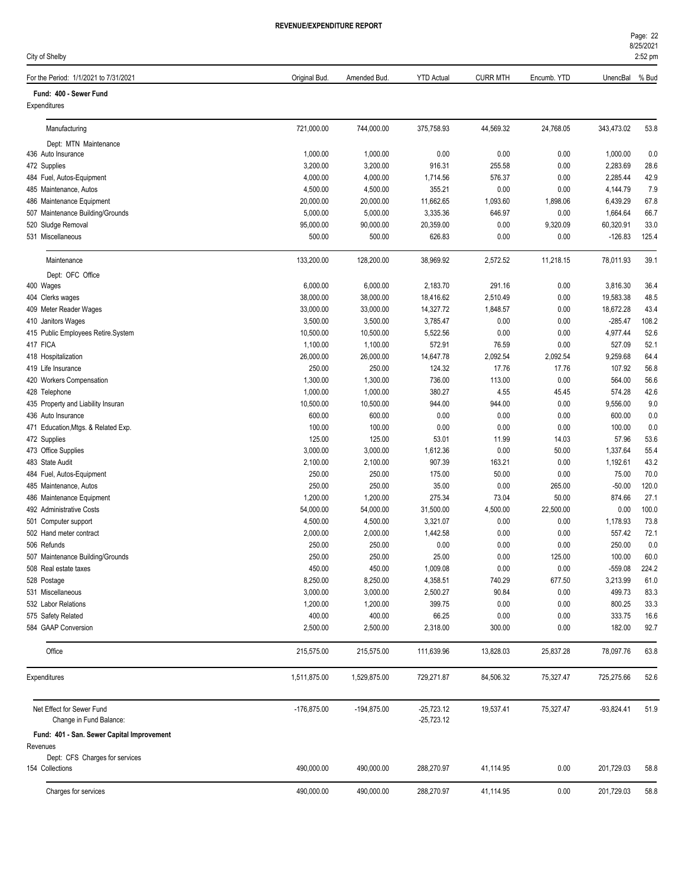City of Shelby

| Page: 22  |
|-----------|
| 8/25/2021 |
| $2:52$ pm |
|           |

| For the Period: 1/1/2021 to 7/31/2021                  | Original Bud.          | Amended Bud            | <b>YTD Actual</b>            | <b>CURR MTH</b>      | Encumb. YTD  | UnencBal               | % Bud        |
|--------------------------------------------------------|------------------------|------------------------|------------------------------|----------------------|--------------|------------------------|--------------|
| Fund: 400 - Sewer Fund                                 |                        |                        |                              |                      |              |                        |              |
| Expenditures                                           |                        |                        |                              |                      |              |                        |              |
| Manufacturing                                          | 721,000.00             | 744,000.00             | 375,758.93                   | 44,569.32            | 24,768.05    | 343,473.02             | 53.8         |
| Dept: MTN Maintenance                                  |                        |                        |                              |                      |              |                        |              |
| 436 Auto Insurance                                     | 1,000.00               | 1,000.00               | 0.00                         | 0.00                 | 0.00         | 1,000.00               | 0.0          |
| 472 Supplies                                           | 3,200.00               | 3,200.00               | 916.31                       | 255.58               | 0.00         | 2,283.69               | 28.6         |
| 484 Fuel, Autos-Equipment                              | 4,000.00               | 4,000.00               | 1,714.56                     | 576.37               | 0.00         | 2,285.44               | 42.9         |
| 485 Maintenance, Autos                                 | 4,500.00               | 4,500.00               | 355.21                       | 0.00                 | 0.00         | 4,144.79               | 7.9          |
| 486 Maintenance Equipment                              | 20,000.00              | 20,000.00              | 11,662.65                    | 1,093.60             | 1,898.06     | 6,439.29               | 67.8         |
| 507 Maintenance Building/Grounds                       | 5,000.00               | 5,000.00               | 3,335.36                     | 646.97               | 0.00         | 1,664.64               | 66.7         |
| 520 Sludge Removal                                     | 95,000.00              | 90,000.00              | 20,359.00                    | 0.00                 | 9,320.09     | 60,320.91              | 33.0         |
| 531 Miscellaneous                                      | 500.00                 | 500.00                 | 626.83                       | 0.00                 | 0.00         | $-126.83$              | 125.4        |
| Maintenance                                            | 133,200.00             | 128,200.00             | 38,969.92                    | 2,572.52             | 11,218.15    | 78,011.93              | 39.1         |
| Dept: OFC Office                                       |                        |                        |                              |                      |              |                        |              |
| 400 Wages                                              | 6,000.00               | 6,000.00               | 2,183.70                     | 291.16               | 0.00         | 3,816.30               | 36.4         |
| 404 Clerks wages<br>409 Meter Reader Wages             | 38,000.00<br>33,000.00 | 38,000.00<br>33,000.00 | 18,416.62<br>14,327.72       | 2,510.49<br>1,848.57 | 0.00<br>0.00 | 19,583.38<br>18,672.28 | 48.5<br>43.4 |
| 410 Janitors Wages                                     | 3,500.00               | 3,500.00               | 3,785.47                     | 0.00                 | 0.00         | $-285.47$              | 108.2        |
| 415 Public Employees Retire.System                     | 10,500.00              | 10,500.00              | 5,522.56                     | 0.00                 | 0.00         | 4,977.44               | 52.6         |
| 417 FICA                                               | 1,100.00               | 1,100.00               | 572.91                       | 76.59                | 0.00         | 527.09                 | 52.1         |
| 418 Hospitalization                                    | 26,000.00              | 26,000.00              | 14,647.78                    | 2,092.54             | 2,092.54     | 9,259.68               | 64.4         |
| 419 Life Insurance                                     | 250.00                 | 250.00                 | 124.32                       | 17.76                | 17.76        | 107.92                 | 56.8         |
| 420 Workers Compensation                               | 1,300.00               | 1,300.00               | 736.00                       | 113.00               | 0.00         | 564.00                 | 56.6         |
| 428 Telephone                                          | 1,000.00               | 1,000.00               | 380.27                       | 4.55                 | 45.45        | 574.28                 | 42.6         |
| 435 Property and Liability Insuran                     | 10,500.00              | 10,500.00              | 944.00                       | 944.00               | 0.00         | 9,556.00               | 9.0          |
| 436 Auto Insurance                                     | 600.00                 | 600.00                 | 0.00                         | 0.00                 | 0.00         | 600.00                 | 0.0          |
| 471 Education, Mtgs. & Related Exp.                    | 100.00                 | 100.00                 | 0.00                         | 0.00                 | 0.00         | 100.00                 | 0.0          |
| 472 Supplies                                           | 125.00                 | 125.00                 | 53.01                        | 11.99                | 14.03        | 57.96                  | 53.6         |
| 473 Office Supplies                                    | 3,000.00               | 3,000.00               | 1,612.36                     | 0.00                 | 50.00        | 1,337.64               | 55.4         |
| 483 State Audit                                        | 2,100.00               | 2,100.00               | 907.39                       | 163.21               | 0.00         | 1,192.61               | 43.2         |
| 484 Fuel, Autos-Equipment                              | 250.00                 | 250.00                 | 175.00                       | 50.00                | 0.00         | 75.00                  | 70.0         |
| 485 Maintenance, Autos                                 | 250.00                 | 250.00                 | 35.00                        | 0.00                 | 265.00       | $-50.00$               | 120.0        |
| 486 Maintenance Equipment                              | 1,200.00               | 1,200.00               | 275.34                       | 73.04                | 50.00        | 874.66                 | 27.1         |
| 492 Administrative Costs                               | 54,000.00              | 54,000.00              | 31,500.00                    | 4,500.00             | 22,500.00    | 0.00                   | 100.0        |
| 501 Computer support                                   | 4,500.00               | 4,500.00               | 3,321.07                     | 0.00                 | 0.00         | 1,178.93               | 73.8         |
| 502 Hand meter contract                                | 2,000.00               | 2,000.00               | 1,442.58                     | 0.00                 | 0.00         | 557.42                 | 72.1         |
| 506 Refunds                                            | 250.00                 | 250.00                 | 0.00                         | 0.00                 | 0.00         | 250.00                 | 0.0          |
| 507 Maintenance Building/Grounds                       | 250.00                 | 250.00                 | 25.00                        | 0.00                 | 125.00       | 100.00                 | 60.0         |
| 508 Real estate taxes                                  | 450.00                 | 450.00                 | 1,009.08                     | 0.00                 | $0.00\,$     | $-559.08$              | 224.2        |
| 528 Postage                                            | 8,250.00               | 8,250.00               | 4,358.51                     | 740.29               | 677.50       | 3,213.99               | 61.0         |
| 531 Miscellaneous                                      | 3,000.00               | 3,000.00               | 2,500.27                     | 90.84                | 0.00         | 499.73                 | 83.3         |
| 532 Labor Relations                                    | 1,200.00               | 1,200.00               | 399.75                       | 0.00                 | 0.00         | 800.25                 | 33.3         |
| 575 Safety Related<br>584 GAAP Conversion              | 400.00<br>2,500.00     | 400.00<br>2,500.00     | 66.25<br>2,318.00            | 0.00<br>300.00       | 0.00<br>0.00 | 333.75<br>182.00       | 16.6<br>92.7 |
| Office                                                 |                        |                        |                              |                      |              |                        |              |
|                                                        | 215,575.00             | 215,575.00             | 111,639.96                   | 13,828.03            | 25,837.28    | 78,097.76              | 63.8         |
| Expenditures                                           | 1,511,875.00           | 1,529,875.00           | 729,271.87                   | 84,506.32            | 75,327.47    | 725,275.66             | 52.6         |
| Net Effect for Sewer Fund<br>Change in Fund Balance:   | $-176,875.00$          | -194,875.00            | $-25,723.12$<br>$-25,723.12$ | 19,537.41            | 75,327.47    | $-93,824.41$           | 51.9         |
| Fund: 401 - San. Sewer Capital Improvement<br>Revenues |                        |                        |                              |                      |              |                        |              |
| Dept: CFS Charges for services                         |                        |                        |                              |                      |              |                        |              |
| 154 Collections                                        | 490,000.00             | 490,000.00             | 288,270.97                   | 41,114.95            | 0.00         | 201,729.03             | 58.8         |
| Charges for services                                   | 490,000.00             | 490,000.00             | 288,270.97                   | 41,114.95            | 0.00         | 201,729.03             | 58.8         |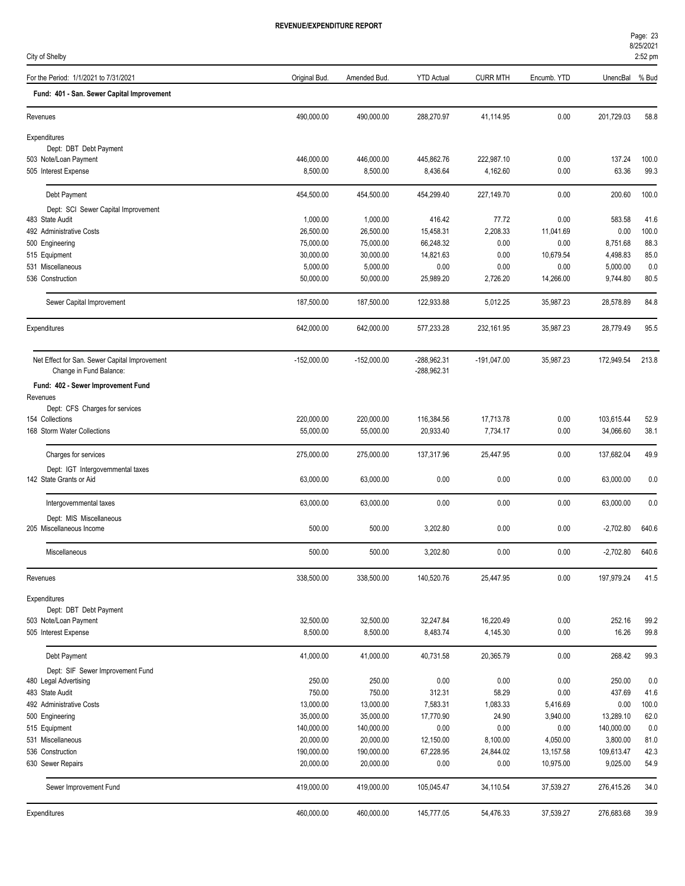| City of Shelby                                                           |                         |                         |                            |                 |                  |                         | 2:52 pm      |
|--------------------------------------------------------------------------|-------------------------|-------------------------|----------------------------|-----------------|------------------|-------------------------|--------------|
| For the Period: 1/1/2021 to 7/31/2021                                    | Original Bud.           | Amended Bud.            | <b>YTD Actual</b>          | <b>CURR MTH</b> | Encumb. YTD      | UnencBal                | % Bud        |
| Fund: 401 - San. Sewer Capital Improvement                               |                         |                         |                            |                 |                  |                         |              |
| Revenues                                                                 | 490,000.00              | 490,000.00              | 288,270.97                 | 41,114.95       | 0.00             | 201,729.03              | 58.8         |
| Expenditures                                                             |                         |                         |                            |                 |                  |                         |              |
| Dept: DBT Debt Payment                                                   |                         |                         |                            |                 |                  |                         |              |
| 503 Note/Loan Payment                                                    | 446,000.00              | 446,000.00              | 445,862.76                 | 222,987.10      | 0.00             | 137.24                  | 100.0        |
| 505 Interest Expense                                                     | 8,500.00                | 8,500.00                | 8,436.64                   | 4,162.60        | 0.00             | 63.36                   | 99.3         |
| Debt Payment                                                             | 454,500.00              | 454,500.00              | 454,299.40                 | 227,149.70      | 0.00             | 200.60                  | 100.0        |
| Dept: SCI Sewer Capital Improvement                                      |                         |                         |                            |                 |                  |                         |              |
| 483 State Audit                                                          | 1,000.00                | 1,000.00                | 416.42                     | 77.72           | 0.00             | 583.58                  | 41.6         |
| 492 Administrative Costs                                                 | 26,500.00               | 26,500.00               | 15,458.31                  | 2,208.33        | 11,041.69        | 0.00                    | 100.0        |
| 500 Engineering                                                          | 75,000.00               | 75,000.00               | 66,248.32                  | 0.00            | 0.00             | 8,751.68                | 88.3         |
| 515 Equipment                                                            | 30,000.00               | 30,000.00               | 14,821.63                  | 0.00            | 10,679.54        | 4,498.83                | 85.0         |
| 531 Miscellaneous                                                        | 5,000.00                | 5,000.00                | 0.00                       | 0.00            | 0.00             | 5,000.00                | 0.0          |
| 536 Construction                                                         | 50,000.00               | 50,000.00               | 25,989.20                  | 2,726.20        | 14,266.00        | 9,744.80                | 80.5         |
| Sewer Capital Improvement                                                | 187,500.00              | 187,500.00              | 122,933.88                 | 5,012.25        | 35,987.23        | 28,578.89               | 84.8         |
| Expenditures                                                             | 642,000.00              | 642,000.00              | 577,233.28                 | 232,161.95      | 35,987.23        | 28,779.49               | 95.5         |
| Net Effect for San. Sewer Capital Improvement<br>Change in Fund Balance: | -152,000.00             | $-152,000.00$           | -288,962.31<br>-288,962.31 | $-191,047.00$   | 35,987.23        | 172,949.54              | 213.8        |
|                                                                          |                         |                         |                            |                 |                  |                         |              |
| Fund: 402 - Sewer Improvement Fund<br>Revenues                           |                         |                         |                            |                 |                  |                         |              |
| Dept: CFS Charges for services                                           |                         |                         |                            |                 |                  |                         |              |
| 154 Collections                                                          | 220,000.00              | 220,000.00              | 116,384.56                 | 17,713.78       | 0.00             | 103,615.44              | 52.9         |
| 168 Storm Water Collections                                              | 55,000.00               | 55,000.00               | 20,933.40                  | 7,734.17        | 0.00             | 34,066.60               | 38.1         |
| Charges for services                                                     | 275,000.00              | 275,000.00              | 137,317.96                 | 25,447.95       | 0.00             | 137,682.04              | 49.9         |
| Dept: IGT Intergovernmental taxes                                        |                         |                         |                            |                 |                  |                         |              |
| 142 State Grants or Aid                                                  | 63,000.00               | 63,000.00               | 0.00                       | 0.00            | 0.00             | 63,000.00               | 0.0          |
| Intergovernmental taxes                                                  | 63,000.00               | 63,000.00               | 0.00                       | 0.00            | 0.00             | 63,000.00               | 0.0          |
| Dept: MIS Miscellaneous                                                  |                         |                         |                            |                 |                  |                         |              |
| 205 Miscellaneous Income                                                 | 500.00                  | 500.00                  | 3,202.80                   | 0.00            | 0.00             | $-2,702.80$             | 640.6        |
| Miscellaneous                                                            | 500.00                  | 500.00                  | 3,202.80                   | 0.00            | 0.00             | $-2,702.80$             | 640.6        |
| Revenues                                                                 | 338,500.00              | 338,500.00              | 140,520.76                 | 25,447.95       | 0.00             | 197,979.24              | 41.5         |
| Expenditures                                                             |                         |                         |                            |                 |                  |                         |              |
| Dept: DBT Debt Payment                                                   |                         |                         |                            |                 |                  |                         |              |
| 503 Note/Loan Payment                                                    | 32,500.00               | 32,500.00               | 32,247.84                  | 16,220.49       | 0.00             | 252.16                  | 99.2         |
| 505 Interest Expense                                                     | 8,500.00                | 8,500.00                | 8,483.74                   | 4,145.30        | 0.00             | 16.26                   | 99.8         |
| Debt Payment                                                             | 41,000.00               | 41,000.00               | 40,731.58                  | 20,365.79       | 0.00             | 268.42                  | 99.3         |
| Dept: SIF Sewer Improvement Fund                                         |                         |                         |                            |                 |                  |                         |              |
| 480 Legal Advertising<br>483 State Audit                                 | 250.00<br>750.00        | 250.00<br>750.00        | 0.00<br>312.31             | 0.00<br>58.29   | 0.00<br>0.00     | 250.00<br>437.69        | 0.0<br>41.6  |
| 492 Administrative Costs                                                 | 13,000.00               | 13,000.00               | 7,583.31                   | 1,083.33        | 5,416.69         | 0.00                    | 100.0        |
|                                                                          |                         |                         |                            |                 |                  |                         |              |
| 500 Engineering                                                          | 35,000.00<br>140,000.00 | 35,000.00<br>140,000.00 | 17,770.90<br>0.00          | 24.90<br>0.00   | 3,940.00         | 13,289.10<br>140,000.00 | 62.0<br>0.0  |
| 515 Equipment<br>531 Miscellaneous                                       | 20,000.00               | 20,000.00               | 12,150.00                  | 8,100.00        | 0.00<br>4,050.00 | 3,800.00                |              |
| 536 Construction                                                         | 190,000.00              | 190,000.00              | 67,228.95                  | 24,844.02       | 13,157.58        | 109,613.47              | 81.0<br>42.3 |
| 630 Sewer Repairs                                                        | 20,000.00               | 20,000.00               | 0.00                       | 0.00            | 10,975.00        | 9,025.00                | 54.9         |
|                                                                          |                         |                         |                            |                 |                  |                         |              |
| Sewer Improvement Fund                                                   | 419,000.00              | 419,000.00              | 105,045.47                 | 34,110.54       | 37,539.27        | 276,415.26              | 34.0         |
| Expenditures                                                             | 460,000.00              | 460,000.00              | 145,777.05                 | 54,476.33       | 37,539.27        | 276,683.68              | 39.9         |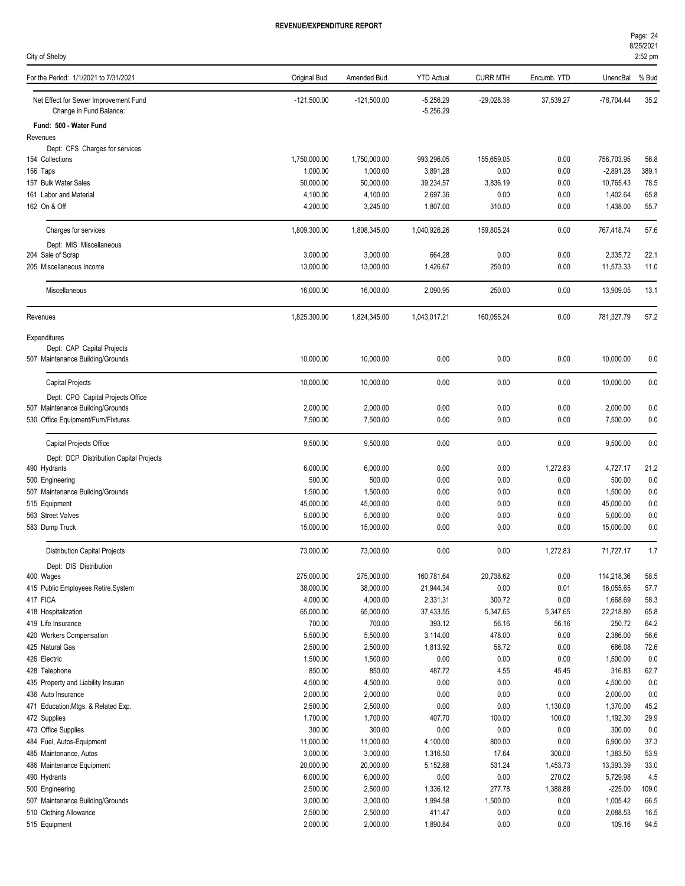| City of Shelby                                                   |                       |                       |                            |                 |                |                       | 2:52 pm     |
|------------------------------------------------------------------|-----------------------|-----------------------|----------------------------|-----------------|----------------|-----------------------|-------------|
| For the Period: 1/1/2021 to 7/31/2021                            | Original Bud.         | Amended Bud.          | <b>YTD Actual</b>          | <b>CURR MTH</b> | Encumb. YTD    | UnencBal              | % Bud       |
| Net Effect for Sewer Improvement Fund<br>Change in Fund Balance: | $-121,500.00$         | $-121,500.00$         | $-5,256.29$<br>$-5,256.29$ | -29,028.38      | 37,539.27      | $-78,704.44$          | 35.2        |
| Fund: 500 - Water Fund                                           |                       |                       |                            |                 |                |                       |             |
| Revenues                                                         |                       |                       |                            |                 |                |                       |             |
| Dept: CFS Charges for services<br>154 Collections                | 1,750,000.00          | 1,750,000.00          | 993,296.05                 | 155,659.05      | 0.00           | 756,703.95            | 56.8        |
| 156 Taps                                                         | 1,000.00              | 1,000.00              | 3,891.28                   | 0.00            | 0.00           | $-2,891.28$           | 389.1       |
| 157 Bulk Water Sales                                             | 50,000.00             | 50,000.00             | 39,234.57                  | 3,836.19        | 0.00           | 10,765.43             | 78.5        |
| 161 Labor and Material                                           | 4,100.00              | 4,100.00              | 2,697.36                   | 0.00            | 0.00           | 1,402.64              | 65.8        |
| 162 On & Off                                                     | 4,200.00              | 3,245.00              | 1,807.00                   | 310.00          | 0.00           | 1,438.00              | 55.7        |
| Charges for services                                             | 1,809,300.00          | 1,808,345.00          | 1,040,926.26               | 159,805.24      | 0.00           | 767,418.74            | 57.6        |
| Dept: MIS Miscellaneous                                          |                       |                       |                            |                 |                |                       |             |
| 204 Sale of Scrap                                                | 3,000.00              | 3,000.00              | 664.28                     | 0.00            | 0.00           | 2,335.72              | 22.1        |
| 205 Miscellaneous Income                                         | 13,000.00             | 13,000.00             | 1,426.67                   | 250.00          | 0.00           | 11,573.33             | 11.0        |
| Miscellaneous                                                    | 16,000.00             | 16,000.00             | 2,090.95                   | 250.00          | 0.00           | 13,909.05             | 13.1        |
| Revenues                                                         | 1,825,300.00          | 1,824,345.00          | 1,043,017.21               | 160,055.24      | 0.00           | 781,327.79            | 57.2        |
| Expenditures                                                     |                       |                       |                            |                 |                |                       |             |
| Dept: CAP Capital Projects<br>507 Maintenance Building/Grounds   | 10,000.00             | 10,000.00             | 0.00                       | 0.00            | 0.00           | 10,000.00             | 0.0         |
| Capital Projects                                                 | 10,000.00             | 10,000.00             | 0.00                       | 0.00            | 0.00           | 10,000.00             | 0.0         |
| Dept: CPO Capital Projects Office                                |                       |                       |                            |                 |                |                       |             |
| 507 Maintenance Building/Grounds                                 | 2,000.00              | 2,000.00              | 0.00                       | 0.00            | 0.00           | 2,000.00              | 0.0         |
| 530 Office Equipment/Furn/Fixtures                               | 7,500.00              | 7,500.00              | 0.00                       | 0.00            | 0.00           | 7,500.00              | 0.0         |
| Capital Projects Office                                          | 9,500.00              | 9,500.00              | 0.00                       | 0.00            | 0.00           | 9,500.00              | 0.0         |
| Dept: DCP Distribution Capital Projects                          |                       |                       |                            |                 |                |                       |             |
| 490 Hydrants                                                     | 6,000.00              | 6,000.00              | 0.00                       | 0.00            | 1,272.83       | 4,727.17              | 21.2        |
| 500 Engineering                                                  | 500.00                | 500.00                | 0.00                       | 0.00            | 0.00           | 500.00                | 0.0         |
| 507 Maintenance Building/Grounds                                 | 1,500.00              | 1,500.00              | 0.00                       | 0.00            | 0.00           | 1,500.00              | 0.0         |
| 515 Equipment<br>563 Street Valves                               | 45,000.00<br>5,000.00 | 45,000.00<br>5,000.00 | 0.00<br>0.00               | 0.00<br>0.00    | 0.00<br>0.00   | 45,000.00<br>5,000.00 | 0.0<br>0.0  |
| 583 Dump Truck                                                   | 15,000.00             | 15,000.00             | 0.00                       | 0.00            | 0.00           | 15,000.00             | 0.0         |
|                                                                  |                       |                       |                            |                 |                |                       |             |
| Distribution Capital Projects                                    | 73,000.00             | 73,000.00             | 0.00                       | 0.00            | 1,272.83       | 71,727.17             | 1.7         |
| Dept: DIS Distribution<br>400 Wages                              | 275,000.00            | 275,000.00            | 160,781.64                 | 20,738.62       | 0.00           | 114,218.36            | 58.5        |
| 415 Public Employees Retire.System                               | 38,000.00             | 38,000.00             | 21,944.34                  | 0.00            | 0.01           | 16,055.65             | 57.7        |
| 417 FICA                                                         | 4,000.00              | 4,000.00              | 2,331.31                   | 300.72          | 0.00           | 1,668.69              | 58.3        |
| 418 Hospitalization                                              | 65,000.00             | 65,000.00             | 37,433.55                  | 5,347.65        | 5,347.65       | 22,218.80             | 65.8        |
| 419 Life Insurance                                               | 700.00                | 700.00                | 393.12                     | 56.16           | 56.16          | 250.72                | 64.2        |
| 420 Workers Compensation                                         | 5,500.00              | 5,500.00              | 3,114.00                   | 478.00          | 0.00           | 2,386.00              | 56.6        |
| 425 Natural Gas                                                  | 2,500.00              | 2,500.00              | 1,813.92                   | 58.72           | 0.00           | 686.08                | 72.6        |
| 426 Electric                                                     | 1,500.00              | 1,500.00              | 0.00                       | 0.00            | 0.00           | 1,500.00              | 0.0         |
| 428 Telephone                                                    | 850.00                | 850.00                | 487.72                     | 4.55            | 45.45          | 316.83                | 62.7        |
| 435 Property and Liability Insuran                               | 4,500.00              | 4,500.00              | 0.00                       | 0.00            | 0.00           | 4,500.00              | 0.0         |
| 436 Auto Insurance                                               | 2,000.00              | 2,000.00              | 0.00                       | 0.00            | 0.00           | 2,000.00              | 0.0         |
| 471 Education, Mtgs. & Related Exp.                              | 2,500.00              | 2,500.00              | 0.00                       | 0.00            | 1,130.00       | 1,370.00              | 45.2        |
| 472 Supplies<br>473 Office Supplies                              | 1,700.00<br>300.00    | 1,700.00<br>300.00    | 407.70<br>0.00             | 100.00<br>0.00  | 100.00<br>0.00 | 1,192.30<br>300.00    | 29.9<br>0.0 |
| 484 Fuel, Autos-Equipment                                        | 11,000.00             | 11,000.00             | 4,100.00                   | 800.00          | 0.00           | 6,900.00              | 37.3        |
| 485 Maintenance, Autos                                           | 3,000.00              | 3,000.00              | 1,316.50                   | 17.64           | 300.00         | 1,383.50              | 53.9        |
| 486 Maintenance Equipment                                        | 20,000.00             | 20,000.00             | 5,152.88                   | 531.24          | 1,453.73       | 13,393.39             | 33.0        |
| 490 Hydrants                                                     | 6,000.00              | 6,000.00              | 0.00                       | 0.00            | 270.02         | 5,729.98              | 4.5         |
| 500 Engineering                                                  | 2,500.00              | 2,500.00              | 1,336.12                   | 277.78          | 1,388.88       | $-225.00$             | 109.0       |
| 507 Maintenance Building/Grounds                                 | 3,000.00              | 3,000.00              | 1,994.58                   | 1,500.00        | 0.00           | 1,005.42              | 66.5        |
| 510 Clothing Allowance                                           | 2,500.00              | 2,500.00              | 411.47                     | 0.00            | 0.00           | 2,088.53              | 16.5        |
| 515 Equipment                                                    | 2,000.00              | 2,000.00              | 1,890.84                   | 0.00            | 0.00           | 109.16                | 94.5        |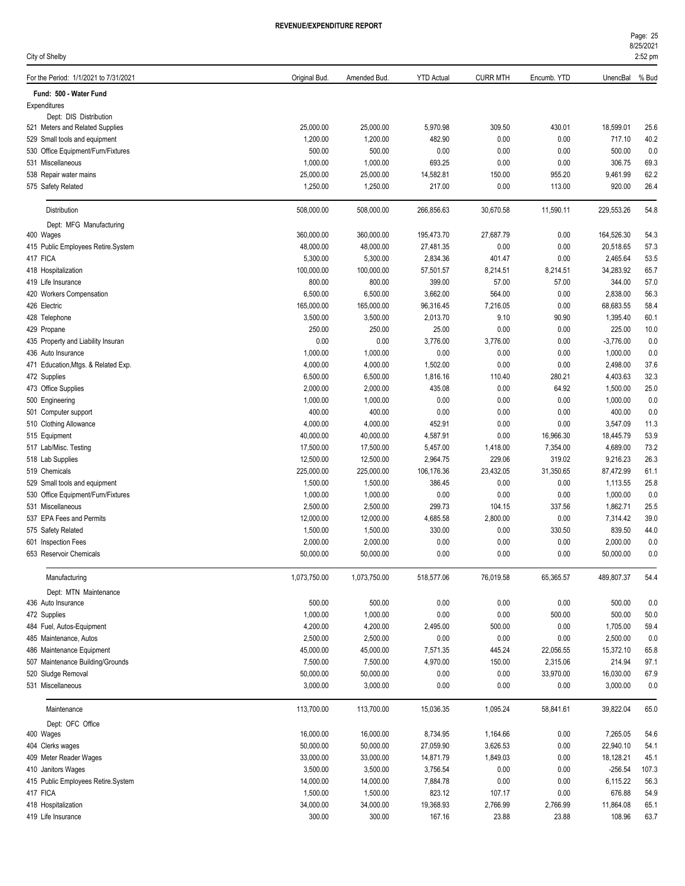| City of Shelby                                          |                       |                       |                   |                 |                       |                     | 8/25/2021<br>2:52 pm |
|---------------------------------------------------------|-----------------------|-----------------------|-------------------|-----------------|-----------------------|---------------------|----------------------|
| For the Period: 1/1/2021 to 7/31/2021                   | Original Bud.         | Amended Bud.          | <b>YTD Actual</b> | <b>CURR MTH</b> | Encumb. YTD           | UnencBal            | % Bud                |
| Fund: 500 - Water Fund                                  |                       |                       |                   |                 |                       |                     |                      |
| Expenditures                                            |                       |                       |                   |                 |                       |                     |                      |
| Dept: DIS Distribution                                  |                       |                       |                   |                 |                       |                     |                      |
| 521 Meters and Related Supplies                         | 25,000.00             | 25,000.00             | 5,970.98          | 309.50<br>0.00  | 430.01                | 18,599.01           | 25.6                 |
| 529 Small tools and equipment                           | 1,200.00<br>500.00    | 1,200.00<br>500.00    | 482.90<br>0.00    | 0.00            | 0.00<br>0.00          | 717.10<br>500.00    | 40.2<br>0.0          |
| 530 Office Equipment/Furn/Fixtures<br>531 Miscellaneous | 1,000.00              | 1,000.00              | 693.25            | 0.00            | 0.00                  | 306.75              | 69.3                 |
| 538 Repair water mains                                  | 25,000.00             | 25,000.00             | 14,582.81         | 150.00          | 955.20                | 9,461.99            | 62.2                 |
| 575 Safety Related                                      | 1,250.00              | 1,250.00              | 217.00            | 0.00            | 113.00                | 920.00              | 26.4                 |
|                                                         |                       |                       |                   |                 |                       |                     |                      |
| Distribution                                            | 508,000.00            | 508,000.00            | 266,856.63        | 30,670.58       | 11,590.11             | 229,553.26          | 54.8                 |
| Dept: MFG Manufacturing<br>400 Wages                    | 360,000.00            | 360,000.00            | 195,473.70        | 27,687.79       | 0.00                  | 164,526.30          | 54.3                 |
| 415 Public Employees Retire.System                      | 48,000.00             | 48,000.00             | 27,481.35         | 0.00            | 0.00                  | 20,518.65           | 57.3                 |
| 417 FICA                                                | 5,300.00              | 5,300.00              | 2,834.36          | 401.47          | 0.00                  | 2,465.64            | 53.5                 |
| 418 Hospitalization                                     | 100,000.00            | 100,000.00            | 57,501.57         | 8,214.51        | 8,214.51              | 34,283.92           | 65.7                 |
| 419 Life Insurance                                      | 800.00                | 800.00                | 399.00            | 57.00           | 57.00                 | 344.00              | 57.0                 |
| 420 Workers Compensation                                | 6,500.00              | 6,500.00              | 3,662.00          | 564.00          | 0.00                  | 2,838.00            | 56.3                 |
| 426 Electric                                            | 165,000.00            | 165,000.00            | 96,316.45         | 7,216.05        | 0.00                  | 68,683.55           | 58.4                 |
| 428 Telephone                                           | 3,500.00              | 3,500.00              | 2,013.70          | 9.10            | 90.90                 | 1,395.40            | 60.1                 |
| 429 Propane                                             | 250.00                | 250.00                | 25.00             | 0.00            | 0.00                  | 225.00              | 10.0                 |
| 435 Property and Liability Insuran                      | 0.00                  | 0.00                  | 3,776.00          | 3,776.00        | 0.00                  | $-3,776.00$         | 0.0                  |
| 436 Auto Insurance                                      | 1,000.00              | 1,000.00              | 0.00              | 0.00            | 0.00                  | 1,000.00            | 0.0                  |
| 471 Education, Mtgs. & Related Exp.                     | 4,000.00              | 4,000.00              | 1,502.00          | 0.00            | 0.00                  | 2,498.00            | 37.6                 |
| 472 Supplies                                            | 6,500.00              | 6,500.00              | 1,816.16          | 110.40          | 280.21                | 4,403.63            | 32.3                 |
| 473 Office Supplies                                     | 2,000.00              | 2,000.00              | 435.08            | 0.00            | 64.92                 | 1,500.00            | 25.0                 |
| 500 Engineering                                         | 1,000.00              | 1,000.00              | 0.00              | 0.00            | 0.00                  | 1,000.00            | 0.0                  |
| 501 Computer support                                    | 400.00                | 400.00                | 0.00              | 0.00            | 0.00                  | 400.00              | 0.0                  |
| 510 Clothing Allowance                                  | 4,000.00              | 4,000.00              | 452.91            | 0.00            | 0.00                  | 3,547.09            | 11.3                 |
| 515 Equipment                                           | 40,000.00             | 40,000.00             | 4,587.91          | 0.00            | 16,966.30             | 18,445.79           | 53.9                 |
| 517 Lab/Misc. Testing                                   | 17,500.00             | 17,500.00             | 5,457.00          | 1,418.00        | 7,354.00              | 4,689.00            | 73.2                 |
| 518 Lab Supplies                                        | 12,500.00             | 12,500.00             | 2,964.75          | 229.06          | 319.02                | 9,216.23            | 26.3                 |
| 519 Chemicals                                           | 225,000.00            | 225,000.00            | 106,176.36        | 23,432.05       | 31,350.65             | 87,472.99           | 61.1                 |
| 529 Small tools and equipment                           | 1,500.00              | 1,500.00              | 386.45            | 0.00            | 0.00                  | 1,113.55            | 25.8                 |
| 530 Office Equipment/Furn/Fixtures                      | 1,000.00              | 1,000.00              | 0.00              | 0.00            | 0.00                  | 1,000.00            | 0.0                  |
| 531 Miscellaneous                                       | 2,500.00              | 2,500.00              | 299.73            | 104.15          | 337.56                | 1,862.71            | 25.5                 |
| 537 EPA Fees and Permits                                | 12,000.00             | 12,000.00             | 4,685.58          | 2,800.00        | 0.00                  | 7,314.42            | 39.0                 |
| 575 Safety Related                                      | 1,500.00              | 1,500.00              | 330.00            | 0.00            | 330.50                | 839.50              | 44.0                 |
| 601 Inspection Fees                                     | 2,000.00              | 2,000.00              | 0.00              | 0.00            | 0.00                  | 2,000.00            | 0.0                  |
| 653 Reservoir Chemicals                                 | 50,000.00             | 50,000.00             | 0.00              | 0.00            | 0.00                  | 50,000.00           | 0.0                  |
| Manufacturing                                           | 1,073,750.00          | 1,073,750.00          | 518,577.06        | 76,019.58       | 65,365.57             | 489,807.37          | 54.4                 |
| Dept: MTN Maintenance                                   |                       |                       |                   |                 |                       |                     |                      |
| 436 Auto Insurance                                      | 500.00                | 500.00                | 0.00              | 0.00            | 0.00                  | 500.00              | 0.0                  |
| 472 Supplies                                            | 1,000.00              | 1,000.00              | 0.00              | 0.00            | 500.00                | 500.00              | 50.0                 |
| 484 Fuel, Autos-Equipment                               | 4,200.00              | 4,200.00              | 2,495.00          | 500.00          | 0.00                  | 1,705.00            | 59.4                 |
| 485 Maintenance, Autos<br>486 Maintenance Equipment     | 2,500.00<br>45,000.00 | 2,500.00              | 0.00              | 0.00            | 0.00                  | 2,500.00            | 0.0                  |
| 507 Maintenance Building/Grounds                        |                       | 45,000.00             | 7,571.35          | 445.24          | 22,056.55             | 15,372.10           | 65.8                 |
|                                                         | 7,500.00<br>50,000.00 | 7,500.00<br>50,000.00 | 4,970.00<br>0.00  | 150.00<br>0.00  | 2,315.06<br>33,970.00 | 214.94<br>16,030.00 | 97.1                 |
| 520 Sludge Removal<br>531 Miscellaneous                 | 3,000.00              | 3,000.00              | 0.00              | 0.00            | 0.00                  | 3,000.00            | 67.9<br>0.0          |
|                                                         |                       |                       |                   |                 |                       |                     |                      |
| Maintenance                                             | 113,700.00            | 113,700.00            | 15,036.35         | 1,095.24        | 58,841.61             | 39,822.04           | 65.0                 |
| Dept: OFC Office                                        |                       |                       |                   |                 |                       |                     |                      |
| 400 Wages                                               | 16,000.00             | 16,000.00             | 8,734.95          | 1,164.66        | 0.00                  | 7,265.05            | 54.6                 |
| 404 Clerks wages                                        | 50,000.00             | 50,000.00             | 27,059.90         | 3,626.53        | 0.00                  | 22,940.10           | 54.1                 |
| 409 Meter Reader Wages                                  | 33,000.00             | 33,000.00             | 14,871.79         | 1,849.03        | 0.00                  | 18,128.21           | 45.1                 |
| 410 Janitors Wages                                      | 3,500.00              | 3,500.00              | 3,756.54          | 0.00            | 0.00                  | -256.54             | 107.3                |
| 415 Public Employees Retire.System                      | 14,000.00             | 14,000.00             | 7,884.78          | 0.00            | 0.00                  | 6,115.22            | 56.3                 |

417 FICA 1,500.00 1,500.00 823.12 107.17 0.00 676.88 54.9

418 Hospitalization 34,000.00 34,000.00 19,368.93 2,766.99 2,766.99 11,864.08 65.1 419 Life Insurance 300.00 300.00 167.16 23.88 23.88 108.96 63.7

Page: 25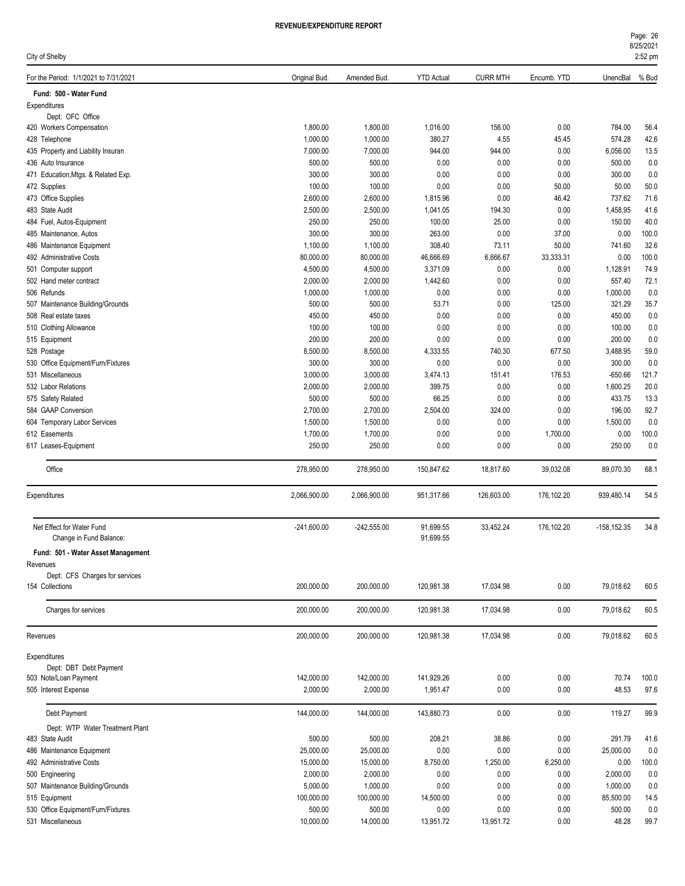| Page: 26  |  |
|-----------|--|
| 8/25/2021 |  |
|           |  |

| City of Shelby                                       |                      |                      |                        |                 |                |                 | 2:52 pm      |
|------------------------------------------------------|----------------------|----------------------|------------------------|-----------------|----------------|-----------------|--------------|
| For the Period: 1/1/2021 to 7/31/2021                | Original Bud.        | Amended Bud.         | <b>YTD Actual</b>      | <b>CURR MTH</b> | Encumb. YTD    | UnencBal        | % Bud        |
| Fund: 500 - Water Fund                               |                      |                      |                        |                 |                |                 |              |
| Expenditures                                         |                      |                      |                        |                 |                |                 |              |
| Dept: OFC Office                                     |                      |                      |                        |                 |                |                 |              |
| 420 Workers Compensation                             | 1,800.00             | 1,800.00             | 1,016.00               | 156.00          | 0.00           | 784.00          | 56.4         |
| 428 Telephone                                        | 1,000.00             | 1,000.00             | 380.27                 | 4.55            | 45.45          | 574.28          | 42.6         |
| 435 Property and Liability Insuran                   | 7,000.00             | 7,000.00             | 944.00                 | 944.00          | 0.00           | 6,056.00        | 13.5         |
| 436 Auto Insurance                                   | 500.00               | 500.00               | 0.00                   | 0.00            | 0.00           | 500.00          | 0.0          |
| 471 Education, Mtgs. & Related Exp.                  | 300.00               | 300.00               | 0.00                   | 0.00            | 0.00           | 300.00          | 0.0          |
| 472 Supplies                                         | 100.00               | 100.00               | 0.00                   | 0.00            | 50.00<br>46.42 | 50.00<br>737.62 | 50.0         |
| 473 Office Supplies<br>483 State Audit               | 2,600.00<br>2,500.00 | 2,600.00<br>2,500.00 | 1,815.96<br>1,041.05   | 0.00<br>194.30  | 0.00           | 1,458.95        | 71.6<br>41.6 |
| 484 Fuel, Autos-Equipment                            | 250.00               | 250.00               | 100.00                 | 25.00           | 0.00           | 150.00          | 40.0         |
| 485 Maintenance, Autos                               | 300.00               | 300.00               | 263.00                 | 0.00            | 37.00          | 0.00            | 100.0        |
| 486 Maintenance Equipment                            | 1,100.00             | 1,100.00             | 308.40                 | 73.11           | 50.00          | 741.60          | 32.6         |
| 492 Administrative Costs                             | 80,000.00            | 80,000.00            | 46,666.69              | 6,666.67        | 33,333.31      | 0.00            | 100.0        |
| 501 Computer support                                 | 4,500.00             | 4,500.00             | 3,371.09               | 0.00            | 0.00           | 1,128.91        | 74.9         |
| 502 Hand meter contract                              | 2,000.00             | 2,000.00             | 1,442.60               | 0.00            | 0.00           | 557.40          | 72.1         |
| 506 Refunds                                          | 1,000.00             | 1,000.00             | 0.00                   | 0.00            | 0.00           | 1,000.00        | 0.0          |
| 507 Maintenance Building/Grounds                     | 500.00               | 500.00               | 53.71                  | 0.00            | 125.00         | 321.29          | 35.7         |
| 508 Real estate taxes                                | 450.00               | 450.00               | 0.00                   | 0.00            | 0.00           | 450.00          | 0.0          |
| 510 Clothing Allowance                               | 100.00               | 100.00               | 0.00                   | 0.00            | 0.00           | 100.00          | 0.0          |
| 515 Equipment                                        | 200.00               | 200.00               | 0.00                   | 0.00            | 0.00           | 200.00          | 0.0          |
| 528 Postage                                          | 8,500.00             | 8,500.00             | 4,333.55               | 740.30          | 677.50         | 3,488.95        | 59.0         |
| 530 Office Equipment/Furn/Fixtures                   | 300.00               | 300.00               | 0.00                   | 0.00            | 0.00           | 300.00          | 0.0          |
| 531 Miscellaneous                                    | 3,000.00             | 3,000.00             | 3,474.13               | 151.41          | 176.53         | $-650.66$       | 121.7        |
| 532 Labor Relations                                  | 2,000.00             | 2,000.00             | 399.75                 | 0.00            | 0.00           | 1,600.25        | 20.0         |
| 575 Safety Related                                   | 500.00               | 500.00               | 66.25                  | 0.00            | 0.00           | 433.75          | 13.3         |
| 584 GAAP Conversion                                  | 2,700.00             | 2,700.00             | 2,504.00               | 324.00          | 0.00           | 196.00          | 92.7         |
| 604 Temporary Labor Services                         | 1,500.00             | 1,500.00             | 0.00                   | 0.00            | 0.00           | 1,500.00        | 0.0          |
| 612 Easements                                        | 1,700.00             | 1,700.00             | 0.00                   | 0.00            | 1,700.00       | 0.00            | 100.0        |
| 617 Leases-Equipment                                 | 250.00               | 250.00               | 0.00                   | 0.00            | 0.00           | 250.00          | 0.0          |
| Office                                               | 278,950.00           | 278,950.00           | 150,847.62             | 18,817.60       | 39,032.08      | 89,070.30       | 68.1         |
| Expenditures                                         | 2,066,900.00         | 2,066,900.00         | 951,317.66             | 126,603.00      | 176,102.20     | 939,480.14      | 54.5         |
| Net Effect for Water Fund<br>Change in Fund Balance: | $-241,600.00$        | $-242,555.00$        | 91,699.55<br>91,699.55 | 33,452.24       | 176,102.20     | $-158, 152.35$  | 34.8         |
|                                                      |                      |                      |                        |                 |                |                 |              |
| Fund: 501 - Water Asset Management                   |                      |                      |                        |                 |                |                 |              |
| Revenues                                             |                      |                      |                        |                 |                |                 |              |
| Dept: CFS Charges for services<br>154 Collections    | 200,000.00           | 200,000.00           | 120,981.38             | 17,034.98       | 0.00           | 79,018.62       | 60.5         |
|                                                      |                      |                      |                        |                 |                |                 |              |
| Charges for services                                 | 200,000.00           | 200,000.00           | 120,981.38             | 17,034.98       | 0.00           | 79,018.62       | 60.5         |
| Revenues                                             | 200,000.00           | 200,000.00           | 120,981.38             | 17,034.98       | 0.00           | 79,018.62       | 60.5         |
| Expenditures                                         |                      |                      |                        |                 |                |                 |              |
| Dept: DBT Debt Payment                               |                      |                      |                        |                 |                |                 |              |
| 503 Note/Loan Payment                                | 142,000.00           | 142,000.00           | 141,929.26             | 0.00            | 0.00           | 70.74           | 100.0        |
| 505 Interest Expense                                 | 2,000.00             | 2,000.00             | 1,951.47               | 0.00            | 0.00           | 48.53           | 97.6         |
| Debt Payment                                         | 144,000.00           | 144,000.00           | 143,880.73             | 0.00            | 0.00           | 119.27          | 99.9         |
| Dept: WTP Water Treatment Plant                      |                      |                      |                        |                 |                |                 |              |
| 483 State Audit                                      | 500.00               | 500.00               | 208.21                 | 38.86           | 0.00           | 291.79          | 41.6         |
| 486 Maintenance Equipment                            | 25,000.00            | 25,000.00            | 0.00                   | 0.00            | 0.00           | 25,000.00       | 0.0          |
| 492 Administrative Costs                             | 15,000.00            | 15,000.00            | 8,750.00               | 1,250.00        | 6,250.00       | 0.00            | 100.0        |
| 500 Engineering                                      | 2,000.00             | 2,000.00             | 0.00                   | 0.00            | 0.00           | 2,000.00        | 0.0          |
| 507 Maintenance Building/Grounds                     | 5,000.00             | 1,000.00             | 0.00                   | 0.00            | 0.00           | 1,000.00        | 0.0          |
| 515 Equipment                                        | 100,000.00           | 100,000.00           | 14,500.00              | 0.00            | 0.00           | 85,500.00       | 14.5         |
| 530 Office Equipment/Furn/Fixtures                   | 500.00               | 500.00               | 0.00                   | 0.00            | 0.00           | 500.00          | 0.0          |
| 531 Miscellaneous                                    | 10,000.00            | 14,000.00            | 13,951.72              | 13,951.72       | 0.00           | 48.28           | 99.7         |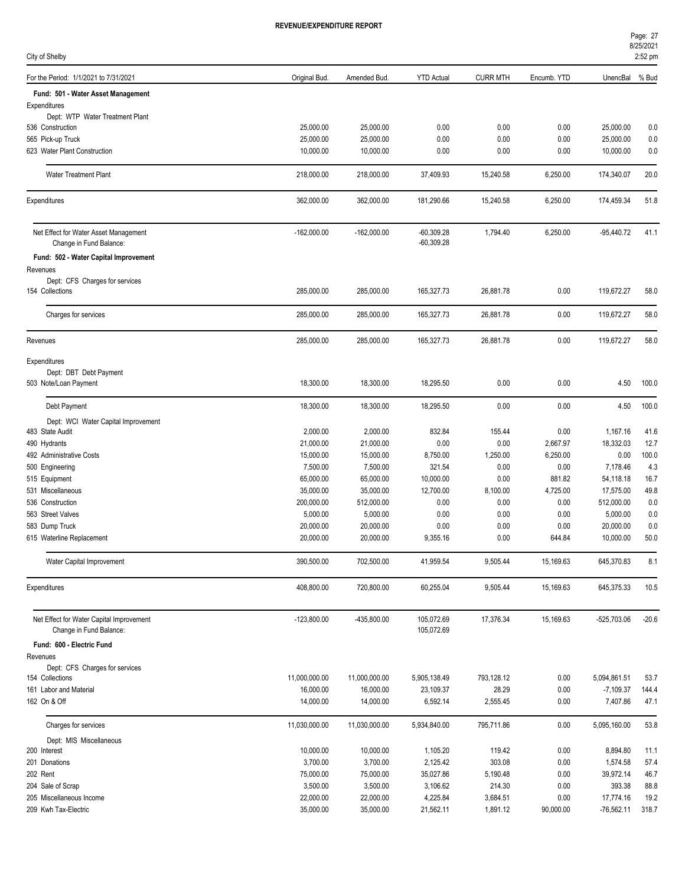| Page: 27  |  |
|-----------|--|
| 8/25/2021 |  |

| City of Shelby                                                   |                       |                       |                              |                    |              |                     | 2:52 pm      |
|------------------------------------------------------------------|-----------------------|-----------------------|------------------------------|--------------------|--------------|---------------------|--------------|
| For the Period: 1/1/2021 to 7/31/2021                            | Original Bud.         | Amended Bud.          | <b>YTD Actual</b>            | <b>CURR MTH</b>    | Encumb. YTD  | UnencBal            | % Bud        |
| Fund: 501 - Water Asset Management                               |                       |                       |                              |                    |              |                     |              |
| Expenditures                                                     |                       |                       |                              |                    |              |                     |              |
| Dept: WTP Water Treatment Plant                                  |                       |                       |                              |                    |              |                     |              |
| 536 Construction                                                 | 25,000.00             | 25,000.00             | 0.00                         | 0.00               | 0.00         | 25,000.00           | 0.0          |
| 565 Pick-up Truck                                                | 25,000.00             | 25,000.00             | 0.00                         | 0.00               | 0.00         | 25,000.00           | 0.0          |
| 623 Water Plant Construction                                     | 10,000.00             | 10,000.00             | 0.00                         | 0.00               | 0.00         | 10,000.00           | 0.0          |
| <b>Water Treatment Plant</b>                                     | 218,000.00            | 218,000.00            | 37,409.93                    | 15,240.58          | 6,250.00     | 174,340.07          | 20.0         |
| Expenditures                                                     | 362,000.00            | 362,000.00            | 181,290.66                   | 15,240.58          | 6,250.00     | 174,459.34          | 51.8         |
| Net Effect for Water Asset Management<br>Change in Fund Balance: | $-162,000.00$         | $-162,000.00$         | $-60,309.28$<br>$-60,309.28$ | 1,794.40           | 6,250.00     | $-95,440.72$        | 41.1         |
| Fund: 502 - Water Capital Improvement                            |                       |                       |                              |                    |              |                     |              |
| Revenues                                                         |                       |                       |                              |                    |              |                     |              |
| Dept: CFS Charges for services                                   |                       |                       |                              |                    |              |                     |              |
| 154 Collections                                                  | 285,000.00            | 285,000.00            | 165,327.73                   | 26,881.78          | 0.00         | 119,672.27          | 58.0         |
| Charges for services                                             | 285,000.00            | 285,000.00            | 165,327.73                   | 26,881.78          | 0.00         | 119,672.27          | 58.0         |
| Revenues                                                         | 285,000.00            | 285,000.00            | 165,327.73                   | 26,881.78          | 0.00         | 119,672.27          | 58.0         |
| Expenditures                                                     |                       |                       |                              |                    |              |                     |              |
| Dept: DBT Debt Payment                                           |                       |                       |                              |                    |              |                     |              |
| 503 Note/Loan Payment                                            | 18,300.00             | 18,300.00             | 18,295.50                    | 0.00               | 0.00         | 4.50                | 100.0        |
| Debt Payment                                                     | 18,300.00             | 18,300.00             | 18,295.50                    | 0.00               | 0.00         | 4.50                | 100.0        |
| Dept: WCI Water Capital Improvement                              |                       |                       |                              |                    |              |                     |              |
| 483 State Audit                                                  | 2,000.00              | 2,000.00              | 832.84                       | 155.44             | 0.00         | 1,167.16            | 41.6         |
| 490 Hydrants                                                     | 21,000.00             | 21,000.00             | 0.00                         | 0.00               | 2,667.97     | 18,332.03           | 12.7         |
| 492 Administrative Costs                                         | 15,000.00             | 15,000.00             | 8,750.00                     | 1,250.00           | 6,250.00     | 0.00                | 100.0        |
| 500 Engineering                                                  | 7,500.00              | 7,500.00              | 321.54                       | 0.00               | 0.00         | 7,178.46            | 4.3          |
| 515 Equipment                                                    | 65,000.00             | 65,000.00             | 10,000.00                    | 0.00               | 881.82       | 54,118.18           | 16.7         |
| 531 Miscellaneous                                                | 35,000.00             | 35,000.00             | 12,700.00                    | 8,100.00           | 4,725.00     | 17,575.00           | 49.8         |
| 536 Construction                                                 | 200,000.00            | 512,000.00            | 0.00                         | 0.00               | 0.00         | 512,000.00          | 0.0          |
| 563 Street Valves                                                | 5,000.00              | 5,000.00              | 0.00                         | 0.00               | 0.00         | 5,000.00            | 0.0          |
| 583 Dump Truck                                                   | 20,000.00             | 20,000.00             | 0.00                         | 0.00               | 0.00         | 20,000.00           | 0.0          |
| 615 Waterline Replacement                                        | 20,000.00             | 20,000.00             | 9,355.16                     | 0.00               | 644.84       | 10,000.00           | 50.0         |
| Water Capital Improvement                                        | 390,500.00            | 702,500.00            | 41,959.54                    | 9,505.44           | 15,169.63    | 645,370.83          | 8.1          |
| Expenditures                                                     | 408,800.00            | 720,800.00            | 60,255.04                    | 9,505.44           | 15,169.63    | 645,375.33          | 10.5         |
| Net Effect for Water Capital Improvement                         | $-123,800.00$         | $-435,800.00$         | 105,072.69<br>105,072.69     | 17,376.34          | 15,169.63    | $-525,703.06$       | $-20.6$      |
| Change in Fund Balance:                                          |                       |                       |                              |                    |              |                     |              |
| Fund: 600 - Electric Fund<br>Revenues                            |                       |                       |                              |                    |              |                     |              |
| Dept: CFS Charges for services                                   |                       |                       |                              |                    |              |                     |              |
| 154 Collections                                                  | 11,000,000.00         | 11,000,000.00         | 5,905,138.49                 | 793,128.12         | 0.00         | 5,094,861.51        | 53.7         |
| 161 Labor and Material                                           | 16,000.00             | 16,000.00             | 23,109.37                    | 28.29              | 0.00         | $-7,109.37$         | 144.4        |
| 162 On & Off                                                     | 14,000.00             | 14,000.00             | 6,592.14                     | 2,555.45           | 0.00         | 7,407.86            | 47.1         |
| Charges for services                                             | 11,030,000.00         | 11,030,000.00         | 5,934,840.00                 | 795,711.86         | 0.00         | 5,095,160.00        | 53.8         |
| Dept: MIS Miscellaneous                                          |                       |                       |                              |                    |              |                     |              |
| 200 Interest                                                     | 10,000.00             | 10,000.00             | 1,105.20                     | 119.42             | 0.00         | 8,894.80            | 11.1         |
| 201 Donations                                                    | 3,700.00              | 3,700.00              | 2,125.42                     | 303.08             | 0.00         | 1,574.58            | 57.4         |
| 202 Rent                                                         | 75,000.00<br>3,500.00 | 75,000.00             | 35,027.86                    | 5,190.48<br>214.30 | 0.00         | 39,972.14<br>393.38 | 46.7         |
| 204 Sale of Scrap<br>205 Miscellaneous Income                    | 22,000.00             | 3,500.00<br>22,000.00 | 3,106.62<br>4,225.84         | 3,684.51           | 0.00<br>0.00 | 17,774.16           | 88.8<br>19.2 |
| 209 Kwh Tax-Electric                                             | 35,000.00             | 35,000.00             | 21,562.11                    | 1,891.12           | 90,000.00    | $-76,562.11$        | 318.7        |
|                                                                  |                       |                       |                              |                    |              |                     |              |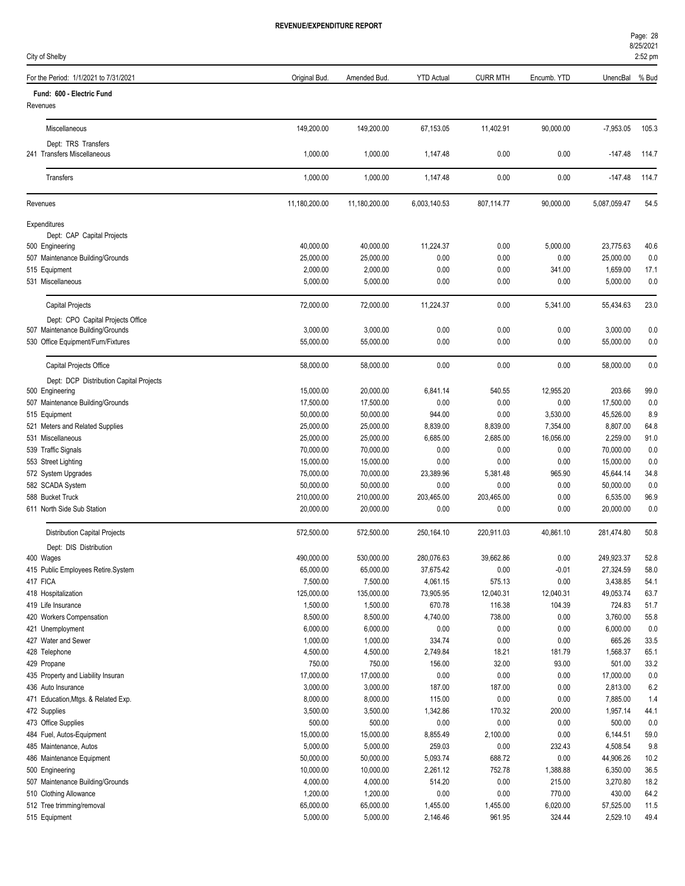City of Shelby

| For the Period: 1/1/2021 to 7/31/2021              | Original Bud.           | Amended Bud.          | <b>YTD Actual</b>     | <b>CURR MTH</b>  | Encumb. YTD     | UnencBal               | % Bud        |
|----------------------------------------------------|-------------------------|-----------------------|-----------------------|------------------|-----------------|------------------------|--------------|
| Fund: 600 - Electric Fund                          |                         |                       |                       |                  |                 |                        |              |
| Revenues                                           |                         |                       |                       |                  |                 |                        |              |
| Miscellaneous                                      | 149,200.00              | 149,200.00            | 67,153.05             | 11,402.91        | 90,000.00       | $-7,953.05$            | 105.3        |
| Dept: TRS Transfers<br>241 Transfers Miscellaneous | 1,000.00                | 1,000.00              | 1,147.48              | 0.00             | 0.00            | $-147.48$              | 114.7        |
| Transfers                                          | 1,000.00                | 1,000.00              | 1,147.48              | 0.00             | 0.00            | $-147.48$              | 114.7        |
|                                                    |                         |                       |                       |                  |                 |                        |              |
| Revenues                                           | 11,180,200.00           | 11,180,200.00         | 6,003,140.53          | 807,114.77       | 90,000.00       | 5,087,059.47           | 54.5         |
| Expenditures<br>Dept: CAP Capital Projects         |                         |                       |                       |                  |                 |                        |              |
| 500 Engineering                                    | 40,000.00               | 40,000.00             | 11,224.37             | 0.00             | 5,000.00        | 23,775.63              | 40.6         |
| 507 Maintenance Building/Grounds                   | 25,000.00               | 25,000.00             | 0.00                  | 0.00             | 0.00            | 25,000.00              | 0.0          |
| 515 Equipment                                      | 2,000.00                | 2,000.00              | 0.00                  | 0.00             | 341.00          | 1,659.00               | 17.1         |
| 531 Miscellaneous                                  | 5,000.00                | 5,000.00              | 0.00                  | 0.00             | 0.00            | 5,000.00               | 0.0          |
| <b>Capital Projects</b>                            | 72,000.00               | 72,000.00             | 11,224.37             | 0.00             | 5,341.00        | 55,434.63              | 23.0         |
| Dept: CPO Capital Projects Office                  |                         |                       |                       |                  |                 |                        |              |
| 507 Maintenance Building/Grounds                   | 3,000.00                | 3,000.00              | 0.00                  | 0.00             | 0.00            | 3,000.00               | 0.0          |
| 530 Office Equipment/Furn/Fixtures                 | 55,000.00               | 55,000.00             | 0.00                  | 0.00             | 0.00            | 55,000.00              | 0.0          |
| Capital Projects Office                            | 58,000.00               | 58,000.00             | 0.00                  | 0.00             | 0.00            | 58,000.00              | 0.0          |
| Dept: DCP Distribution Capital Projects            |                         |                       |                       |                  |                 |                        |              |
| 500 Engineering                                    | 15,000.00               | 20,000.00             | 6,841.14              | 540.55           | 12,955.20       | 203.66                 | 99.0         |
| 507 Maintenance Building/Grounds                   | 17,500.00               | 17,500.00             | 0.00                  | 0.00             | 0.00            | 17,500.00              | 0.0          |
| 515 Equipment                                      | 50,000.00               | 50,000.00             | 944.00                | 0.00             | 3,530.00        | 45,526.00              | 8.9          |
| 521 Meters and Related Supplies                    | 25,000.00               | 25,000.00             | 8,839.00              | 8,839.00         | 7,354.00        | 8,807.00               | 64.8         |
| 531 Miscellaneous                                  | 25,000.00               | 25,000.00             | 6,685.00              | 2,685.00<br>0.00 | 16,056.00       | 2,259.00               | 91.0         |
| 539 Traffic Signals                                | 70,000.00<br>15,000.00  | 70,000.00             | 0.00                  |                  | 0.00            | 70,000.00<br>15,000.00 | 0.0          |
| 553 Street Lighting                                | 75,000.00               | 15,000.00             | 0.00                  | 0.00             | 0.00            | 45,644.14              | 0.0<br>34.8  |
| 572 System Upgrades                                |                         | 70,000.00             | 23,389.96<br>0.00     | 5,381.48<br>0.00 | 965.90          |                        |              |
| 582 SCADA System<br>588 Bucket Truck               | 50,000.00<br>210,000.00 | 50,000.00             |                       |                  | 0.00            | 50,000.00              | 0.0          |
| 611 North Side Sub Station                         |                         | 210,000.00            | 203,465.00            | 203,465.00       | 0.00            | 6,535.00               | 96.9         |
|                                                    | 20,000.00               | 20,000.00             | 0.00                  | 0.00             | 0.00            | 20,000.00              | 0.0          |
| <b>Distribution Capital Projects</b>               | 572,500.00              | 572,500.00            | 250,164.10            | 220,911.03       | 40,861.10       | 281,474.80             | 50.8         |
| Dept: DIS Distribution                             |                         |                       |                       |                  |                 |                        |              |
| 400 Wages                                          | 490,000.00              | 530,000.00            | 280,076.63            | 39,662.86        | 0.00            | 249,923.37             | 52.8         |
| 415 Public Employees Retire.System                 | 65,000.00<br>7,500.00   | 65,000.00<br>7,500.00 | 37,675.42<br>4,061.15 | 0.00<br>575.13   | $-0.01$<br>0.00 | 27,324.59<br>3,438.85  | 58.0<br>54.1 |
| 417 FICA<br>418 Hospitalization                    | 125,000.00              | 135,000.00            | 73,905.95             | 12,040.31        | 12,040.31       | 49,053.74              | 63.7         |
| 419 Life Insurance                                 | 1,500.00                | 1,500.00              | 670.78                | 116.38           | 104.39          | 724.83                 | 51.7         |
| 420 Workers Compensation                           | 8,500.00                | 8,500.00              | 4,740.00              | 738.00           | 0.00            | 3,760.00               | 55.8         |
| 421 Unemployment                                   | 6,000.00                | 6,000.00              | 0.00                  | 0.00             | 0.00            | 6,000.00               | 0.0          |
| 427 Water and Sewer                                | 1,000.00                | 1,000.00              | 334.74                | 0.00             | 0.00            | 665.26                 | 33.5         |
| 428 Telephone                                      | 4,500.00                | 4,500.00              | 2,749.84              | 18.21            | 181.79          | 1,568.37               | 65.1         |
| 429 Propane                                        | 750.00                  | 750.00                | 156.00                | 32.00            | 93.00           | 501.00                 | 33.2         |
| 435 Property and Liability Insuran                 | 17,000.00               | 17,000.00             | 0.00                  | 0.00             | 0.00            | 17,000.00              | 0.0          |
| 436 Auto Insurance                                 | 3,000.00                | 3,000.00              | 187.00                | 187.00           | 0.00            | 2,813.00               | 6.2          |
| 471 Education, Mtgs. & Related Exp.                | 8,000.00                | 8,000.00              | 115.00                | 0.00             | 0.00            | 7,885.00               | 1.4          |
| 472 Supplies                                       | 3,500.00                | 3,500.00              | 1,342.86              | 170.32           | 200.00          | 1,957.14               | 44.1         |
| 473 Office Supplies                                | 500.00                  | 500.00                | 0.00                  | 0.00             | 0.00            | 500.00                 | 0.0          |
| 484 Fuel, Autos-Equipment                          | 15,000.00               | 15,000.00             | 8,855.49              | 2,100.00         | 0.00            | 6,144.51               | 59.0         |
| 485 Maintenance, Autos                             | 5,000.00                | 5,000.00              | 259.03                | 0.00             | 232.43          | 4,508.54               | 9.8          |
| 486 Maintenance Equipment                          | 50,000.00               | 50,000.00             | 5,093.74              | 688.72           | 0.00            | 44,906.26              | 10.2         |
| 500 Engineering                                    | 10,000.00               | 10,000.00             | 2,261.12              | 752.78           | 1,388.88        | 6,350.00               | 36.5         |
| 507 Maintenance Building/Grounds                   | 4,000.00                | 4,000.00              | 514.20                | 0.00             | 215.00          | 3,270.80               | 18.2         |
| 510 Clothing Allowance                             | 1,200.00                | 1,200.00              | 0.00                  | 0.00             | 770.00          | 430.00                 | 64.2         |
| 512 Tree trimming/removal                          | 65,000.00               | 65,000.00             | 1,455.00              | 1,455.00         | 6,020.00        | 57,525.00              | 11.5         |
| 515 Equipment                                      | 5,000.00                | 5,000.00              | 2,146.46              | 961.95           | 324.44          | 2,529.10               | 49.4         |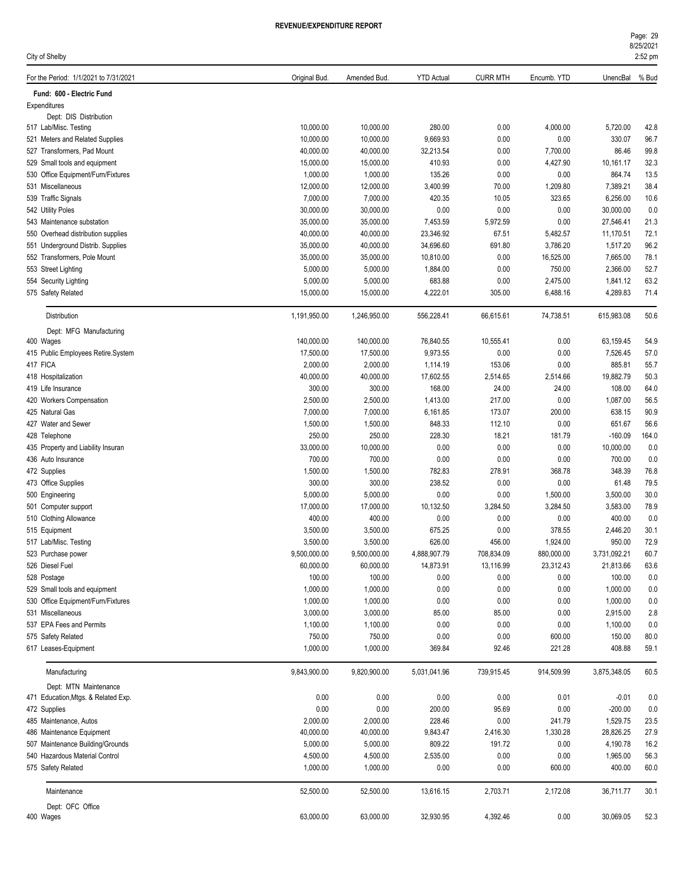| City of Shelby                                  |                       |                       |                      |                    |                  |                    | 2:52 pm      |
|-------------------------------------------------|-----------------------|-----------------------|----------------------|--------------------|------------------|--------------------|--------------|
| For the Period: 1/1/2021 to 7/31/2021           | Original Bud.         | Amended Bud.          | <b>YTD Actual</b>    | <b>CURR MTH</b>    | Encumb. YTD      | UnencBal % Bud     |              |
| Fund: 600 - Electric Fund                       |                       |                       |                      |                    |                  |                    |              |
| Expenditures                                    |                       |                       |                      |                    |                  |                    |              |
| Dept: DIS Distribution<br>517 Lab/Misc. Testing | 10,000.00             | 10,000.00             | 280.00               | 0.00               | 4,000.00         | 5,720.00           | 42.8         |
| 521 Meters and Related Supplies                 | 10,000.00             | 10,000.00             | 9,669.93             | 0.00               | 0.00             | 330.07             | 96.7         |
| 527 Transformers, Pad Mount                     | 40,000.00             | 40,000.00             | 32,213.54            | 0.00               | 7,700.00         | 86.46              | 99.8         |
| 529 Small tools and equipment                   | 15,000.00             | 15,000.00             | 410.93               | 0.00               | 4,427.90         | 10,161.17          | 32.3         |
| 530 Office Equipment/Furn/Fixtures              | 1,000.00              | 1,000.00              | 135.26               | 0.00               | 0.00             | 864.74             | 13.5         |
| 531 Miscellaneous                               | 12,000.00             | 12,000.00             | 3,400.99             | 70.00              | 1,209.80         | 7,389.21           | 38.4         |
| 539 Traffic Signals                             | 7,000.00              | 7,000.00              | 420.35               | 10.05              | 323.65           | 6,256.00           | 10.6         |
| 542 Utility Poles                               | 30,000.00             | 30,000.00             | 0.00                 | 0.00               | 0.00             | 30,000.00          | 0.0          |
| 543 Maintenance substation                      | 35,000.00             | 35,000.00             | 7,453.59             | 5,972.59           | 0.00             | 27,546.41          | 21.3         |
| 550 Overhead distribution supplies              | 40,000.00             | 40,000.00             | 23,346.92            | 67.51              | 5,482.57         | 11,170.51          | 72.1         |
| 551 Underground Distrib. Supplies               | 35,000.00             | 40,000.00             | 34,696.60            | 691.80             | 3,786.20         | 1,517.20           | 96.2         |
| 552 Transformers, Pole Mount                    | 35,000.00             | 35,000.00             | 10,810.00            | 0.00               | 16,525.00        | 7,665.00           | 78.1         |
| 553 Street Lighting                             | 5,000.00              | 5,000.00              | 1,884.00             | 0.00               | 750.00           | 2,366.00           | 52.7         |
| 554 Security Lighting                           | 5,000.00              | 5,000.00              | 683.88               | 0.00               | 2,475.00         | 1,841.12           | 63.2         |
| 575 Safety Related                              | 15,000.00             | 15,000.00             | 4,222.01             | 305.00             | 6,488.16         | 4,289.83           | 71.4         |
| <b>Distribution</b>                             | 1,191,950.00          | 1,246,950.00          | 556,228.41           | 66,615.61          | 74,738.51        | 615,983.08         | 50.6         |
| Dept: MFG Manufacturing                         |                       |                       |                      |                    |                  |                    |              |
| 400 Wages                                       | 140,000.00            | 140,000.00            | 76,840.55            | 10,555.41          | 0.00             | 63,159.45          | 54.9         |
| 415 Public Employees Retire.System<br>417 FICA  | 17,500.00<br>2,000.00 | 17,500.00             | 9,973.55<br>1,114.19 | 0.00               | 0.00             | 7,526.45<br>885.81 | 57.0         |
| 418 Hospitalization                             | 40,000.00             | 2,000.00<br>40,000.00 | 17,602.55            | 153.06<br>2,514.65 | 0.00<br>2,514.66 | 19,882.79          | 55.7<br>50.3 |
| 419 Life Insurance                              | 300.00                | 300.00                | 168.00               | 24.00              | 24.00            | 108.00             | 64.0         |
| 420 Workers Compensation                        | 2,500.00              | 2,500.00              | 1,413.00             | 217.00             | 0.00             | 1,087.00           | 56.5         |
| 425 Natural Gas                                 | 7,000.00              | 7,000.00              | 6,161.85             | 173.07             | 200.00           | 638.15             | 90.9         |
| 427 Water and Sewer                             | 1,500.00              | 1,500.00              | 848.33               | 112.10             | 0.00             | 651.67             | 56.6         |
| 428 Telephone                                   | 250.00                | 250.00                | 228.30               | 18.21              | 181.79           | $-160.09$          | 164.0        |
| 435 Property and Liability Insuran              | 33,000.00             | 10,000.00             | 0.00                 | 0.00               | 0.00             | 10,000.00          | 0.0          |
| 436 Auto Insurance                              | 700.00                | 700.00                | 0.00                 | 0.00               | 0.00             | 700.00             | 0.0          |
| 472 Supplies                                    | 1,500.00              | 1,500.00              | 782.83               | 278.91             | 368.78           | 348.39             | 76.8         |
| 473 Office Supplies                             | 300.00                | 300.00                | 238.52               | 0.00               | 0.00             | 61.48              | 79.5         |
| 500 Engineering                                 | 5,000.00              | 5,000.00              | 0.00                 | 0.00               | 1,500.00         | 3,500.00           | 30.0         |
| 501 Computer support                            | 17,000.00             | 17,000.00             | 10,132.50            | 3,284.50           | 3,284.50         | 3,583.00           | 78.9         |
| 510 Clothing Allowance                          | 400.00                | 400.00                | 0.00                 | 0.00               | 0.00             | 400.00             | 0.0          |
| 515 Equipment                                   | 3,500.00              | 3,500.00              | 675.25               | 0.00               | 378.55           | 2,446.20           | 30.1         |
| 517 Lab/Misc. Testing                           | 3,500.00              | 3,500.00              | 626.00               | 456.00             | 1,924.00         | 950.00             | 72.9         |
| 523 Purchase power                              | 9,500,000.00          | 9,500,000.00          | 4,888,907.79         | 708,834.09         | 880,000.00       | 3,731,092.21       | 60.7         |
| 526 Diesel Fuel                                 | 60,000.00             | 60,000.00             | 14,873.91            | 13,116.99          | 23,312.43        | 21,813.66          | 63.6         |
| 528 Postage                                     | 100.00                | 100.00                | 0.00                 | 0.00               | 0.00             | 100.00             | 0.0          |
| 529 Small tools and equipment                   | 1,000.00              | 1,000.00              | 0.00                 | 0.00               | 0.00             | 1,000.00           | $0.0\,$      |
| 530 Office Equipment/Furn/Fixtures              | 1,000.00              | 1,000.00              | 0.00                 | 0.00               | 0.00             | 1,000.00           | 0.0          |
| 531 Miscellaneous<br>537 EPA Fees and Permits   | 3,000.00              | 3,000.00              | 85.00                | 85.00              | 0.00             | 2,915.00           | 2.8          |
| 575 Safety Related                              | 1,100.00<br>750.00    | 1,100.00<br>750.00    | 0.00<br>0.00         | 0.00<br>0.00       | 0.00<br>600.00   | 1,100.00<br>150.00 | 0.0<br>80.0  |
| 617 Leases-Equipment                            | 1,000.00              | 1,000.00              | 369.84               | 92.46              | 221.28           | 408.88             | 59.1         |
| Manufacturing                                   | 9,843,900.00          | 9,820,900.00          | 5,031,041.96         | 739,915.45         | 914,509.99       | 3,875,348.05       | 60.5         |
| Dept: MTN Maintenance                           |                       |                       |                      |                    |                  |                    |              |
| 471 Education, Mtgs. & Related Exp.             | 0.00                  | 0.00                  | 0.00                 | 0.00               | 0.01             | $-0.01$            | 0.0          |
| 472 Supplies                                    | 0.00                  | 0.00                  | 200.00               | 95.69              | 0.00             | $-200.00$          | 0.0          |
| 485 Maintenance, Autos                          | 2,000.00              | 2,000.00              | 228.46               | 0.00               | 241.79           | 1,529.75           | 23.5         |
| 486 Maintenance Equipment                       | 40,000.00             | 40,000.00             | 9,843.47             | 2,416.30           | 1,330.28         | 28,826.25          | 27.9         |
| 507 Maintenance Building/Grounds                | 5,000.00              | 5,000.00              | 809.22               | 191.72             | 0.00             | 4,190.78           | 16.2         |
| 540 Hazardous Material Control                  | 4,500.00              | 4,500.00              | 2,535.00             | 0.00               | 0.00             | 1,965.00           | 56.3         |
| 575 Safety Related                              | 1,000.00              | 1,000.00              | 0.00                 | 0.00               | 600.00           | 400.00             | 60.0         |
| Maintenance                                     | 52,500.00             | 52,500.00             | 13,616.15            | 2,703.71           | 2,172.08         | 36,711.77          | 30.1         |
| Dept: OFC Office                                |                       |                       |                      |                    |                  |                    |              |
| 400 Wages                                       | 63,000.00             | 63,000.00             | 32,930.95            | 4,392.46           | 0.00             | 30,069.05          | 52.3         |

8/25/2021 Page: 29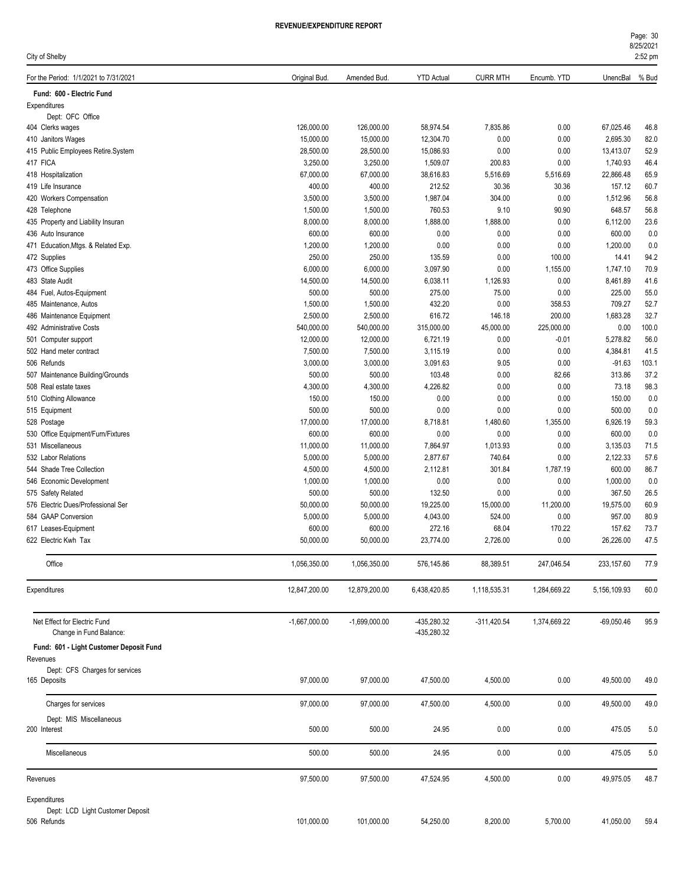| Page: 30  |  |
|-----------|--|
| 8/25/2021 |  |
|           |  |

| City of Shelby                                          |                         |                         |                            |                  |                  |                       | 2:52 pm      |
|---------------------------------------------------------|-------------------------|-------------------------|----------------------------|------------------|------------------|-----------------------|--------------|
| For the Period: 1/1/2021 to 7/31/2021                   | Original Bud.           | Amended Bud.            | <b>YTD Actual</b>          | <b>CURR MTH</b>  | Encumb. YTD      | UnencBal              | % Bud        |
| Fund: 600 - Electric Fund                               |                         |                         |                            |                  |                  |                       |              |
| Expenditures                                            |                         |                         |                            |                  |                  |                       |              |
| Dept: OFC Office                                        |                         |                         |                            |                  |                  |                       |              |
| 404 Clerks wages<br>410 Janitors Wages                  | 126,000.00<br>15,000.00 | 126,000.00<br>15,000.00 | 58,974.54<br>12,304.70     | 7,835.86<br>0.00 | 0.00<br>0.00     | 67,025.46<br>2,695.30 | 46.8<br>82.0 |
| 415 Public Employees Retire.System                      | 28,500.00               | 28,500.00               | 15,086.93                  | 0.00             | 0.00             | 13,413.07             | 52.9         |
| 417 FICA                                                | 3,250.00                | 3,250.00                | 1.509.07                   | 200.83           | 0.00             | 1,740.93              | 46.4         |
| 418 Hospitalization                                     | 67,000.00               | 67,000.00               | 38,616.83                  | 5,516.69         | 5,516.69         | 22,866.48             | 65.9         |
| 419 Life Insurance                                      | 400.00                  | 400.00                  | 212.52                     | 30.36            | 30.36            | 157.12                | 60.7         |
| 420 Workers Compensation                                | 3,500.00                | 3,500.00                | 1,987.04                   | 304.00           | 0.00             | 1,512.96              | 56.8         |
| 428 Telephone                                           | 1,500.00                | 1,500.00                | 760.53                     | 9.10             | 90.90            | 648.57                | 56.8         |
| 435 Property and Liability Insuran                      | 8,000.00                | 8,000.00                | 1,888.00                   | 1,888.00         | 0.00             | 6,112.00              | 23.6         |
| 436 Auto Insurance                                      | 600.00                  | 600.00                  | 0.00                       | 0.00             | 0.00             | 600.00                | 0.0          |
| 471 Education, Mtgs. & Related Exp.                     | 1,200.00                | 1,200.00                | 0.00                       | 0.00             | 0.00             | 1,200.00              | 0.0          |
| 472 Supplies                                            | 250.00                  | 250.00                  | 135.59                     | 0.00             | 100.00           | 14.41                 | 94.2         |
| 473 Office Supplies                                     | 6,000.00                | 6,000.00                | 3,097.90                   | 0.00             | 1,155.00         | 1,747.10              | 70.9         |
| 483 State Audit                                         | 14,500.00               | 14,500.00               | 6,038.11                   | 1,126.93         | 0.00             | 8,461.89              | 41.6         |
| 484 Fuel, Autos-Equipment                               | 500.00                  | 500.00                  | 275.00                     | 75.00            | 0.00             | 225.00                | 55.0<br>52.7 |
| 485 Maintenance, Autos<br>486 Maintenance Equipment     | 1,500.00<br>2,500.00    | 1,500.00<br>2,500.00    | 432.20<br>616.72           | 0.00<br>146.18   | 358.53<br>200.00 | 709.27<br>1,683.28    | 32.7         |
| 492 Administrative Costs                                | 540,000.00              | 540,000.00              | 315,000.00                 | 45,000.00        | 225,000.00       | 0.00                  | 100.0        |
| 501 Computer support                                    | 12,000.00               | 12,000.00               | 6,721.19                   | 0.00             | -0.01            | 5,278.82              | 56.0         |
| 502 Hand meter contract                                 | 7,500.00                | 7,500.00                | 3,115.19                   | 0.00             | 0.00             | 4,384.81              | 41.5         |
| 506 Refunds                                             | 3,000.00                | 3,000.00                | 3,091.63                   | 9.05             | 0.00             | $-91.63$              | 103.1        |
| 507 Maintenance Building/Grounds                        | 500.00                  | 500.00                  | 103.48                     | 0.00             | 82.66            | 313.86                | 37.2         |
| 508 Real estate taxes                                   | 4,300.00                | 4,300.00                | 4,226.82                   | 0.00             | 0.00             | 73.18                 | 98.3         |
| 510 Clothing Allowance                                  | 150.00                  | 150.00                  | 0.00                       | 0.00             | 0.00             | 150.00                | 0.0          |
| 515 Equipment                                           | 500.00                  | 500.00                  | 0.00                       | 0.00             | 0.00             | 500.00                | 0.0          |
| 528 Postage                                             | 17,000.00               | 17,000.00               | 8,718.81                   | 1,480.60         | 1,355.00         | 6,926.19              | 59.3         |
| 530 Office Equipment/Furn/Fixtures                      | 600.00                  | 600.00                  | 0.00                       | 0.00             | 0.00             | 600.00                | 0.0          |
| 531 Miscellaneous                                       | 11,000.00               | 11,000.00               | 7,864.97                   | 1,013.93         | 0.00             | 3,135.03              | 71.5         |
| 532 Labor Relations                                     | 5,000.00                | 5,000.00                | 2,877.67                   | 740.64           | 0.00             | 2,122.33              | 57.6         |
| 544 Shade Tree Collection                               | 4,500.00                | 4,500.00                | 2,112.81                   | 301.84           | 1,787.19         | 600.00                | 86.7         |
| 546 Economic Development                                | 1,000.00                | 1,000.00                | 0.00                       | 0.00             | 0.00             | 1,000.00              | 0.0          |
| 575 Safety Related                                      | 500.00                  | 500.00                  | 132.50                     | 0.00             | 0.00             | 367.50                | 26.5         |
| 576 Electric Dues/Professional Ser                      | 50,000.00               | 50,000.00               | 19,225.00                  | 15,000.00        | 11,200.00        | 19,575.00             | 60.9         |
| 584 GAAP Conversion                                     | 5,000.00                | 5,000.00                | 4,043.00                   | 524.00           | 0.00             | 957.00                | 80.9         |
| 617 Leases-Equipment<br>622 Electric Kwh Tax            | 600.00<br>50,000.00     | 600.00                  | 272.16                     | 68.04            | 170.22<br>0.00   | 157.62                | 73.7<br>47.5 |
|                                                         |                         | 50,000.00               | 23,774.00                  | 2,726.00         |                  | 26,226.00             |              |
| Office                                                  | 1,056,350.00            | 1,056,350.00            | 576,145.86                 | 88,389.51        | 247,046.54       | 233,157.60            | 77.9         |
| Expenditures                                            | 12,847,200.00           | 12,879,200.00           | 6,438,420.85               | 1,118,535.31     | 1,284,669.22     | 5,156,109.93          | 60.0         |
| Net Effect for Electric Fund<br>Change in Fund Balance: | $-1,667,000.00$         | -1,699,000.00           | -435,280.32<br>-435,280.32 | $-311,420.54$    | 1,374,669.22     | $-69,050.46$          | 95.9         |
| Fund: 601 - Light Customer Deposit Fund                 |                         |                         |                            |                  |                  |                       |              |
| Revenues                                                |                         |                         |                            |                  |                  |                       |              |
| Dept: CFS Charges for services                          |                         |                         |                            |                  |                  |                       |              |
| 165 Deposits                                            | 97,000.00               | 97,000.00               | 47,500.00                  | 4,500.00         | 0.00             | 49,500.00             | 49.0         |
| Charges for services                                    | 97,000.00               | 97,000.00               | 47,500.00                  | 4,500.00         | 0.00             | 49,500.00             | 49.0         |
| Dept: MIS Miscellaneous<br>200 Interest                 | 500.00                  | 500.00                  | 24.95                      | 0.00             | 0.00             | 475.05                | 5.0          |
| Miscellaneous                                           | 500.00                  | 500.00                  | 24.95                      | 0.00             | 0.00             | 475.05                | 5.0          |
| Revenues                                                | 97,500.00               | 97,500.00               | 47,524.95                  | 4,500.00         | 0.00             | 49,975.05             | 48.7         |
| Expenditures                                            |                         |                         |                            |                  |                  |                       |              |
| Dept: LCD Light Customer Deposit                        |                         |                         |                            |                  |                  |                       |              |
| 506 Refunds                                             | 101,000.00              | 101,000.00              | 54,250.00                  | 8,200.00         | 5,700.00         | 41,050.00             | 59.4         |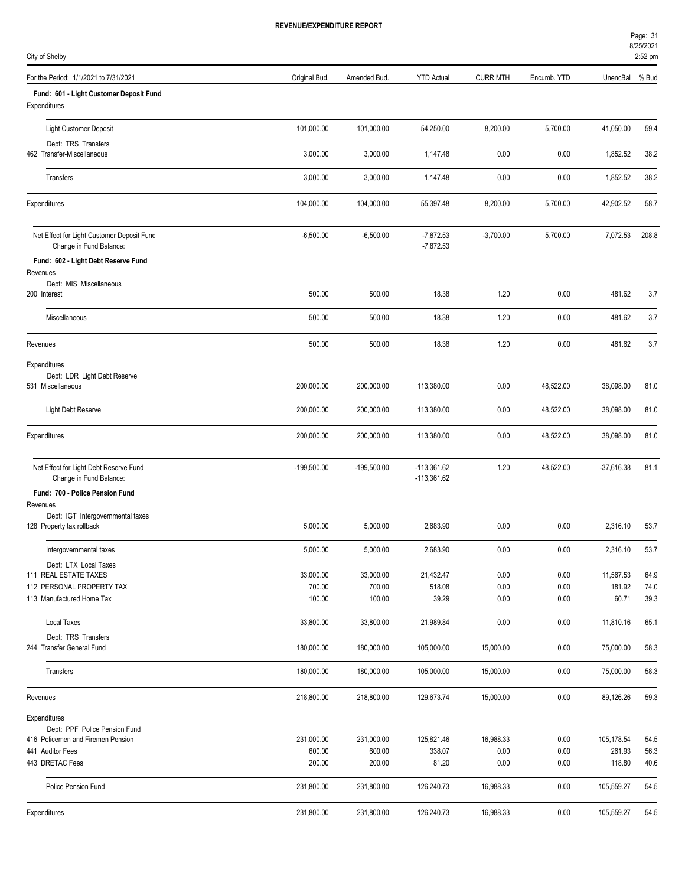| Page: 31  |  |
|-----------|--|
| 8/25/2021 |  |

| $2:52$ pm |  |
|-----------|--|
|           |  |

| City of Shelby                                                        |                     |                     |                                |                 |              |                     | 2:52 pm      |
|-----------------------------------------------------------------------|---------------------|---------------------|--------------------------------|-----------------|--------------|---------------------|--------------|
| For the Period: 1/1/2021 to 7/31/2021                                 | Original Bud.       | Amended Bud.        | <b>YTD Actual</b>              | <b>CURR MTH</b> | Encumb. YTD  | UnencBal            | % Bud        |
| Fund: 601 - Light Customer Deposit Fund                               |                     |                     |                                |                 |              |                     |              |
| Expenditures                                                          |                     |                     |                                |                 |              |                     |              |
| <b>Light Customer Deposit</b>                                         | 101,000.00          | 101,000.00          | 54,250.00                      | 8,200.00        | 5,700.00     | 41,050.00           | 59.4         |
| Dept: TRS Transfers                                                   |                     |                     |                                |                 |              |                     |              |
| 462 Transfer-Miscellaneous                                            | 3,000.00            | 3,000.00            | 1,147.48                       | 0.00            | 0.00         | 1,852.52            | 38.2         |
| Transfers                                                             | 3,000.00            | 3,000.00            | 1,147.48                       | 0.00            | 0.00         | 1,852.52            | 38.2         |
| Expenditures                                                          | 104,000.00          | 104,000.00          | 55,397.48                      | 8,200.00        | 5,700.00     | 42,902.52           | 58.7         |
| Net Effect for Light Customer Deposit Fund<br>Change in Fund Balance: | $-6,500.00$         | $-6,500.00$         | $-7,872.53$<br>$-7,872.53$     | $-3,700.00$     | 5,700.00     | 7,072.53            | 208.8        |
| Fund: 602 - Light Debt Reserve Fund                                   |                     |                     |                                |                 |              |                     |              |
| Revenues                                                              |                     |                     |                                |                 |              |                     |              |
| Dept: MIS Miscellaneous<br>200 Interest                               | 500.00              | 500.00              | 18.38                          | 1.20            | 0.00         | 481.62              | 3.7          |
|                                                                       |                     |                     |                                |                 |              |                     |              |
| Miscellaneous                                                         | 500.00              | 500.00              | 18.38                          | 1.20            | 0.00         | 481.62              | 3.7          |
| Revenues                                                              | 500.00              | 500.00              | 18.38                          | 1.20            | 0.00         | 481.62              | 3.7          |
| Expenditures                                                          |                     |                     |                                |                 |              |                     |              |
| Dept: LDR Light Debt Reserve<br>531 Miscellaneous                     | 200,000.00          | 200,000.00          | 113,380.00                     | 0.00            | 48,522.00    | 38,098.00           | 81.0         |
| Light Debt Reserve                                                    | 200,000.00          | 200,000.00          | 113,380.00                     | 0.00            | 48,522.00    | 38,098.00           | 81.0         |
| Expenditures                                                          | 200,000.00          | 200,000.00          | 113,380.00                     | 0.00            | 48,522.00    | 38,098.00           | 81.0         |
| Net Effect for Light Debt Reserve Fund<br>Change in Fund Balance:     | $-199,500.00$       | $-199,500.00$       | $-113,361.62$<br>$-113,361.62$ | 1.20            | 48,522.00    | $-37,616.38$        | 81.1         |
| Fund: 700 - Police Pension Fund                                       |                     |                     |                                |                 |              |                     |              |
| Revenues                                                              |                     |                     |                                |                 |              |                     |              |
| Dept: IGT Intergovernmental taxes<br>128 Property tax rollback        | 5,000.00            | 5,000.00            | 2,683.90                       | 0.00            | 0.00         | 2,316.10            | 53.7         |
| Intergovernmental taxes                                               | 5,000.00            | 5,000.00            | 2,683.90                       | 0.00            | 0.00         | 2,316.10            | 53.7         |
| Dept: LTX Local Taxes                                                 |                     |                     |                                |                 |              |                     |              |
| 111 REAL ESTATE TAXES<br>112 PERSONAL PROPERTY TAX                    | 33,000.00<br>700.00 | 33,000.00<br>700.00 | 21,432.47<br>518.08            | 0.00<br>0.00    | 0.00<br>0.00 | 11,567.53<br>181.92 | 64.9<br>74.0 |
| 113 Manufactured Home Tax                                             | 100.00              | 100.00              | 39.29                          | 0.00            | 0.00         | 60.71               | 39.3         |
| Local Taxes                                                           | 33,800.00           | 33,800.00           | 21,989.84                      | 0.00            | 0.00         | 11,810.16           | 65.1         |
| Dept: TRS Transfers                                                   |                     |                     |                                |                 |              |                     |              |
| 244 Transfer General Fund                                             | 180,000.00          | 180,000.00          | 105,000.00                     | 15,000.00       | 0.00         | 75,000.00           | 58.3         |
| Transfers                                                             | 180,000.00          | 180,000.00          | 105,000.00                     | 15,000.00       | 0.00         | 75,000.00           | 58.3         |
| Revenues                                                              | 218,800.00          | 218,800.00          | 129,673.74                     | 15,000.00       | 0.00         | 89,126.26           | 59.3         |
| Expenditures                                                          |                     |                     |                                |                 |              |                     |              |
| Dept: PPF Police Pension Fund<br>416 Policemen and Firemen Pension    | 231,000.00          | 231,000.00          | 125,821.46                     | 16,988.33       | 0.00         | 105,178.54          | 54.5         |
| 441 Auditor Fees                                                      | 600.00              | 600.00              | 338.07                         | 0.00            | 0.00         | 261.93              | 56.3         |
| 443 DRETAC Fees                                                       | 200.00              | 200.00              | 81.20                          | 0.00            | 0.00         | 118.80              | 40.6         |
| Police Pension Fund                                                   | 231,800.00          | 231,800.00          | 126,240.73                     | 16,988.33       | 0.00         | 105,559.27          | 54.5         |
| Expenditures                                                          | 231,800.00          | 231,800.00          | 126,240.73                     | 16,988.33       | 0.00         | 105,559.27          | 54.5         |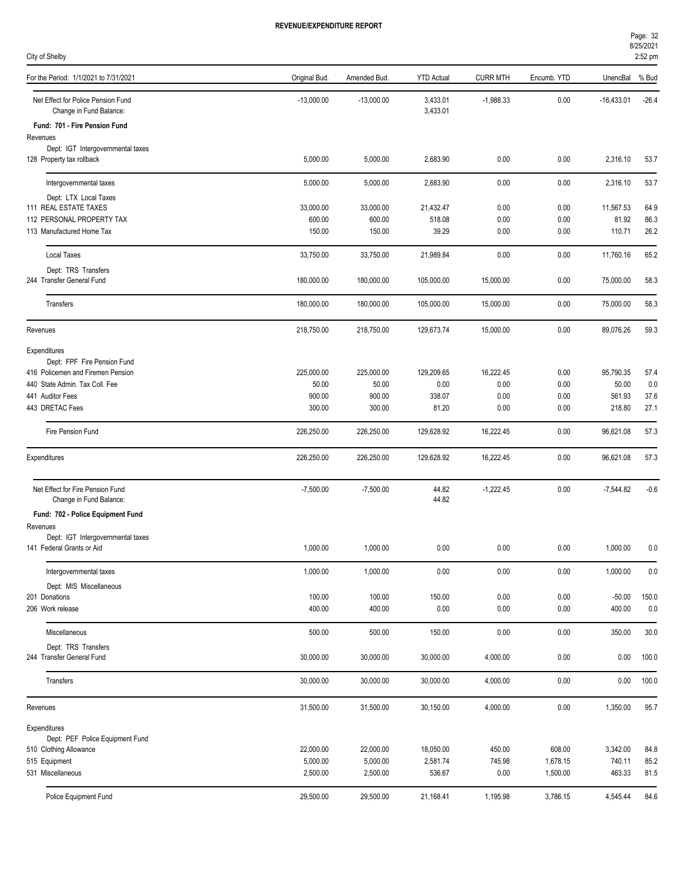| Page: 32  |  |
|-----------|--|
| 8/25/2021 |  |

| City of Shelby                                                      |                     |              |                      |                 |              |                    | 2:52 pm      |
|---------------------------------------------------------------------|---------------------|--------------|----------------------|-----------------|--------------|--------------------|--------------|
| For the Period: 1/1/2021 to 7/31/2021                               | Original Bud.       | Amended Bud. | <b>YTD Actual</b>    | <b>CURR MTH</b> | Encumb. YTD  | UnencBal           | % Bud        |
| Net Effect for Police Pension Fund<br>Change in Fund Balance:       | $-13,000.00$        | $-13,000.00$ | 3,433.01<br>3,433.01 | $-1,988.33$     | 0.00         | $-16,433.01$       | $-26.4$      |
| Fund: 701 - Fire Pension Fund                                       |                     |              |                      |                 |              |                    |              |
| Revenues<br>Dept: IGT Intergovernmental taxes                       |                     |              |                      |                 |              |                    |              |
| 128 Property tax rollback                                           | 5,000.00            | 5,000.00     | 2,683.90             | 0.00            | 0.00         | 2,316.10           | 53.7         |
| Intergovernmental taxes                                             | 5,000.00            | 5,000.00     | 2,683.90             | 0.00            | 0.00         | 2,316.10           | 53.7         |
| Dept: LTX Local Taxes<br>111 REAL ESTATE TAXES                      | 33,000.00           | 33,000.00    | 21,432.47            |                 |              |                    |              |
| 112 PERSONAL PROPERTY TAX                                           | 600.00              | 600.00       | 518.08               | 0.00<br>0.00    | 0.00<br>0.00 | 11,567.53<br>81.92 | 64.9<br>86.3 |
| 113 Manufactured Home Tax                                           | 150.00              | 150.00       | 39.29                | 0.00            | 0.00         | 110.71             | 26.2         |
| <b>Local Taxes</b>                                                  | 33,750.00           | 33,750.00    | 21,989.84            | 0.00            | 0.00         | 11,760.16          | 65.2         |
| Dept: TRS Transfers                                                 |                     |              |                      |                 |              |                    |              |
| 244 Transfer General Fund                                           | 180,000.00          | 180,000.00   | 105,000.00           | 15,000.00       | 0.00         | 75,000.00          | 58.3         |
| Transfers                                                           | 180,000.00          | 180,000.00   | 105,000.00           | 15,000.00       | 0.00         | 75,000.00          | 58.3         |
| Revenues                                                            | 218,750.00          | 218,750.00   | 129,673.74           | 15,000.00       | 0.00         | 89,076.26          | 59.3         |
| Expenditures                                                        |                     |              |                      |                 |              |                    |              |
| Dept: FPF Fire Pension Fund                                         |                     | 225,000.00   |                      | 16,222.45       |              |                    |              |
| 416 Policemen and Firemen Pension<br>440 State Admin. Tax Coll. Fee | 225,000.00<br>50.00 | 50.00        | 129,209.65<br>0.00   | 0.00            | 0.00<br>0.00 | 95,790.35<br>50.00 | 57.4<br>0.0  |
| 441 Auditor Fees                                                    | 900.00              | 900.00       | 338.07               | 0.00            | 0.00         | 561.93             | 37.6         |
| 443 DRETAC Fees                                                     | 300.00              | 300.00       | 81.20                | 0.00            | 0.00         | 218.80             | 27.1         |
| Fire Pension Fund                                                   | 226,250.00          | 226,250.00   | 129,628.92           | 16,222.45       | 0.00         | 96,621.08          | 57.3         |
| Expenditures                                                        | 226,250.00          | 226,250.00   | 129,628.92           | 16,222.45       | 0.00         | 96,621.08          | 57.3         |
|                                                                     |                     |              |                      |                 |              |                    |              |
| Net Effect for Fire Pension Fund<br>Change in Fund Balance:         | $-7,500.00$         | $-7,500.00$  | 44.82<br>44.82       | $-1,222.45$     | 0.00         | $-7,544.82$        | $-0.6$       |
| Fund: 702 - Police Equipment Fund                                   |                     |              |                      |                 |              |                    |              |
| Revenues                                                            |                     |              |                      |                 |              |                    |              |
| Dept: IGT Intergovernmental taxes<br>141 Federal Grants or Aid      | 1,000.00            | 1,000.00     | 0.00                 | 0.00            | 0.00         | 1,000.00           | 0.0          |
| Intergovernmental taxes                                             | 1,000.00            | 1,000.00     | $0.00\,$             | 0.00            | 0.00         | 1,000.00           | 0.0          |
| Dept: MIS Miscellaneous                                             |                     |              |                      |                 |              |                    |              |
| 201 Donations                                                       | 100.00              | 100.00       | 150.00               | 0.00            | 0.00         | $-50.00$           | 150.0        |
| 206 Work release                                                    | 400.00              | 400.00       | 0.00                 | 0.00            | 0.00         | 400.00             | $0.0$        |
| Miscellaneous                                                       | 500.00              | 500.00       | 150.00               | 0.00            | 0.00         | 350.00             | 30.0         |
| Dept: TRS Transfers<br>244 Transfer General Fund                    | 30,000.00           | 30,000.00    | 30,000.00            | 4,000.00        | 0.00         | 0.00               | 100.0        |
| Transfers                                                           | 30,000.00           | 30,000.00    | 30,000.00            | 4,000.00        | 0.00         | 0.00               | 100.0        |
|                                                                     |                     |              |                      |                 |              |                    |              |
| Revenues                                                            | 31,500.00           | 31,500.00    | 30,150.00            | 4,000.00        | 0.00         | 1,350.00           | 95.7         |
| Expenditures<br>Dept: PEF Police Equipment Fund                     |                     |              |                      |                 |              |                    |              |
| 510 Clothing Allowance                                              | 22,000.00           | 22,000.00    | 18,050.00            | 450.00          | 608.00       | 3,342.00           | 84.8         |
| 515 Equipment                                                       | 5,000.00            | 5,000.00     | 2,581.74             | 745.98          | 1,678.15     | 740.11             | 85.2         |
| 531 Miscellaneous                                                   | 2,500.00            | 2,500.00     | 536.67               | 0.00            | 1,500.00     | 463.33             | 81.5         |
| Police Equipment Fund                                               | 29,500.00           | 29,500.00    | 21,168.41            | 1,195.98        | 3,786.15     | 4,545.44           | 84.6         |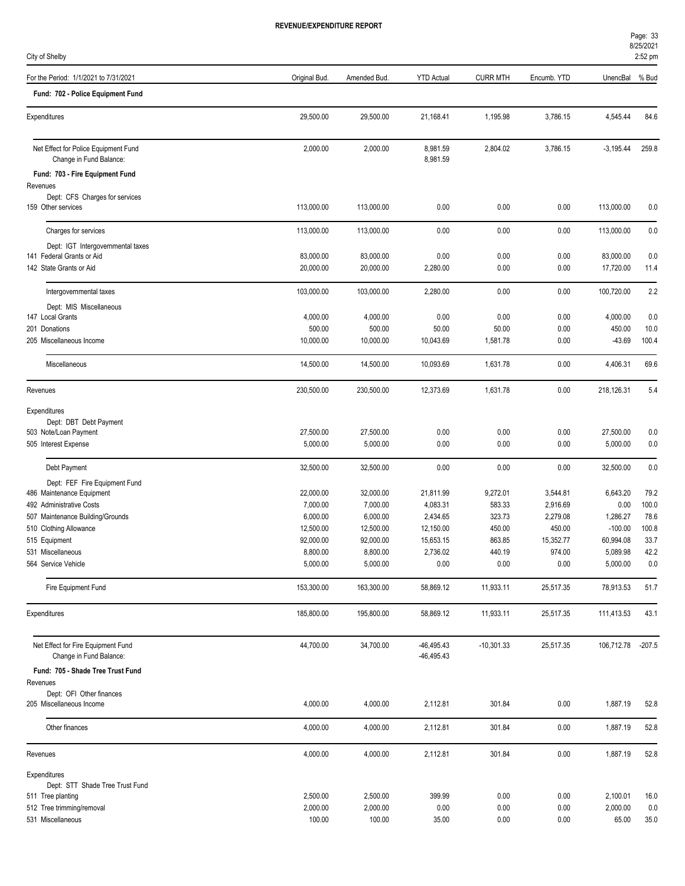City of Shelby

| Fund: 702 - Police Equipment Fund<br>29,500.00<br>29,500.00<br>21,168.41<br>1,195.98<br>3,786.15<br>4,545.44<br>Expenditures<br>Net Effect for Police Equipment Fund<br>2,000.00<br>2,000.00<br>8,981.59<br>2,804.02<br>3,786.15<br>$-3,195.44$<br>Change in Fund Balance:<br>8,981.59<br>Fund: 703 - Fire Equipment Fund<br>Revenues<br>Dept: CFS Charges for services<br>0.00<br>0.00<br>159 Other services<br>113,000.00<br>113,000.00<br>0.00<br>113,000.00<br>113,000.00<br>0.00<br>0.00<br>0.00<br>113,000.00<br>Charges for services<br>113,000.00<br>Dept: IGT Intergovernmental taxes<br>141 Federal Grants or Aid<br>83,000.00<br>83,000.00<br>0.00<br>0.00<br>0.00<br>83,000.00<br>142 State Grants or Aid<br>20,000.00<br>20,000.00<br>2,280.00<br>0.00<br>0.00<br>17,720.00<br>103,000.00<br>2,280.00<br>0.00<br>0.00<br>100,720.00<br>Intergovernmental taxes<br>103,000.00<br>Dept: MIS Miscellaneous<br>147 Local Grants<br>4,000.00<br>4,000.00<br>0.00<br>0.00<br>0.00<br>4,000.00<br>500.00<br>500.00<br>50.00<br>50.00<br>0.00<br>450.00<br>201 Donations<br>10,000.00<br>10,000.00<br>1,581.78<br>0.00<br>$-43.69$<br>205 Miscellaneous Income<br>10,043.69<br>Miscellaneous<br>0.00<br>4,406.31<br>14,500.00<br>14,500.00<br>10,093.69<br>1,631.78<br>230,500.00<br>12,373.69<br>1,631.78<br>0.00<br>218,126.31<br>Revenues<br>230,500.00<br>Expenditures<br>Dept: DBT Debt Payment<br>27,500.00<br>27,500.00<br>0.00<br>0.00<br>0.00<br>27,500.00<br>503 Note/Loan Payment<br>505 Interest Expense<br>5,000.00<br>5,000.00<br>0.00<br>0.00<br>0.00<br>5,000.00<br>Debt Payment<br>32,500.00<br>0.00<br>0.00<br>0.00<br>32,500.00<br>32,500.00<br>Dept: FEF Fire Equipment Fund<br>22,000.00<br>32,000.00<br>21,811.99<br>9,272.01<br>3,544.81<br>6,643.20<br>486 Maintenance Equipment<br>492 Administrative Costs<br>7,000.00<br>7,000.00<br>4,083.31<br>583.33<br>2,916.69<br>0.00<br>6,000.00<br>6,000.00<br>2,434.65<br>323.73<br>2,279.08<br>1,286.27<br>507 Maintenance Building/Grounds<br>12,500.00<br>12,500.00<br>12,150.00<br>450.00<br>450.00<br>$-100.00$<br>92,000.00<br>92,000.00<br>15,653.15<br>863.85<br>15,352.77<br>60,994.08<br>515 Equipment<br>8,800.00<br>8,800.00<br>2,736.02<br>440.19<br>974.00<br>5,089.98<br>531 Miscellaneous<br>5,000.00<br>5,000.00<br>0.00<br>0.00<br>0.00<br>5,000.00<br>564 Service Vehicle<br>Fire Equipment Fund<br>153,300.00<br>163,300.00<br>58,869.12<br>11,933.11<br>25,517.35<br>78,913.53<br>185,800.00<br>195,800.00<br>58,869.12<br>11,933.11<br>25,517.35<br>Expenditures<br>111,413.53<br>Net Effect for Fire Equipment Fund<br>44,700.00<br>34,700.00<br>$-46,495.43$<br>$-10,301.33$<br>25,517.35<br>106,712.78<br>Change in Fund Balance:<br>$-46,495.43$<br>Fund: 705 - Shade Tree Trust Fund<br>Revenues<br>Dept: OFI Other finances<br>205 Miscellaneous Income<br>4,000.00<br>301.84<br>0.00<br>1,887.19<br>4,000.00<br>2,112.81<br>Other finances<br>4,000.00<br>301.84<br>0.00<br>1,887.19<br>4,000.00<br>2,112.81<br>4,000.00<br>301.84<br>0.00<br>Revenues<br>4,000.00<br>2,112.81<br>1,887.19<br>Expenditures<br>Dept: STT Shade Tree Trust Fund<br>2,500.00<br>2,100.01<br>511 Tree planting<br>2,500.00<br>399.99<br>0.00<br>0.00<br>2,000.00<br>512 Tree trimming/removal<br>2,000.00<br>0.00<br>0.00<br>0.00<br>2,000.00 | For the Period: 1/1/2021 to 7/31/2021 | Original Bud. | Amended Bud. | <b>YTD Actual</b> | <b>CURR MTH</b> | Encumb. YTD | UnencBal % Bud |               |
|---------------------------------------------------------------------------------------------------------------------------------------------------------------------------------------------------------------------------------------------------------------------------------------------------------------------------------------------------------------------------------------------------------------------------------------------------------------------------------------------------------------------------------------------------------------------------------------------------------------------------------------------------------------------------------------------------------------------------------------------------------------------------------------------------------------------------------------------------------------------------------------------------------------------------------------------------------------------------------------------------------------------------------------------------------------------------------------------------------------------------------------------------------------------------------------------------------------------------------------------------------------------------------------------------------------------------------------------------------------------------------------------------------------------------------------------------------------------------------------------------------------------------------------------------------------------------------------------------------------------------------------------------------------------------------------------------------------------------------------------------------------------------------------------------------------------------------------------------------------------------------------------------------------------------------------------------------------------------------------------------------------------------------------------------------------------------------------------------------------------------------------------------------------------------------------------------------------------------------------------------------------------------------------------------------------------------------------------------------------------------------------------------------------------------------------------------------------------------------------------------------------------------------------------------------------------------------------------------------------------------------------------------------------------------------------------------------------------------------------------------------------------------------------------------------------------------------------------------------------------------------------------------------------------------------------------------------------------------------------------------------------------------------------------------------------------------------------------------------------------------------------------------------------------------------------------------------------------------------------------------------------------------------------------------------------------------------|---------------------------------------|---------------|--------------|-------------------|-----------------|-------------|----------------|---------------|
|                                                                                                                                                                                                                                                                                                                                                                                                                                                                                                                                                                                                                                                                                                                                                                                                                                                                                                                                                                                                                                                                                                                                                                                                                                                                                                                                                                                                                                                                                                                                                                                                                                                                                                                                                                                                                                                                                                                                                                                                                                                                                                                                                                                                                                                                                                                                                                                                                                                                                                                                                                                                                                                                                                                                                                                                                                                                                                                                                                                                                                                                                                                                                                                                                                                                                                                                 |                                       |               |              |                   |                 |             |                |               |
|                                                                                                                                                                                                                                                                                                                                                                                                                                                                                                                                                                                                                                                                                                                                                                                                                                                                                                                                                                                                                                                                                                                                                                                                                                                                                                                                                                                                                                                                                                                                                                                                                                                                                                                                                                                                                                                                                                                                                                                                                                                                                                                                                                                                                                                                                                                                                                                                                                                                                                                                                                                                                                                                                                                                                                                                                                                                                                                                                                                                                                                                                                                                                                                                                                                                                                                                 |                                       |               |              |                   |                 |             |                | 84.6          |
|                                                                                                                                                                                                                                                                                                                                                                                                                                                                                                                                                                                                                                                                                                                                                                                                                                                                                                                                                                                                                                                                                                                                                                                                                                                                                                                                                                                                                                                                                                                                                                                                                                                                                                                                                                                                                                                                                                                                                                                                                                                                                                                                                                                                                                                                                                                                                                                                                                                                                                                                                                                                                                                                                                                                                                                                                                                                                                                                                                                                                                                                                                                                                                                                                                                                                                                                 |                                       |               |              |                   |                 |             |                | 259.8         |
|                                                                                                                                                                                                                                                                                                                                                                                                                                                                                                                                                                                                                                                                                                                                                                                                                                                                                                                                                                                                                                                                                                                                                                                                                                                                                                                                                                                                                                                                                                                                                                                                                                                                                                                                                                                                                                                                                                                                                                                                                                                                                                                                                                                                                                                                                                                                                                                                                                                                                                                                                                                                                                                                                                                                                                                                                                                                                                                                                                                                                                                                                                                                                                                                                                                                                                                                 |                                       |               |              |                   |                 |             |                |               |
|                                                                                                                                                                                                                                                                                                                                                                                                                                                                                                                                                                                                                                                                                                                                                                                                                                                                                                                                                                                                                                                                                                                                                                                                                                                                                                                                                                                                                                                                                                                                                                                                                                                                                                                                                                                                                                                                                                                                                                                                                                                                                                                                                                                                                                                                                                                                                                                                                                                                                                                                                                                                                                                                                                                                                                                                                                                                                                                                                                                                                                                                                                                                                                                                                                                                                                                                 |                                       |               |              |                   |                 |             |                |               |
| 510 Clothing Allowance                                                                                                                                                                                                                                                                                                                                                                                                                                                                                                                                                                                                                                                                                                                                                                                                                                                                                                                                                                                                                                                                                                                                                                                                                                                                                                                                                                                                                                                                                                                                                                                                                                                                                                                                                                                                                                                                                                                                                                                                                                                                                                                                                                                                                                                                                                                                                                                                                                                                                                                                                                                                                                                                                                                                                                                                                                                                                                                                                                                                                                                                                                                                                                                                                                                                                                          |                                       |               |              |                   |                 |             |                | 0.0           |
|                                                                                                                                                                                                                                                                                                                                                                                                                                                                                                                                                                                                                                                                                                                                                                                                                                                                                                                                                                                                                                                                                                                                                                                                                                                                                                                                                                                                                                                                                                                                                                                                                                                                                                                                                                                                                                                                                                                                                                                                                                                                                                                                                                                                                                                                                                                                                                                                                                                                                                                                                                                                                                                                                                                                                                                                                                                                                                                                                                                                                                                                                                                                                                                                                                                                                                                                 |                                       |               |              |                   |                 |             |                | 0.0           |
|                                                                                                                                                                                                                                                                                                                                                                                                                                                                                                                                                                                                                                                                                                                                                                                                                                                                                                                                                                                                                                                                                                                                                                                                                                                                                                                                                                                                                                                                                                                                                                                                                                                                                                                                                                                                                                                                                                                                                                                                                                                                                                                                                                                                                                                                                                                                                                                                                                                                                                                                                                                                                                                                                                                                                                                                                                                                                                                                                                                                                                                                                                                                                                                                                                                                                                                                 |                                       |               |              |                   |                 |             |                |               |
|                                                                                                                                                                                                                                                                                                                                                                                                                                                                                                                                                                                                                                                                                                                                                                                                                                                                                                                                                                                                                                                                                                                                                                                                                                                                                                                                                                                                                                                                                                                                                                                                                                                                                                                                                                                                                                                                                                                                                                                                                                                                                                                                                                                                                                                                                                                                                                                                                                                                                                                                                                                                                                                                                                                                                                                                                                                                                                                                                                                                                                                                                                                                                                                                                                                                                                                                 |                                       |               |              |                   |                 |             |                | 0.0           |
|                                                                                                                                                                                                                                                                                                                                                                                                                                                                                                                                                                                                                                                                                                                                                                                                                                                                                                                                                                                                                                                                                                                                                                                                                                                                                                                                                                                                                                                                                                                                                                                                                                                                                                                                                                                                                                                                                                                                                                                                                                                                                                                                                                                                                                                                                                                                                                                                                                                                                                                                                                                                                                                                                                                                                                                                                                                                                                                                                                                                                                                                                                                                                                                                                                                                                                                                 |                                       |               |              |                   |                 |             |                | 11.4          |
|                                                                                                                                                                                                                                                                                                                                                                                                                                                                                                                                                                                                                                                                                                                                                                                                                                                                                                                                                                                                                                                                                                                                                                                                                                                                                                                                                                                                                                                                                                                                                                                                                                                                                                                                                                                                                                                                                                                                                                                                                                                                                                                                                                                                                                                                                                                                                                                                                                                                                                                                                                                                                                                                                                                                                                                                                                                                                                                                                                                                                                                                                                                                                                                                                                                                                                                                 |                                       |               |              |                   |                 |             |                | 2.2           |
|                                                                                                                                                                                                                                                                                                                                                                                                                                                                                                                                                                                                                                                                                                                                                                                                                                                                                                                                                                                                                                                                                                                                                                                                                                                                                                                                                                                                                                                                                                                                                                                                                                                                                                                                                                                                                                                                                                                                                                                                                                                                                                                                                                                                                                                                                                                                                                                                                                                                                                                                                                                                                                                                                                                                                                                                                                                                                                                                                                                                                                                                                                                                                                                                                                                                                                                                 |                                       |               |              |                   |                 |             |                |               |
|                                                                                                                                                                                                                                                                                                                                                                                                                                                                                                                                                                                                                                                                                                                                                                                                                                                                                                                                                                                                                                                                                                                                                                                                                                                                                                                                                                                                                                                                                                                                                                                                                                                                                                                                                                                                                                                                                                                                                                                                                                                                                                                                                                                                                                                                                                                                                                                                                                                                                                                                                                                                                                                                                                                                                                                                                                                                                                                                                                                                                                                                                                                                                                                                                                                                                                                                 |                                       |               |              |                   |                 |             |                | 0.0           |
|                                                                                                                                                                                                                                                                                                                                                                                                                                                                                                                                                                                                                                                                                                                                                                                                                                                                                                                                                                                                                                                                                                                                                                                                                                                                                                                                                                                                                                                                                                                                                                                                                                                                                                                                                                                                                                                                                                                                                                                                                                                                                                                                                                                                                                                                                                                                                                                                                                                                                                                                                                                                                                                                                                                                                                                                                                                                                                                                                                                                                                                                                                                                                                                                                                                                                                                                 |                                       |               |              |                   |                 |             |                | 10.0          |
|                                                                                                                                                                                                                                                                                                                                                                                                                                                                                                                                                                                                                                                                                                                                                                                                                                                                                                                                                                                                                                                                                                                                                                                                                                                                                                                                                                                                                                                                                                                                                                                                                                                                                                                                                                                                                                                                                                                                                                                                                                                                                                                                                                                                                                                                                                                                                                                                                                                                                                                                                                                                                                                                                                                                                                                                                                                                                                                                                                                                                                                                                                                                                                                                                                                                                                                                 |                                       |               |              |                   |                 |             |                | 100.4         |
|                                                                                                                                                                                                                                                                                                                                                                                                                                                                                                                                                                                                                                                                                                                                                                                                                                                                                                                                                                                                                                                                                                                                                                                                                                                                                                                                                                                                                                                                                                                                                                                                                                                                                                                                                                                                                                                                                                                                                                                                                                                                                                                                                                                                                                                                                                                                                                                                                                                                                                                                                                                                                                                                                                                                                                                                                                                                                                                                                                                                                                                                                                                                                                                                                                                                                                                                 |                                       |               |              |                   |                 |             |                | 69.6          |
|                                                                                                                                                                                                                                                                                                                                                                                                                                                                                                                                                                                                                                                                                                                                                                                                                                                                                                                                                                                                                                                                                                                                                                                                                                                                                                                                                                                                                                                                                                                                                                                                                                                                                                                                                                                                                                                                                                                                                                                                                                                                                                                                                                                                                                                                                                                                                                                                                                                                                                                                                                                                                                                                                                                                                                                                                                                                                                                                                                                                                                                                                                                                                                                                                                                                                                                                 |                                       |               |              |                   |                 |             |                | 5.4           |
|                                                                                                                                                                                                                                                                                                                                                                                                                                                                                                                                                                                                                                                                                                                                                                                                                                                                                                                                                                                                                                                                                                                                                                                                                                                                                                                                                                                                                                                                                                                                                                                                                                                                                                                                                                                                                                                                                                                                                                                                                                                                                                                                                                                                                                                                                                                                                                                                                                                                                                                                                                                                                                                                                                                                                                                                                                                                                                                                                                                                                                                                                                                                                                                                                                                                                                                                 |                                       |               |              |                   |                 |             |                |               |
|                                                                                                                                                                                                                                                                                                                                                                                                                                                                                                                                                                                                                                                                                                                                                                                                                                                                                                                                                                                                                                                                                                                                                                                                                                                                                                                                                                                                                                                                                                                                                                                                                                                                                                                                                                                                                                                                                                                                                                                                                                                                                                                                                                                                                                                                                                                                                                                                                                                                                                                                                                                                                                                                                                                                                                                                                                                                                                                                                                                                                                                                                                                                                                                                                                                                                                                                 |                                       |               |              |                   |                 |             |                |               |
|                                                                                                                                                                                                                                                                                                                                                                                                                                                                                                                                                                                                                                                                                                                                                                                                                                                                                                                                                                                                                                                                                                                                                                                                                                                                                                                                                                                                                                                                                                                                                                                                                                                                                                                                                                                                                                                                                                                                                                                                                                                                                                                                                                                                                                                                                                                                                                                                                                                                                                                                                                                                                                                                                                                                                                                                                                                                                                                                                                                                                                                                                                                                                                                                                                                                                                                                 |                                       |               |              |                   |                 |             |                | 0.0           |
|                                                                                                                                                                                                                                                                                                                                                                                                                                                                                                                                                                                                                                                                                                                                                                                                                                                                                                                                                                                                                                                                                                                                                                                                                                                                                                                                                                                                                                                                                                                                                                                                                                                                                                                                                                                                                                                                                                                                                                                                                                                                                                                                                                                                                                                                                                                                                                                                                                                                                                                                                                                                                                                                                                                                                                                                                                                                                                                                                                                                                                                                                                                                                                                                                                                                                                                                 |                                       |               |              |                   |                 |             |                | 0.0           |
|                                                                                                                                                                                                                                                                                                                                                                                                                                                                                                                                                                                                                                                                                                                                                                                                                                                                                                                                                                                                                                                                                                                                                                                                                                                                                                                                                                                                                                                                                                                                                                                                                                                                                                                                                                                                                                                                                                                                                                                                                                                                                                                                                                                                                                                                                                                                                                                                                                                                                                                                                                                                                                                                                                                                                                                                                                                                                                                                                                                                                                                                                                                                                                                                                                                                                                                                 |                                       |               |              |                   |                 |             |                | 0.0           |
|                                                                                                                                                                                                                                                                                                                                                                                                                                                                                                                                                                                                                                                                                                                                                                                                                                                                                                                                                                                                                                                                                                                                                                                                                                                                                                                                                                                                                                                                                                                                                                                                                                                                                                                                                                                                                                                                                                                                                                                                                                                                                                                                                                                                                                                                                                                                                                                                                                                                                                                                                                                                                                                                                                                                                                                                                                                                                                                                                                                                                                                                                                                                                                                                                                                                                                                                 |                                       |               |              |                   |                 |             |                |               |
|                                                                                                                                                                                                                                                                                                                                                                                                                                                                                                                                                                                                                                                                                                                                                                                                                                                                                                                                                                                                                                                                                                                                                                                                                                                                                                                                                                                                                                                                                                                                                                                                                                                                                                                                                                                                                                                                                                                                                                                                                                                                                                                                                                                                                                                                                                                                                                                                                                                                                                                                                                                                                                                                                                                                                                                                                                                                                                                                                                                                                                                                                                                                                                                                                                                                                                                                 |                                       |               |              |                   |                 |             |                | 79.2          |
|                                                                                                                                                                                                                                                                                                                                                                                                                                                                                                                                                                                                                                                                                                                                                                                                                                                                                                                                                                                                                                                                                                                                                                                                                                                                                                                                                                                                                                                                                                                                                                                                                                                                                                                                                                                                                                                                                                                                                                                                                                                                                                                                                                                                                                                                                                                                                                                                                                                                                                                                                                                                                                                                                                                                                                                                                                                                                                                                                                                                                                                                                                                                                                                                                                                                                                                                 |                                       |               |              |                   |                 |             |                | 100.0         |
|                                                                                                                                                                                                                                                                                                                                                                                                                                                                                                                                                                                                                                                                                                                                                                                                                                                                                                                                                                                                                                                                                                                                                                                                                                                                                                                                                                                                                                                                                                                                                                                                                                                                                                                                                                                                                                                                                                                                                                                                                                                                                                                                                                                                                                                                                                                                                                                                                                                                                                                                                                                                                                                                                                                                                                                                                                                                                                                                                                                                                                                                                                                                                                                                                                                                                                                                 |                                       |               |              |                   |                 |             |                | 78.6<br>100.8 |
|                                                                                                                                                                                                                                                                                                                                                                                                                                                                                                                                                                                                                                                                                                                                                                                                                                                                                                                                                                                                                                                                                                                                                                                                                                                                                                                                                                                                                                                                                                                                                                                                                                                                                                                                                                                                                                                                                                                                                                                                                                                                                                                                                                                                                                                                                                                                                                                                                                                                                                                                                                                                                                                                                                                                                                                                                                                                                                                                                                                                                                                                                                                                                                                                                                                                                                                                 |                                       |               |              |                   |                 |             |                | 33.7          |
|                                                                                                                                                                                                                                                                                                                                                                                                                                                                                                                                                                                                                                                                                                                                                                                                                                                                                                                                                                                                                                                                                                                                                                                                                                                                                                                                                                                                                                                                                                                                                                                                                                                                                                                                                                                                                                                                                                                                                                                                                                                                                                                                                                                                                                                                                                                                                                                                                                                                                                                                                                                                                                                                                                                                                                                                                                                                                                                                                                                                                                                                                                                                                                                                                                                                                                                                 |                                       |               |              |                   |                 |             |                | 42.2          |
|                                                                                                                                                                                                                                                                                                                                                                                                                                                                                                                                                                                                                                                                                                                                                                                                                                                                                                                                                                                                                                                                                                                                                                                                                                                                                                                                                                                                                                                                                                                                                                                                                                                                                                                                                                                                                                                                                                                                                                                                                                                                                                                                                                                                                                                                                                                                                                                                                                                                                                                                                                                                                                                                                                                                                                                                                                                                                                                                                                                                                                                                                                                                                                                                                                                                                                                                 |                                       |               |              |                   |                 |             |                | 0.0           |
|                                                                                                                                                                                                                                                                                                                                                                                                                                                                                                                                                                                                                                                                                                                                                                                                                                                                                                                                                                                                                                                                                                                                                                                                                                                                                                                                                                                                                                                                                                                                                                                                                                                                                                                                                                                                                                                                                                                                                                                                                                                                                                                                                                                                                                                                                                                                                                                                                                                                                                                                                                                                                                                                                                                                                                                                                                                                                                                                                                                                                                                                                                                                                                                                                                                                                                                                 |                                       |               |              |                   |                 |             |                | 51.7          |
|                                                                                                                                                                                                                                                                                                                                                                                                                                                                                                                                                                                                                                                                                                                                                                                                                                                                                                                                                                                                                                                                                                                                                                                                                                                                                                                                                                                                                                                                                                                                                                                                                                                                                                                                                                                                                                                                                                                                                                                                                                                                                                                                                                                                                                                                                                                                                                                                                                                                                                                                                                                                                                                                                                                                                                                                                                                                                                                                                                                                                                                                                                                                                                                                                                                                                                                                 |                                       |               |              |                   |                 |             |                | 43.1          |
|                                                                                                                                                                                                                                                                                                                                                                                                                                                                                                                                                                                                                                                                                                                                                                                                                                                                                                                                                                                                                                                                                                                                                                                                                                                                                                                                                                                                                                                                                                                                                                                                                                                                                                                                                                                                                                                                                                                                                                                                                                                                                                                                                                                                                                                                                                                                                                                                                                                                                                                                                                                                                                                                                                                                                                                                                                                                                                                                                                                                                                                                                                                                                                                                                                                                                                                                 |                                       |               |              |                   |                 |             |                | $-207.5$      |
|                                                                                                                                                                                                                                                                                                                                                                                                                                                                                                                                                                                                                                                                                                                                                                                                                                                                                                                                                                                                                                                                                                                                                                                                                                                                                                                                                                                                                                                                                                                                                                                                                                                                                                                                                                                                                                                                                                                                                                                                                                                                                                                                                                                                                                                                                                                                                                                                                                                                                                                                                                                                                                                                                                                                                                                                                                                                                                                                                                                                                                                                                                                                                                                                                                                                                                                                 |                                       |               |              |                   |                 |             |                |               |
|                                                                                                                                                                                                                                                                                                                                                                                                                                                                                                                                                                                                                                                                                                                                                                                                                                                                                                                                                                                                                                                                                                                                                                                                                                                                                                                                                                                                                                                                                                                                                                                                                                                                                                                                                                                                                                                                                                                                                                                                                                                                                                                                                                                                                                                                                                                                                                                                                                                                                                                                                                                                                                                                                                                                                                                                                                                                                                                                                                                                                                                                                                                                                                                                                                                                                                                                 |                                       |               |              |                   |                 |             |                |               |
|                                                                                                                                                                                                                                                                                                                                                                                                                                                                                                                                                                                                                                                                                                                                                                                                                                                                                                                                                                                                                                                                                                                                                                                                                                                                                                                                                                                                                                                                                                                                                                                                                                                                                                                                                                                                                                                                                                                                                                                                                                                                                                                                                                                                                                                                                                                                                                                                                                                                                                                                                                                                                                                                                                                                                                                                                                                                                                                                                                                                                                                                                                                                                                                                                                                                                                                                 |                                       |               |              |                   |                 |             |                |               |
|                                                                                                                                                                                                                                                                                                                                                                                                                                                                                                                                                                                                                                                                                                                                                                                                                                                                                                                                                                                                                                                                                                                                                                                                                                                                                                                                                                                                                                                                                                                                                                                                                                                                                                                                                                                                                                                                                                                                                                                                                                                                                                                                                                                                                                                                                                                                                                                                                                                                                                                                                                                                                                                                                                                                                                                                                                                                                                                                                                                                                                                                                                                                                                                                                                                                                                                                 |                                       |               |              |                   |                 |             |                | 52.8          |
|                                                                                                                                                                                                                                                                                                                                                                                                                                                                                                                                                                                                                                                                                                                                                                                                                                                                                                                                                                                                                                                                                                                                                                                                                                                                                                                                                                                                                                                                                                                                                                                                                                                                                                                                                                                                                                                                                                                                                                                                                                                                                                                                                                                                                                                                                                                                                                                                                                                                                                                                                                                                                                                                                                                                                                                                                                                                                                                                                                                                                                                                                                                                                                                                                                                                                                                                 |                                       |               |              |                   |                 |             |                |               |
|                                                                                                                                                                                                                                                                                                                                                                                                                                                                                                                                                                                                                                                                                                                                                                                                                                                                                                                                                                                                                                                                                                                                                                                                                                                                                                                                                                                                                                                                                                                                                                                                                                                                                                                                                                                                                                                                                                                                                                                                                                                                                                                                                                                                                                                                                                                                                                                                                                                                                                                                                                                                                                                                                                                                                                                                                                                                                                                                                                                                                                                                                                                                                                                                                                                                                                                                 |                                       |               |              |                   |                 |             |                | 52.8          |
|                                                                                                                                                                                                                                                                                                                                                                                                                                                                                                                                                                                                                                                                                                                                                                                                                                                                                                                                                                                                                                                                                                                                                                                                                                                                                                                                                                                                                                                                                                                                                                                                                                                                                                                                                                                                                                                                                                                                                                                                                                                                                                                                                                                                                                                                                                                                                                                                                                                                                                                                                                                                                                                                                                                                                                                                                                                                                                                                                                                                                                                                                                                                                                                                                                                                                                                                 |                                       |               |              |                   |                 |             |                | 52.8          |
|                                                                                                                                                                                                                                                                                                                                                                                                                                                                                                                                                                                                                                                                                                                                                                                                                                                                                                                                                                                                                                                                                                                                                                                                                                                                                                                                                                                                                                                                                                                                                                                                                                                                                                                                                                                                                                                                                                                                                                                                                                                                                                                                                                                                                                                                                                                                                                                                                                                                                                                                                                                                                                                                                                                                                                                                                                                                                                                                                                                                                                                                                                                                                                                                                                                                                                                                 |                                       |               |              |                   |                 |             |                |               |
|                                                                                                                                                                                                                                                                                                                                                                                                                                                                                                                                                                                                                                                                                                                                                                                                                                                                                                                                                                                                                                                                                                                                                                                                                                                                                                                                                                                                                                                                                                                                                                                                                                                                                                                                                                                                                                                                                                                                                                                                                                                                                                                                                                                                                                                                                                                                                                                                                                                                                                                                                                                                                                                                                                                                                                                                                                                                                                                                                                                                                                                                                                                                                                                                                                                                                                                                 |                                       |               |              |                   |                 |             |                |               |
|                                                                                                                                                                                                                                                                                                                                                                                                                                                                                                                                                                                                                                                                                                                                                                                                                                                                                                                                                                                                                                                                                                                                                                                                                                                                                                                                                                                                                                                                                                                                                                                                                                                                                                                                                                                                                                                                                                                                                                                                                                                                                                                                                                                                                                                                                                                                                                                                                                                                                                                                                                                                                                                                                                                                                                                                                                                                                                                                                                                                                                                                                                                                                                                                                                                                                                                                 |                                       |               |              |                   |                 |             |                | 16.0<br>0.0   |
| 531 Miscellaneous<br>100.00<br>100.00<br>35.00<br>0.00<br>0.00<br>65.00                                                                                                                                                                                                                                                                                                                                                                                                                                                                                                                                                                                                                                                                                                                                                                                                                                                                                                                                                                                                                                                                                                                                                                                                                                                                                                                                                                                                                                                                                                                                                                                                                                                                                                                                                                                                                                                                                                                                                                                                                                                                                                                                                                                                                                                                                                                                                                                                                                                                                                                                                                                                                                                                                                                                                                                                                                                                                                                                                                                                                                                                                                                                                                                                                                                         |                                       |               |              |                   |                 |             |                | 35.0          |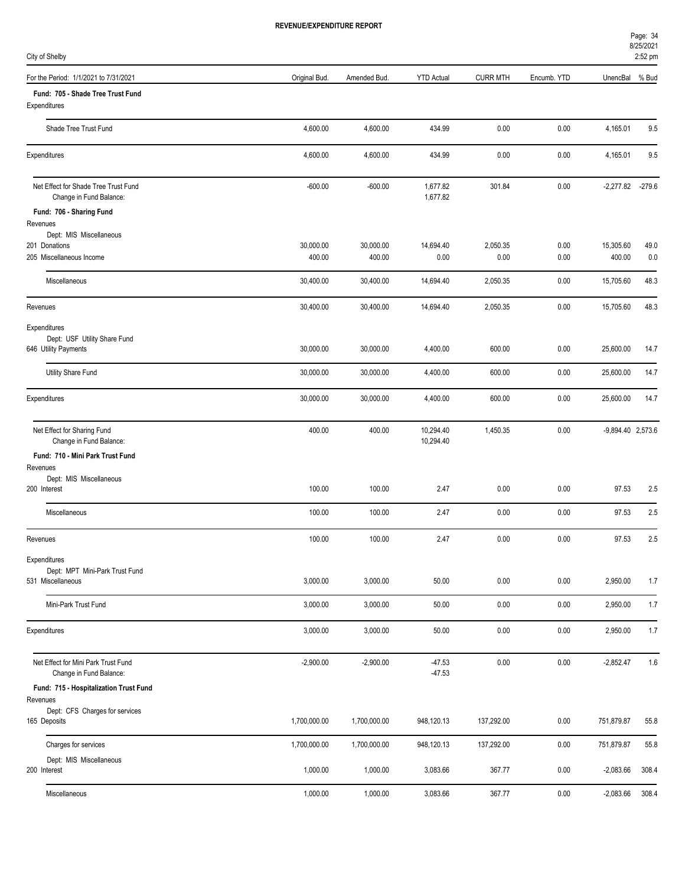| City of Shelby                                                  |               |              |                        |                 |             |                   | 2:52 pm  |
|-----------------------------------------------------------------|---------------|--------------|------------------------|-----------------|-------------|-------------------|----------|
| For the Period: 1/1/2021 to 7/31/2021                           | Original Bud. | Amended Bud. | <b>YTD Actual</b>      | <b>CURR MTH</b> | Encumb. YTD | UnencBal          | % Bud    |
| Fund: 705 - Shade Tree Trust Fund<br>Expenditures               |               |              |                        |                 |             |                   |          |
| Shade Tree Trust Fund                                           | 4,600.00      | 4,600.00     | 434.99                 | 0.00            | 0.00        | 4,165.01          | 9.5      |
| Expenditures                                                    | 4,600.00      | 4,600.00     | 434.99                 | 0.00            | 0.00        | 4,165.01          | 9.5      |
| Net Effect for Shade Tree Trust Fund<br>Change in Fund Balance: | $-600.00$     | $-600.00$    | 1,677.82<br>1,677.82   | 301.84          | 0.00        | $-2,277.82$       | $-279.6$ |
| Fund: 706 - Sharing Fund                                        |               |              |                        |                 |             |                   |          |
| Revenues<br>Dept: MIS Miscellaneous                             |               |              |                        |                 |             |                   |          |
| 201 Donations                                                   | 30,000.00     | 30,000.00    | 14,694.40              | 2,050.35        | 0.00        | 15,305.60         | 49.0     |
| 205 Miscellaneous Income                                        | 400.00        | 400.00       | 0.00                   | 0.00            | 0.00        | 400.00            | 0.0      |
| Miscellaneous                                                   | 30,400.00     | 30,400.00    | 14,694.40              | 2,050.35        | 0.00        | 15,705.60         | 48.3     |
| Revenues                                                        | 30,400.00     | 30,400.00    | 14,694.40              | 2,050.35        | 0.00        | 15,705.60         | 48.3     |
| Expenditures                                                    |               |              |                        |                 |             |                   |          |
| Dept: USF Utility Share Fund<br>646 Utility Payments            | 30,000.00     | 30,000.00    | 4,400.00               | 600.00          | 0.00        | 25,600.00         | 14.7     |
| Utility Share Fund                                              | 30,000.00     | 30,000.00    | 4,400.00               | 600.00          | 0.00        | 25,600.00         | 14.7     |
| Expenditures                                                    | 30,000.00     | 30,000.00    | 4,400.00               | 600.00          | 0.00        | 25,600.00         | 14.7     |
| Net Effect for Sharing Fund<br>Change in Fund Balance:          | 400.00        | 400.00       | 10,294.40<br>10,294.40 | 1,450.35        | 0.00        | -9,894.40 2,573.6 |          |
| Fund: 710 - Mini Park Trust Fund                                |               |              |                        |                 |             |                   |          |
| Revenues<br>Dept: MIS Miscellaneous                             |               |              |                        |                 |             |                   |          |
| 200 Interest                                                    | 100.00        | 100.00       | 2.47                   | 0.00            | 0.00        | 97.53             | 2.5      |
| Miscellaneous                                                   | 100.00        | 100.00       | 2.47                   | 0.00            | 0.00        | 97.53             | 2.5      |
| Revenues                                                        | 100.00        | 100.00       | 2.47                   | 0.00            | 0.00        | 97.53             | 2.5      |
| Expenditures                                                    |               |              |                        |                 |             |                   |          |
| Dept: MPT Mini-Park Trust Fund<br>531 Miscellaneous             | 3,000.00      | 3,000.00     | 50.00                  | 0.00            | 0.00        | 2,950.00          | 1.7      |
|                                                                 |               |              |                        |                 |             |                   |          |
| Mini-Park Trust Fund                                            | 3,000.00      | 3,000.00     | 50.00                  | 0.00            | 0.00        | 2,950.00          | 1.7      |
| Expenditures                                                    | 3,000.00      | 3,000.00     | 50.00                  | 0.00            | 0.00        | 2,950.00          | 1.7      |
| Net Effect for Mini Park Trust Fund<br>Change in Fund Balance:  | $-2,900.00$   | $-2,900.00$  | $-47.53$<br>$-47.53$   | 0.00            | 0.00        | $-2,852.47$       | 1.6      |
| Fund: 715 - Hospitalization Trust Fund                          |               |              |                        |                 |             |                   |          |
| Revenues                                                        |               |              |                        |                 |             |                   |          |
| Dept: CFS Charges for services<br>165 Deposits                  | 1,700,000.00  | 1,700,000.00 | 948,120.13             | 137,292.00      | 0.00        | 751,879.87        | 55.8     |
|                                                                 |               |              |                        |                 |             |                   |          |
| Charges for services                                            | 1,700,000.00  | 1,700,000.00 | 948,120.13             | 137,292.00      | 0.00        | 751,879.87        | 55.8     |
| Dept: MIS Miscellaneous<br>200 Interest                         | 1,000.00      | 1,000.00     | 3,083.66               | 367.77          | 0.00        | $-2,083.66$       | 308.4    |
| Miscellaneous                                                   | 1,000.00      | 1,000.00     | 3,083.66               | 367.77          | 0.00        | $-2,083.66$       | 308.4    |